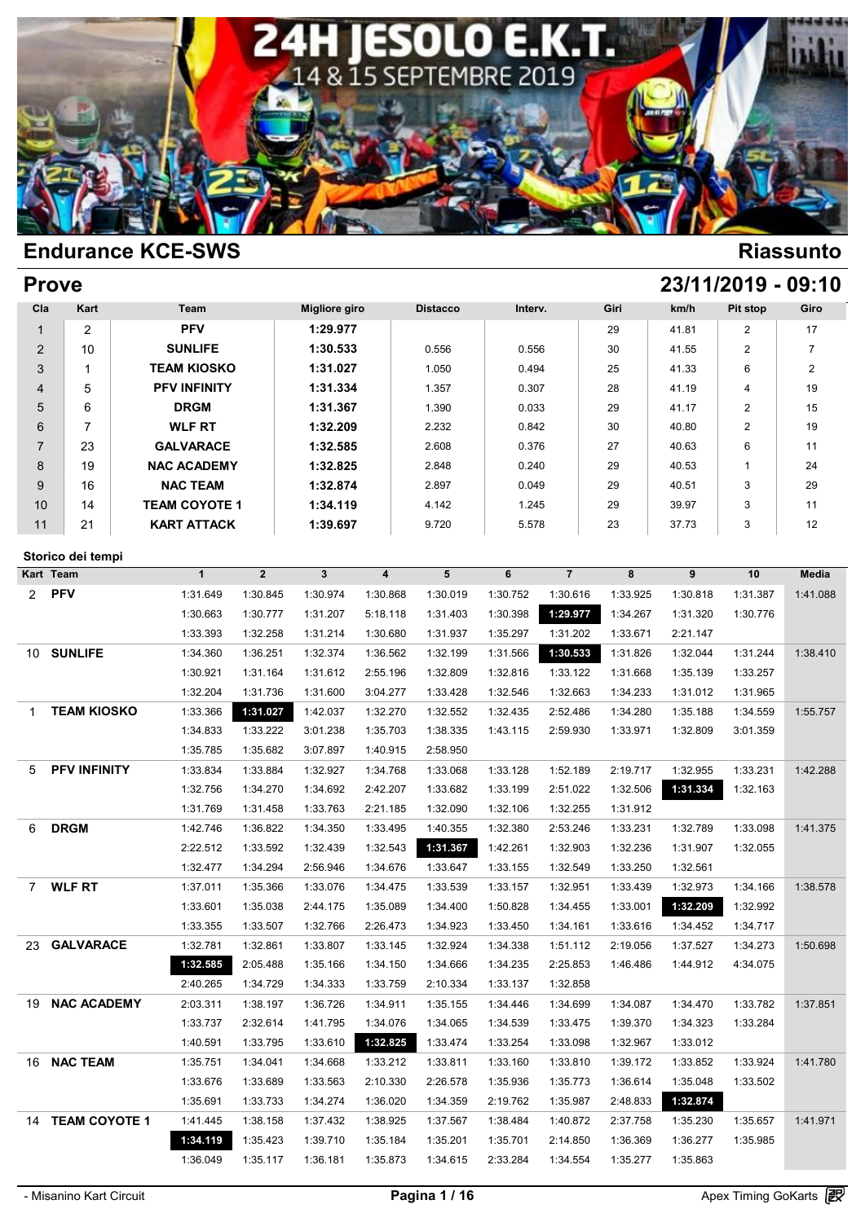

|                | <b>Prove</b>                   |                      |              |                      |                         |                 |          |                |          |          | 23/11/2019 - 09:10 |                |
|----------------|--------------------------------|----------------------|--------------|----------------------|-------------------------|-----------------|----------|----------------|----------|----------|--------------------|----------------|
| Cla            | Kart                           | Team                 |              | <b>Migliore giro</b> |                         | <b>Distacco</b> | Interv.  |                | Giri     | km/h     | Pit stop           | Giro           |
| $\mathbf{1}$   | $\overline{2}$                 | <b>PFV</b>           |              | 1:29.977             |                         |                 |          |                | 29       | 41.81    | 2                  | 17             |
| $\overline{2}$ | 10                             | <b>SUNLIFE</b>       |              | 1:30.533             |                         | 0.556           | 0.556    |                | 30       | 41.55    | 2                  | $\overline{7}$ |
| 3              | $\mathbf{1}$                   | <b>TEAM KIOSKO</b>   |              | 1:31.027             |                         | 1.050           | 0.494    |                | 25       | 41.33    | 6                  | $\overline{2}$ |
| 4              | 5                              | <b>PFV INFINITY</b>  |              | 1:31.334             |                         | 1.357           | 0.307    |                | 28       | 41.19    | 4                  | 19             |
| 5              | 6                              | <b>DRGM</b>          |              | 1:31.367             |                         | 1.390           | 0.033    |                | 29       | 41.17    | 2                  | 15             |
| 6              | 7                              | <b>WLF RT</b>        |              | 1:32.209             |                         | 2.232           | 0.842    |                | 30       | 40.80    | 2                  | 19             |
| $\overline{7}$ | 23                             | <b>GALVARACE</b>     |              | 1:32.585             |                         | 2.608           | 0.376    |                | 27       | 40.63    | 6                  | 11             |
| 8              | 19                             | <b>NAC ACADEMY</b>   |              | 1:32.825             |                         | 2.848           | 0.240    |                | 29       | 40.53    | $\mathbf{1}$       | 24             |
| 9              | 16                             | <b>NAC TEAM</b>      |              | 1:32.874             |                         | 2.897           | 0.049    |                | 29       | 40.51    | 3                  | 29             |
| 10             | 14                             | <b>TEAM COYOTE 1</b> |              | 1:34.119             |                         | 4.142           | 1.245    |                | 29       | 39.97    | 3                  | 11             |
| 11             | 21                             | <b>KART ATTACK</b>   |              | 1:39.697             |                         | 9.720           | 5.578    |                | 23       | 37.73    | 3                  | 12             |
|                |                                |                      |              |                      |                         |                 |          |                |          |          |                    |                |
|                | Storico dei tempi<br>Kart Team | $\mathbf{1}$         | $\mathbf{2}$ | $\mathbf{3}$         | $\overline{\mathbf{4}}$ | 5               | 6        | $\overline{7}$ | 8        | 9        | 10                 | <b>Media</b>   |
| $\overline{2}$ | <b>PFV</b>                     | 1:31.649             | 1:30.845     | 1:30.974             | 1:30.868                | 1:30.019        | 1:30.752 | 1:30.616       | 1:33.925 | 1:30.818 | 1:31.387           | 1:41.088       |
|                |                                | 1:30.663             | 1:30.777     | 1:31.207             | 5:18.118                | 1:31.403        | 1:30.398 | 1:29.977       | 1:34.267 | 1:31.320 | 1:30.776           |                |
|                |                                | 1:33.393             | 1:32.258     | 1:31.214             | 1:30.680                | 1:31.937        | 1:35.297 | 1:31.202       | 1:33.671 | 2:21.147 |                    |                |
|                | 10 SUNLIFE                     | 1:34.360             | 1:36.251     | 1:32.374             | 1:36.562                | 1:32.199        | 1:31.566 | 1:30.533       | 1:31.826 | 1:32.044 | 1:31.244           | 1:38.410       |
|                |                                | 1:30.921             | 1:31.164     | 1:31.612             | 2:55.196                | 1:32.809        | 1:32.816 | 1:33.122       | 1:31.668 | 1:35.139 | 1:33.257           |                |
|                |                                | 1:32.204             | 1:31.736     | 1:31.600             | 3:04.277                | 1:33.428        | 1:32.546 | 1:32.663       | 1:34.233 | 1:31.012 | 1:31.965           |                |
| 1              | <b>TEAM KIOSKO</b>             | 1:33.366             | 1:31.027     | 1:42.037             | 1:32.270                | 1:32.552        | 1:32.435 | 2:52.486       | 1:34.280 | 1:35.188 | 1:34.559           | 1:55.757       |
|                |                                | 1:34.833             | 1:33.222     | 3:01.238             | 1:35.703                | 1:38.335        | 1:43.115 | 2:59.930       | 1:33.971 | 1:32.809 | 3:01.359           |                |
|                |                                | 1:35.785             | 1:35.682     | 3:07.897             | 1:40.915                | 2:58.950        |          |                |          |          |                    |                |
| 5              | <b>PFV INFINITY</b>            | 1:33.834             | 1:33.884     | 1:32.927             | 1:34.768                | 1:33.068        | 1:33.128 | 1:52.189       | 2:19.717 | 1:32.955 | 1:33.231           | 1:42.288       |
|                |                                | 1:32.756             | 1:34.270     | 1:34.692             | 2:42.207                | 1:33.682        | 1:33.199 | 2:51.022       | 1:32.506 | 1:31.334 | 1:32.163           |                |
|                |                                | 1:31.769             | 1:31.458     | 1:33.763             | 2:21.185                | 1:32.090        | 1:32.106 | 1:32.255       | 1:31.912 |          |                    |                |
| 6              | <b>DRGM</b>                    | 1:42.746             | 1:36.822     | 1:34.350             | 1:33.495                | 1:40.355        | 1:32.380 | 2:53.246       | 1:33.231 | 1:32.789 | 1:33.098           | 1:41.375       |
|                |                                | 2:22.512             | 1:33.592     | 1:32.439             | 1:32.543                | 1:31.367        | 1:42.261 | 1:32.903       | 1:32.236 | 1:31.907 | 1:32.055           |                |
|                |                                | 1:32.477             | 1:34.294     | 2:56.946             | 1:34.676                | 1:33.647        | 1:33.155 | 1:32.549       | 1:33.250 | 1:32.561 |                    |                |
| 7              | <b>WLF RT</b>                  | 1:37.011             | 1:35.366     | 1:33.076             | 1:34.475                | 1:33.539        | 1:33.157 | 1:32.951       | 1:33.439 | 1:32.973 | 1:34.166           | 1:38.578       |
|                |                                | 1:33.601             | 1:35.038     | 2:44.175             | 1:35.089                | 1:34.400        | 1:50.828 | 1:34.455       | 1:33.001 | 1:32.209 | 1:32.992           |                |
|                |                                | 1:33.355             | 1:33.507     | 1:32.766             | 2:26.473                | 1:34.923        | 1:33.450 | 1:34.161       | 1:33.616 | 1:34.452 | 1:34.717           |                |
|                | 23 GALVARACE                   | 1:32.781             | 1:32.861     | 1:33.807             | 1:33.145                | 1:32.924        | 1:34.338 | 1:51.112       | 2:19.056 | 1:37.527 | 1:34.273           | 1:50.698       |
|                |                                | 1:32.585             | 2:05.488     | 1:35.166             | 1:34.150                | 1:34.666        | 1:34.235 | 2:25.853       | 1:46.486 | 1:44.912 | 4:34.075           |                |
|                |                                | 2:40.265             | 1:34.729     | 1:34.333             | 1:33.759                | 2:10.334        | 1:33.137 | 1:32.858       |          |          |                    |                |
|                | 19 NAC ACADEMY                 | 2:03.311             | 1:38.197     | 1:36.726             | 1:34.911                | 1:35.155        | 1:34.446 | 1:34.699       | 1:34.087 | 1:34.470 | 1:33.782           | 1:37.851       |
|                |                                | 1:33.737             | 2:32.614     | 1:41.795             | 1:34.076                | 1:34.065        | 1:34.539 | 1:33.475       | 1:39.370 | 1:34.323 | 1:33.284           |                |
|                |                                | 1:40.591             | 1:33.795     | 1:33.610             | 1:32.825                | 1:33.474        | 1:33.254 | 1:33.098       | 1:32.967 | 1:33.012 |                    |                |
|                | 16 NAC TEAM                    | 1:35.751             | 1:34.041     | 1:34.668             | 1:33.212                | 1:33.811        | 1:33.160 | 1:33.810       | 1:39.172 | 1:33.852 | 1:33.924           | 1:41.780       |
|                |                                | 1:33.676             | 1:33.689     | 1:33.563             | 2:10.330                | 2:26.578        | 1:35.936 | 1:35.773       | 1:36.614 | 1:35.048 | 1:33.502           |                |
|                |                                | 1:35.691             | 1:33.733     | 1:34.274             | 1:36.020                | 1:34.359        | 2:19.762 | 1:35.987       | 2:48.833 | 1:32.874 |                    |                |
|                | 14 TEAM COYOTE 1               | 1:41.445             | 1:38.158     | 1:37.432             | 1:38.925                | 1:37.567        | 1:38.484 | 1:40.872       | 2:37.758 | 1:35.230 | 1:35.657           | 1:41.971       |
|                |                                | 1:34.119             | 1:35.423     | 1:39.710             | 1:35.184                | 1:35.201        | 1:35.701 | 2:14.850       | 1:36.369 | 1:36.277 | 1:35.985           |                |
|                |                                | 1:36.049             | 1:35.117     | 1:36.181             | 1:35.873                | 1:34.615        | 2:33.284 | 1:34.554       | 1:35.277 | 1:35.863 |                    |                |
|                |                                |                      |              |                      |                         |                 |          |                |          |          |                    |                |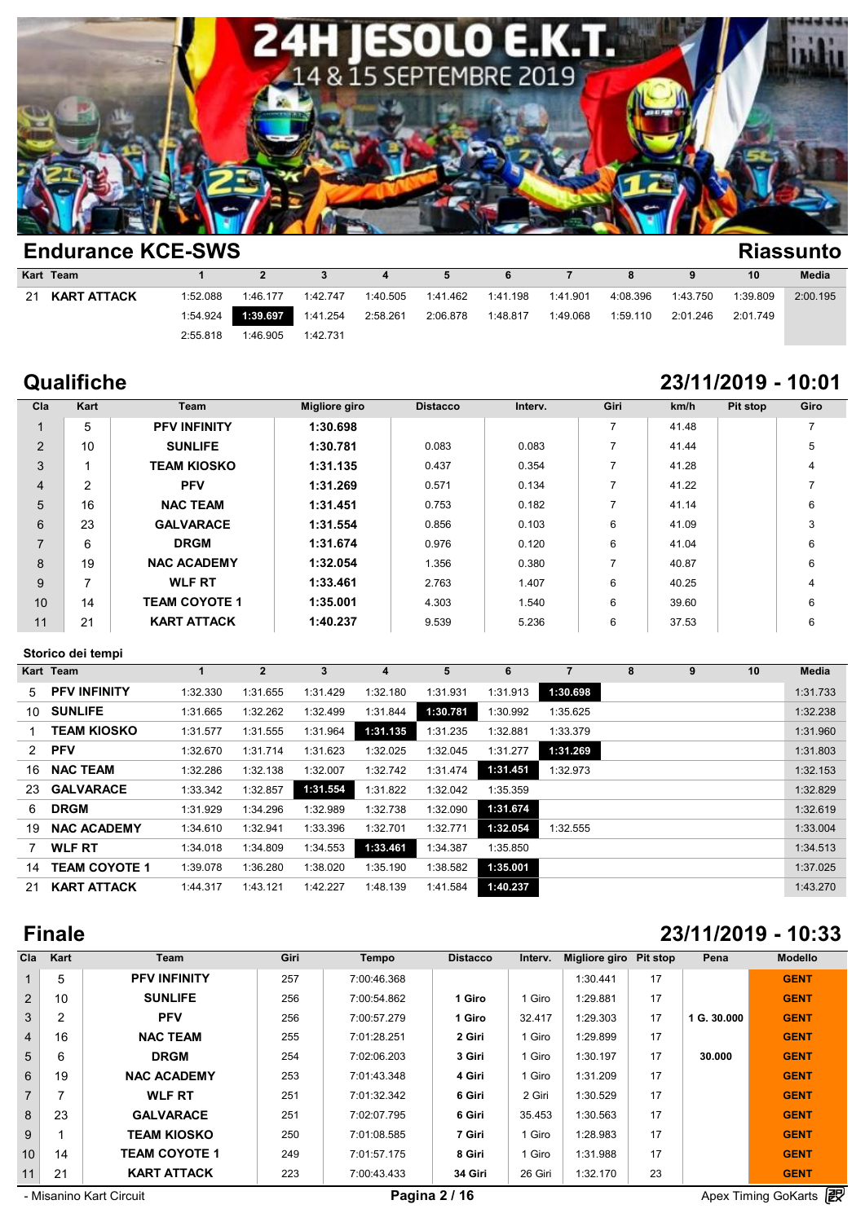

|    | <b>EIIUUIAIIUE NUE-JWJ</b><br>Niassulllu |          |                |          |          |          |          |          |          |          |          |              |  |  |
|----|------------------------------------------|----------|----------------|----------|----------|----------|----------|----------|----------|----------|----------|--------------|--|--|
|    | Kart Team                                |          | $\overline{2}$ |          | 4        | 5        | 6        |          | 8        | 9        | 10       | <b>Media</b> |  |  |
| 21 | <b>KART ATTACK</b>                       | 1:52.088 | 1:46.177       | 1:42.747 | 1:40.505 | 1:41.462 | 1:41.198 | 1:41.901 | 4:08.396 | 1:43.750 | 1:39.809 | 2:00.195     |  |  |
|    |                                          | 1:54.924 | 1:39.697       | 1:41.254 | 2:58.261 | 2:06.878 | 1:48.817 | 1:49.068 | 1:59.110 | 2:01.246 | 2:01.749 |              |  |  |
|    |                                          | 2:55.818 | 1:46.905       | 1:42.731 |          |          |          |          |          |          |          |              |  |  |
|    |                                          |          |                |          |          |          |          |          |          |          |          |              |  |  |

# **Qualifiche 23/11/2019 - 10:01**

| Cla            | Kart | Team                 | <b>Migliore giro</b> | <b>Distacco</b> | Interv. | Giri                     | km/h  | Pit stop | Giro |
|----------------|------|----------------------|----------------------|-----------------|---------|--------------------------|-------|----------|------|
| 1              | 5    | <b>PFV INFINITY</b>  | 1:30.698             |                 |         | $\overline{\phantom{a}}$ | 41.48 |          | 7    |
| 2              | 10   | <b>SUNLIFE</b>       | 1:30.781             | 0.083           | 0.083   |                          | 41.44 |          | 5    |
| 3              |      | <b>TEAM KIOSKO</b>   | 1:31.135             | 0.437           | 0.354   |                          | 41.28 |          | 4    |
| $\overline{4}$ | 2    | <b>PFV</b>           | 1:31.269             | 0.571           | 0.134   |                          | 41.22 |          |      |
| 5              | 16   | <b>NAC TEAM</b>      | 1:31.451             | 0.753           | 0.182   |                          | 41.14 |          | 6    |
| 6              | 23   | <b>GALVARACE</b>     | 1:31.554             | 0.856           | 0.103   | 6                        | 41.09 |          | 3    |
| $\overline{7}$ | 6    | <b>DRGM</b>          | 1:31.674             | 0.976           | 0.120   | 6                        | 41.04 |          | 6    |
| 8              | 19   | <b>NAC ACADEMY</b>   | 1:32.054             | 1.356           | 0.380   | 7                        | 40.87 |          | 6    |
| 9              |      | <b>WLF RT</b>        | 1:33.461             | 2.763           | 1.407   | 6                        | 40.25 |          | 4    |
| 10             | 14   | <b>TEAM COYOTE 1</b> | 1:35.001             | 4.303           | 1.540   | 6                        | 39.60 |          | 6    |
| 11             | 21   | <b>KART ATTACK</b>   | 1:40.237             | 9.539           | 5.236   | 6                        | 37.53 |          | 6    |

### **Storico dei tempi**

| Storico dei tempi |                      |          |              |          |          |          |          |          |   |   |    |          |  |
|-------------------|----------------------|----------|--------------|----------|----------|----------|----------|----------|---|---|----|----------|--|
|                   | Kart Team            | 1        | $\mathbf{2}$ | 3        | 4        | 5        | 6        | 7        | 8 | 9 | 10 | Media    |  |
| 5                 | <b>PFV INFINITY</b>  | 1:32.330 | 1:31.655     | 1:31.429 | 1:32.180 | 1:31.931 | 1:31.913 | 1:30.698 |   |   |    | 1:31.733 |  |
| 10                | <b>SUNLIFE</b>       | 1:31.665 | 1:32.262     | 1:32.499 | 1:31.844 | 1:30.781 | 1:30.992 | 1:35.625 |   |   |    | 1:32.238 |  |
|                   | <b>TEAM KIOSKO</b>   | 1:31.577 | 1:31.555     | 1:31.964 | 1:31.135 | 1:31.235 | 1:32.881 | 1:33.379 |   |   |    | 1:31.960 |  |
| 2                 | <b>PFV</b>           | 1:32.670 | 1:31.714     | 1:31.623 | 1:32.025 | 1:32.045 | 1:31.277 | 1:31.269 |   |   |    | 1:31.803 |  |
| 16                | <b>NAC TEAM</b>      | 1:32.286 | 1:32.138     | 1:32.007 | 1:32.742 | 1:31.474 | 1:31.451 | 1:32.973 |   |   |    | 1:32.153 |  |
| 23                | <b>GALVARACE</b>     | 1:33.342 | 1:32.857     | 1:31.554 | 1:31.822 | 1:32.042 | 1:35.359 |          |   |   |    | 1:32.829 |  |
| 6                 | <b>DRGM</b>          | 1:31.929 | 1:34.296     | 1:32.989 | 1:32.738 | 1:32.090 | 1:31.674 |          |   |   |    | 1:32.619 |  |
| 19                | <b>NAC ACADEMY</b>   | 1:34.610 | 1:32.941     | 1:33.396 | 1:32.701 | 1:32.771 | 1:32.054 | 1:32.555 |   |   |    | 1:33.004 |  |
|                   | <b>WLF RT</b>        | 1:34.018 | 1:34.809     | 1:34.553 | 1:33.461 | 1:34.387 | 1:35.850 |          |   |   |    | 1:34.513 |  |
| 14                | <b>TEAM COYOTE 1</b> | 1:39.078 | 1:36.280     | 1:38.020 | 1:35.190 | 1:38.582 | 1:35.001 |          |   |   |    | 1:37.025 |  |
| 21                | <b>KART ATTACK</b>   | 1:44.317 | 1:43.121     | 1:42.227 | 1:48.139 | 1:41.584 | 1:40.237 |          |   |   |    | 1:43.270 |  |
|                   |                      |          |              |          |          |          |          |          |   |   |    |          |  |

# **Finale 23/11/2019 - 10:33**

| Cla            | Kart           | Team                 | Giri | <b>Tempo</b> | <b>Distacco</b> | Interv. | <b>Migliore giro</b> | Pit stop | Pena        | <b>Modello</b> |
|----------------|----------------|----------------------|------|--------------|-----------------|---------|----------------------|----------|-------------|----------------|
|                | 5              | <b>PFV INFINITY</b>  | 257  | 7:00:46.368  |                 |         | 1:30.441             | 17       |             | <b>GENT</b>    |
| $\overline{2}$ | 10             | <b>SUNLIFE</b>       | 256  | 7:00:54.862  | 1 Giro          | 1 Giro  | 1:29.881             | 17       |             | <b>GENT</b>    |
| 3              | $\overline{2}$ | <b>PFV</b>           | 256  | 7:00:57.279  | 1 Giro          | 32.417  | 1:29.303             | 17       | 1 G. 30.000 | <b>GENT</b>    |
| $\overline{4}$ | 16             | <b>NAC TEAM</b>      | 255  | 7:01:28.251  | 2 Giri          | 1 Giro  | 1:29.899             | 17       |             | <b>GENT</b>    |
| 5              | 6              | <b>DRGM</b>          | 254  | 7:02:06.203  | 3 Giri          | 1 Giro  | 1:30.197             | 17       | 30,000      | <b>GENT</b>    |
| 6              | 19             | <b>NAC ACADEMY</b>   | 253  | 7:01:43.348  | 4 Giri          | 1 Giro  | 1:31.209             | 17       |             | <b>GENT</b>    |
| $\overline{7}$ |                | <b>WLF RT</b>        | 251  | 7:01:32.342  | 6 Giri          | 2 Giri  | 1:30.529             | 17       |             | <b>GENT</b>    |
| 8              | 23             | <b>GALVARACE</b>     | 251  | 7:02:07.795  | 6 Giri          | 35.453  | 1:30.563             | 17       |             | <b>GENT</b>    |
| 9              |                | <b>TEAM KIOSKO</b>   | 250  | 7:01:08.585  | 7 Giri          | 1 Giro  | 1:28.983             | 17       |             | <b>GENT</b>    |
| 10             | 14             | <b>TEAM COYOTE 1</b> | 249  | 7:01:57.175  | 8 Giri          | 1 Giro  | 1:31.988             | 17       |             | <b>GENT</b>    |
| 11             | 21             | <b>KART ATTACK</b>   | 223  | 7:00:43.433  | 34 Giri         | 26 Giri | 1:32.170             | 23       |             | <b>GENT</b>    |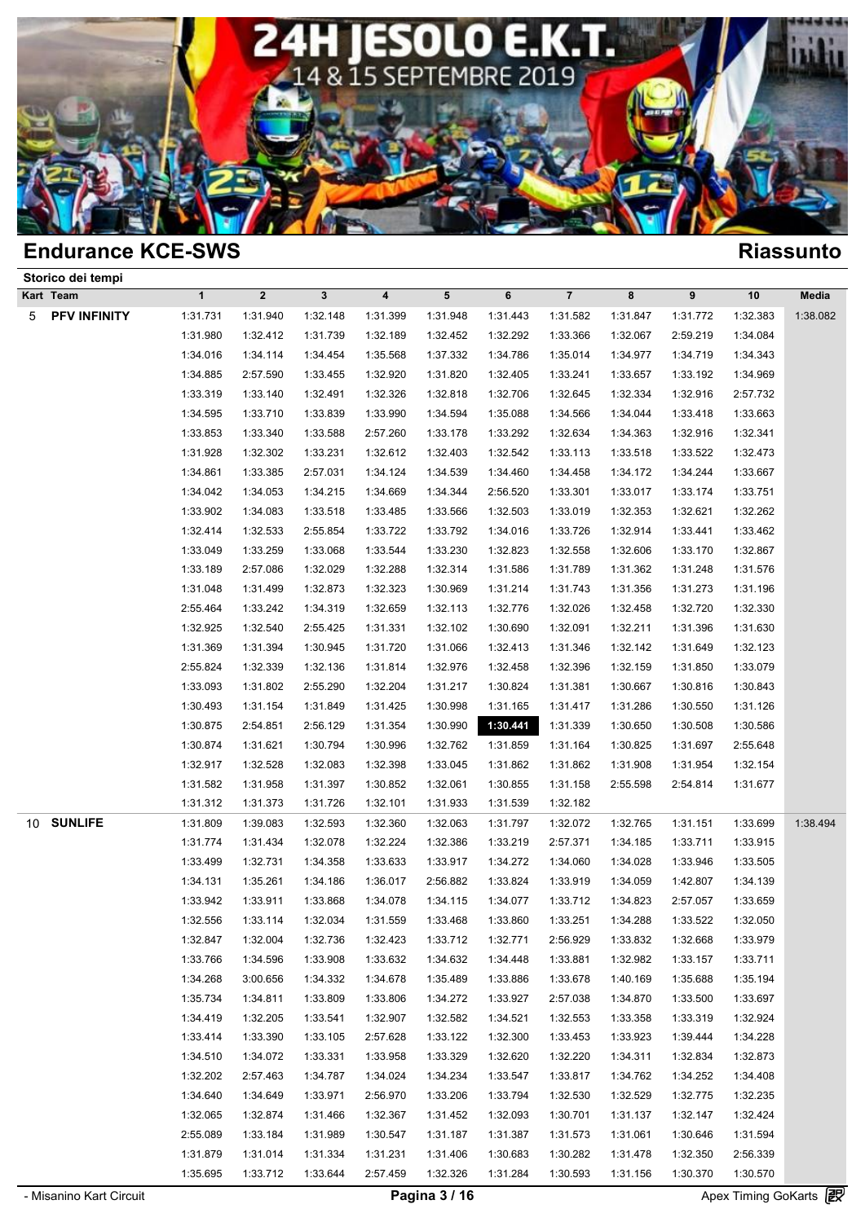

|   | LIIUUI AIIUT NUL-JYYJ |              |                  |              |                  |            |          |                |          |          |          | NIASSUIILU |
|---|-----------------------|--------------|------------------|--------------|------------------|------------|----------|----------------|----------|----------|----------|------------|
|   | Storico dei tempi     |              |                  |              |                  |            |          |                |          |          |          |            |
|   | Kart Team             | $\mathbf{1}$ | $\boldsymbol{2}$ | $\mathbf{3}$ | $\boldsymbol{4}$ | $\sqrt{5}$ | 6        | $\overline{7}$ | 8        | 9        | 10       | Media      |
| 5 | PFV INFINITY          | 1:31.731     | 1:31.940         | 1:32.148     | 1:31.399         | 1:31.948   | 1:31.443 | 1:31.582       | 1:31.847 | 1:31.772 | 1:32.383 | 1:38.082   |
|   |                       | 1:31.980     | 1:32.412         | 1:31.739     | 1:32.189         | 1:32.452   | 1:32.292 | 1:33.366       | 1:32.067 | 2:59.219 | 1:34.084 |            |
|   |                       | 1:34.016     | 1:34.114         | 1:34.454     | 1:35.568         | 1:37.332   | 1:34.786 | 1:35.014       | 1:34.977 | 1:34.719 | 1:34.343 |            |
|   |                       | 1:34.885     | 2:57.590         | 1:33.455     | 1:32.920         | 1:31.820   | 1:32.405 | 1:33.241       | 1:33.657 | 1:33.192 | 1:34.969 |            |
|   |                       | 1:33.319     | 1:33.140         | 1:32.491     | 1:32.326         | 1:32.818   | 1:32.706 | 1:32.645       | 1:32.334 | 1:32.916 | 2:57.732 |            |
|   |                       | 1:34.595     | 1:33.710         | 1:33.839     | 1:33.990         | 1:34.594   | 1:35.088 | 1:34.566       | 1:34.044 | 1:33.418 | 1:33.663 |            |
|   |                       | 1:33.853     | 1:33.340         | 1:33.588     | 2:57.260         | 1:33.178   | 1:33.292 | 1:32.634       | 1:34.363 | 1:32.916 | 1:32.341 |            |
|   |                       | 1:31.928     | 1:32.302         | 1:33.231     | 1:32.612         | 1:32.403   | 1:32.542 | 1:33.113       | 1:33.518 | 1:33.522 | 1:32.473 |            |
|   |                       | 1:34.861     | 1:33.385         | 2:57.031     | 1:34.124         | 1:34.539   | 1:34.460 | 1:34.458       | 1:34.172 | 1:34.244 | 1:33.667 |            |
|   |                       | 1:34.042     | 1:34.053         | 1:34.215     | 1:34.669         | 1:34.344   | 2:56.520 | 1:33.301       | 1:33.017 | 1:33.174 | 1:33.751 |            |
|   |                       | 1:33.902     | 1:34.083         | 1:33.518     | 1:33.485         | 1:33.566   | 1:32.503 | 1:33.019       | 1:32.353 | 1:32.621 | 1:32.262 |            |
|   |                       | 1:32.414     | 1:32.533         | 2:55.854     | 1:33.722         | 1:33.792   | 1:34.016 | 1:33.726       | 1:32.914 | 1:33.441 | 1:33.462 |            |
|   |                       | 1:33.049     | 1:33.259         | 1:33.068     | 1:33.544         | 1:33.230   | 1:32.823 | 1:32.558       | 1:32.606 | 1:33.170 | 1:32.867 |            |
|   |                       | 1:33.189     | 2:57.086         | 1:32.029     | 1:32.288         | 1:32.314   | 1:31.586 | 1:31.789       | 1:31.362 | 1:31.248 | 1:31.576 |            |
|   |                       | 1:31.048     | 1:31.499         | 1:32.873     | 1:32.323         | 1:30.969   | 1:31.214 | 1:31.743       | 1:31.356 | 1:31.273 | 1:31.196 |            |
|   |                       | 2:55.464     | 1:33.242         | 1:34.319     | 1:32.659         | 1:32.113   | 1:32.776 | 1:32.026       | 1:32.458 | 1:32.720 | 1:32.330 |            |
|   |                       | 1:32.925     | 1:32.540         | 2:55.425     | 1:31.331         | 1:32.102   | 1:30.690 | 1:32.091       | 1:32.211 | 1:31.396 | 1:31.630 |            |
|   |                       | 1:31.369     | 1:31.394         | 1:30.945     | 1:31.720         | 1:31.066   | 1:32.413 | 1:31.346       | 1:32.142 | 1:31.649 | 1:32.123 |            |
|   |                       | 2:55.824     | 1:32.339         | 1:32.136     | 1:31.814         | 1:32.976   | 1:32.458 | 1:32.396       | 1:32.159 | 1:31.850 | 1:33.079 |            |
|   |                       | 1:33.093     | 1:31.802         | 2:55.290     | 1:32.204         | 1:31.217   | 1:30.824 | 1:31.381       | 1:30.667 | 1:30.816 | 1:30.843 |            |
|   |                       | 1:30.493     | 1:31.154         | 1:31.849     | 1:31.425         | 1:30.998   | 1:31.165 | 1:31.417       | 1:31.286 | 1:30.550 | 1:31.126 |            |
|   |                       | 1:30.875     | 2:54.851         | 2:56.129     | 1:31.354         | 1:30.990   | 1:30.441 | 1:31.339       | 1:30.650 | 1:30.508 | 1:30.586 |            |
|   |                       | 1:30.874     | 1:31.621         | 1:30.794     | 1:30.996         | 1:32.762   | 1:31.859 | 1:31.164       | 1:30.825 | 1:31.697 | 2:55.648 |            |
|   |                       | 1:32.917     | 1:32.528         | 1:32.083     | 1:32.398         | 1:33.045   | 1:31.862 | 1:31.862       | 1:31.908 | 1:31.954 | 1:32.154 |            |
|   |                       | 1:31.582     | 1:31.958         | 1:31.397     | 1:30.852         | 1:32.061   | 1:30.855 | 1:31.158       | 2:55.598 | 2:54.814 | 1:31.677 |            |
|   |                       | 1:31.312     | 1:31.373         | 1:31.726     | 1:32.101         | 1:31.933   | 1:31.539 | 1:32.182       |          |          |          |            |
|   | 10 SUNLIFE            | 1:31.809     | 1:39.083         | 1:32.593     | 1:32.360         | 1:32.063   | 1:31.797 | 1:32.072       | 1:32.765 | 1:31.151 | 1:33.699 | 1:38.494   |
|   |                       | 1:31.774     | 1:31.434         | 1:32.078     | 1:32.224         | 1:32.386   | 1:33.219 | 2:57.371       | 1:34.185 | 1:33.711 | 1:33.915 |            |
|   |                       | 1:33.499     | 1:32.731         | 1:34.358     | 1:33.633         | 1:33.917   | 1:34.272 | 1:34.060       | 1:34.028 | 1:33.946 | 1:33.505 |            |
|   |                       | 1:34.131     | 1:35.261         | 1:34.186     | 1:36.017         | 2:56.882   | 1:33.824 | 1:33.919       | 1:34.059 | 1:42.807 | 1:34.139 |            |
|   |                       | 1:33.942     | 1:33.911         | 1:33.868     | 1:34.078         | 1:34.115   | 1:34.077 | 1:33.712       | 1:34.823 | 2:57.057 | 1:33.659 |            |
|   |                       | 1:32.556     | 1:33.114         | 1:32.034     | 1:31.559         | 1:33.468   | 1:33.860 | 1:33.251       | 1:34.288 | 1:33.522 | 1:32.050 |            |
|   |                       | 1:32.847     | 1:32.004         | 1:32.736     | 1:32.423         | 1:33.712   | 1:32.771 | 2:56.929       | 1:33.832 | 1:32.668 | 1:33.979 |            |
|   |                       | 1:33.766     | 1:34.596         | 1:33.908     | 1:33.632         | 1:34.632   | 1:34.448 | 1:33.881       | 1:32.982 | 1:33.157 | 1:33.711 |            |
|   |                       | 1:34.268     | 3:00.656         | 1:34.332     | 1:34.678         | 1:35.489   | 1:33.886 | 1:33.678       | 1:40.169 | 1:35.688 | 1:35.194 |            |
|   |                       | 1:35.734     | 1:34.811         | 1:33.809     | 1:33.806         | 1:34.272   | 1:33.927 | 2:57.038       | 1:34.870 | 1:33.500 | 1:33.697 |            |
|   |                       | 1:34.419     | 1:32.205         | 1:33.541     | 1:32.907         | 1:32.582   | 1:34.521 | 1:32.553       | 1:33.358 | 1:33.319 | 1:32.924 |            |
|   |                       | 1:33.414     | 1:33.390         | 1:33.105     | 2:57.628         | 1:33.122   | 1:32.300 | 1:33.453       | 1:33.923 | 1:39.444 | 1:34.228 |            |
|   |                       | 1:34.510     | 1:34.072         | 1:33.331     | 1:33.958         | 1:33.329   | 1:32.620 | 1:32.220       | 1:34.311 | 1:32.834 | 1:32.873 |            |
|   |                       | 1:32.202     | 2:57.463         | 1:34.787     | 1:34.024         | 1:34.234   | 1:33.547 | 1:33.817       | 1:34.762 | 1:34.252 | 1:34.408 |            |
|   |                       | 1:34.640     | 1:34.649         | 1:33.971     | 2:56.970         | 1:33.206   | 1:33.794 | 1:32.530       | 1:32.529 | 1:32.775 | 1:32.235 |            |
|   |                       | 1:32.065     | 1:32.874         | 1:31.466     | 1:32.367         | 1:31.452   | 1:32.093 | 1:30.701       | 1:31.137 | 1:32.147 | 1:32.424 |            |
|   |                       | 2:55.089     | 1:33.184         | 1:31.989     | 1:30.547         | 1:31.187   | 1:31.387 | 1:31.573       | 1:31.061 | 1:30.646 | 1:31.594 |            |
|   |                       | 1:31.879     | 1:31.014         | 1:31.334     | 1:31.231         | 1:31.406   | 1:30.683 | 1:30.282       | 1:31.478 | 1:32.350 | 2:56.339 |            |
|   |                       | 1:35.695     | 1:33.712         | 1:33.644     | 2:57.459         | 1:32.326   | 1:31.284 | 1:30.593       | 1:31.156 | 1:30.370 | 1:30.570 |            |
|   |                       |              |                  |              |                  |            |          |                |          |          |          | æ          |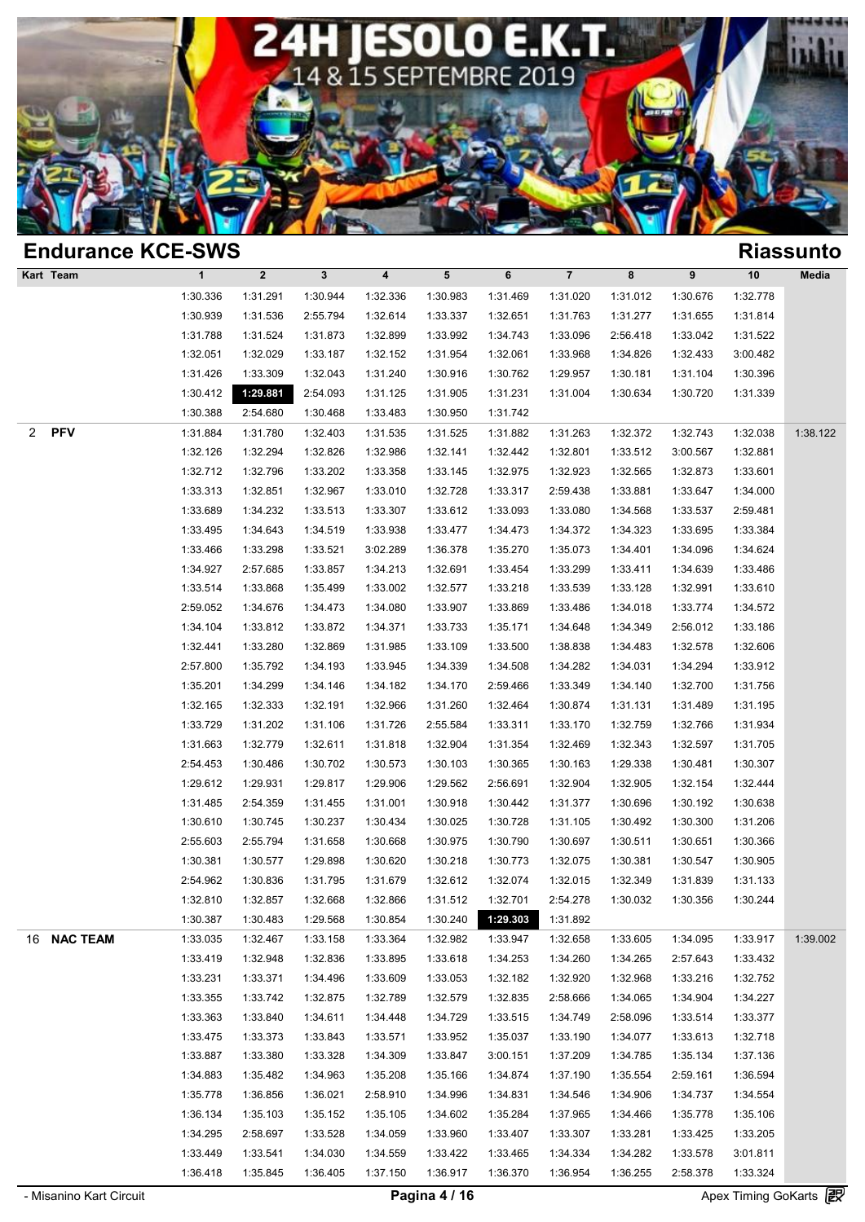

| <b>Endurance KCE-SWS</b>           |              |             |              |                  |          |          |                |          |          |          | <b>Riassunto</b> |
|------------------------------------|--------------|-------------|--------------|------------------|----------|----------|----------------|----------|----------|----------|------------------|
| Kart Team                          | $\mathbf{1}$ | $\mathbf 2$ | $\mathbf{3}$ | $\boldsymbol{4}$ | 5        | 6        | $\overline{7}$ | 8        | 9        | 10       | Media            |
|                                    | 1:30.336     | 1:31.291    | 1:30.944     | 1:32.336         | 1:30.983 | 1:31.469 | 1:31.020       | 1:31.012 | 1:30.676 | 1:32.778 |                  |
|                                    | 1:30.939     | 1:31.536    | 2:55.794     | 1:32.614         | 1:33.337 | 1:32.651 | 1:31.763       | 1:31.277 | 1:31.655 | 1:31.814 |                  |
|                                    | 1:31.788     | 1:31.524    | 1:31.873     | 1:32.899         | 1:33.992 | 1:34.743 | 1:33.096       | 2:56.418 | 1:33.042 | 1:31.522 |                  |
|                                    | 1:32.051     | 1:32.029    | 1:33.187     | 1:32.152         | 1:31.954 | 1:32.061 | 1:33.968       | 1:34.826 | 1:32.433 | 3:00.482 |                  |
|                                    | 1:31.426     | 1:33.309    | 1:32.043     | 1:31.240         | 1:30.916 | 1:30.762 | 1:29.957       | 1:30.181 | 1:31.104 | 1:30.396 |                  |
|                                    | 1:30.412     | 1:29.881    | 2:54.093     | 1:31.125         | 1:31.905 | 1:31.231 | 1:31.004       | 1:30.634 | 1:30.720 | 1:31.339 |                  |
|                                    | 1:30.388     | 2:54.680    | 1:30.468     | 1:33.483         | 1:30.950 | 1:31.742 |                |          |          |          |                  |
| <b>PFV</b><br>$\mathbf{2}^{\circ}$ | 1:31.884     | 1:31.780    | 1:32.403     | 1:31.535         | 1:31.525 | 1:31.882 | 1:31.263       | 1:32.372 | 1:32.743 | 1:32.038 | 1:38.122         |
|                                    | 1:32.126     | 1:32.294    | 1:32.826     | 1:32.986         | 1:32.141 | 1:32.442 | 1:32.801       | 1:33.512 | 3:00.567 | 1:32.881 |                  |
|                                    | 1:32.712     | 1:32.796    | 1:33.202     | 1:33.358         | 1:33.145 | 1:32.975 | 1:32.923       | 1:32.565 | 1:32.873 | 1:33.601 |                  |
|                                    | 1:33.313     | 1:32.851    | 1:32.967     | 1:33.010         | 1:32.728 | 1:33.317 | 2:59.438       | 1:33.881 | 1:33.647 | 1:34.000 |                  |
|                                    | 1:33.689     | 1:34.232    | 1:33.513     | 1:33.307         | 1:33.612 | 1:33.093 | 1:33.080       | 1:34.568 | 1:33.537 | 2:59.481 |                  |
|                                    | 1:33.495     | 1:34.643    | 1:34.519     | 1:33.938         | 1:33.477 | 1:34.473 | 1:34.372       | 1:34.323 | 1:33.695 | 1:33.384 |                  |
|                                    | 1:33.466     | 1:33.298    | 1:33.521     | 3:02.289         | 1:36.378 | 1:35.270 | 1:35.073       | 1:34.401 | 1:34.096 | 1:34.624 |                  |
|                                    | 1:34.927     | 2:57.685    | 1:33.857     | 1:34.213         | 1:32.691 | 1:33.454 | 1:33.299       | 1:33.411 | 1:34.639 | 1:33.486 |                  |
|                                    | 1:33.514     | 1:33.868    | 1:35.499     | 1:33.002         | 1:32.577 | 1:33.218 | 1:33.539       | 1:33.128 | 1:32.991 | 1:33.610 |                  |
|                                    | 2:59.052     | 1:34.676    | 1:34.473     | 1:34.080         | 1:33.907 | 1:33.869 | 1:33.486       | 1:34.018 | 1:33.774 | 1:34.572 |                  |
|                                    | 1:34.104     | 1:33.812    | 1:33.872     | 1:34.371         | 1:33.733 | 1:35.171 | 1:34.648       | 1:34.349 | 2:56.012 | 1:33.186 |                  |
|                                    | 1:32.441     | 1:33.280    | 1:32.869     | 1:31.985         | 1:33.109 | 1:33.500 | 1:38.838       | 1:34.483 | 1:32.578 | 1:32.606 |                  |
|                                    | 2:57.800     | 1:35.792    | 1:34.193     | 1:33.945         | 1:34.339 | 1:34.508 | 1:34.282       | 1:34.031 | 1:34.294 | 1:33.912 |                  |
|                                    | 1:35.201     | 1:34.299    | 1:34.146     | 1:34.182         | 1:34.170 | 2:59.466 | 1:33.349       | 1:34.140 | 1:32.700 | 1:31.756 |                  |
|                                    | 1:32.165     | 1:32.333    | 1:32.191     | 1:32.966         | 1:31.260 | 1:32.464 | 1:30.874       | 1:31.131 | 1:31.489 | 1:31.195 |                  |
|                                    | 1:33.729     | 1:31.202    | 1:31.106     | 1:31.726         | 2:55.584 | 1:33.311 | 1:33.170       | 1:32.759 | 1:32.766 | 1:31.934 |                  |
|                                    | 1:31.663     | 1:32.779    | 1:32.611     | 1:31.818         | 1:32.904 | 1:31.354 | 1:32.469       | 1:32.343 | 1:32.597 | 1:31.705 |                  |
|                                    | 2:54.453     | 1:30.486    | 1:30.702     | 1:30.573         | 1:30.103 | 1:30.365 | 1:30.163       | 1:29.338 | 1:30.481 | 1:30.307 |                  |
|                                    | 1:29.612     | 1:29.931    | 1:29.817     | 1:29.906         | 1:29.562 | 2:56.691 | 1:32.904       | 1:32.905 | 1:32.154 | 1:32.444 |                  |
|                                    | 1:31.485     | 2:54.359    | 1:31.455     | 1:31.001         | 1:30.918 | 1:30.442 | 1:31.377       | 1:30.696 | 1:30.192 | 1:30.638 |                  |
|                                    | 1:30.610     | 1:30.745    | 1:30.237     | 1:30.434         | 1:30.025 | 1:30.728 | 1:31.105       | 1:30.492 | 1:30.300 | 1:31.206 |                  |
|                                    | 2:55.603     | 2:55.794    | 1:31.658     | 1:30.668         | 1:30.975 | 1:30.790 | 1:30.697       | 1:30.511 | 1:30.651 | 1:30.366 |                  |
|                                    | 1:30.381     | 1:30.577    | 1:29.898     | 1:30.620         | 1:30.218 | 1:30.773 | 1:32.075       | 1:30.381 | 1:30.547 | 1:30.905 |                  |
|                                    | 2:54.962     | 1:30.836    | 1:31.795     | 1:31.679         | 1:32.612 | 1:32.074 | 1:32.015       | 1:32.349 | 1:31.839 | 1:31.133 |                  |
|                                    | 1:32.810     | 1:32.857    | 1:32.668     | 1:32.866         | 1:31.512 | 1:32.701 | 2:54.278       | 1:30.032 | 1:30.356 | 1:30.244 |                  |
|                                    | 1:30.387     | 1:30.483    | 1:29.568     | 1:30.854         | 1:30.240 | 1:29.303 | 1:31.892       |          |          |          |                  |
| 16 NAC TEAM                        | 1:33.035     | 1:32.467    | 1:33.158     | 1:33.364         | 1:32.982 | 1:33.947 | 1:32.658       | 1:33.605 | 1:34.095 | 1:33.917 | 1:39.002         |
|                                    | 1:33.419     | 1:32.948    | 1:32.836     | 1:33.895         | 1:33.618 | 1:34.253 | 1:34.260       | 1:34.265 | 2:57.643 | 1:33.432 |                  |
|                                    | 1:33.231     | 1:33.371    | 1:34.496     | 1:33.609         | 1:33.053 | 1:32.182 | 1:32.920       | 1:32.968 | 1:33.216 | 1:32.752 |                  |
|                                    | 1:33.355     | 1:33.742    | 1:32.875     | 1:32.789         | 1:32.579 | 1:32.835 | 2:58.666       | 1:34.065 | 1:34.904 | 1:34.227 |                  |
|                                    | 1:33.363     | 1:33.840    | 1:34.611     | 1:34.448         | 1:34.729 | 1:33.515 | 1:34.749       | 2:58.096 | 1:33.514 | 1:33.377 |                  |
|                                    | 1:33.475     | 1:33.373    | 1:33.843     | 1:33.571         | 1:33.952 | 1:35.037 | 1:33.190       | 1:34.077 | 1:33.613 | 1:32.718 |                  |
|                                    | 1:33.887     | 1:33.380    | 1:33.328     | 1:34.309         | 1:33.847 | 3:00.151 | 1:37.209       | 1:34.785 | 1:35.134 | 1:37.136 |                  |
|                                    | 1:34.883     | 1:35.482    | 1:34.963     | 1:35.208         | 1:35.166 | 1:34.874 | 1:37.190       | 1:35.554 | 2:59.161 | 1:36.594 |                  |
|                                    | 1:35.778     | 1:36.856    | 1:36.021     | 2:58.910         | 1:34.996 | 1:34.831 | 1:34.546       | 1:34.906 | 1:34.737 | 1:34.554 |                  |
|                                    | 1:36.134     | 1:35.103    | 1:35.152     | 1:35.105         | 1:34.602 | 1:35.284 | 1:37.965       | 1:34.466 | 1:35.778 | 1:35.106 |                  |
|                                    | 1:34.295     | 2:58.697    | 1:33.528     | 1:34.059         | 1:33.960 | 1:33.407 | 1:33.307       | 1:33.281 | 1:33.425 | 1:33.205 |                  |
|                                    | 1:33.449     | 1:33.541    | 1:34.030     | 1:34.559         | 1:33.422 | 1:33.465 | 1:34.334       | 1:34.282 | 1:33.578 | 3:01.811 |                  |
|                                    | 1:36.418     | 1:35.845    | 1:36.405     | 1:37.150         | 1:36.917 | 1:36.370 | 1:36.954       | 1:36.255 | 2:58.378 | 1:33.324 |                  |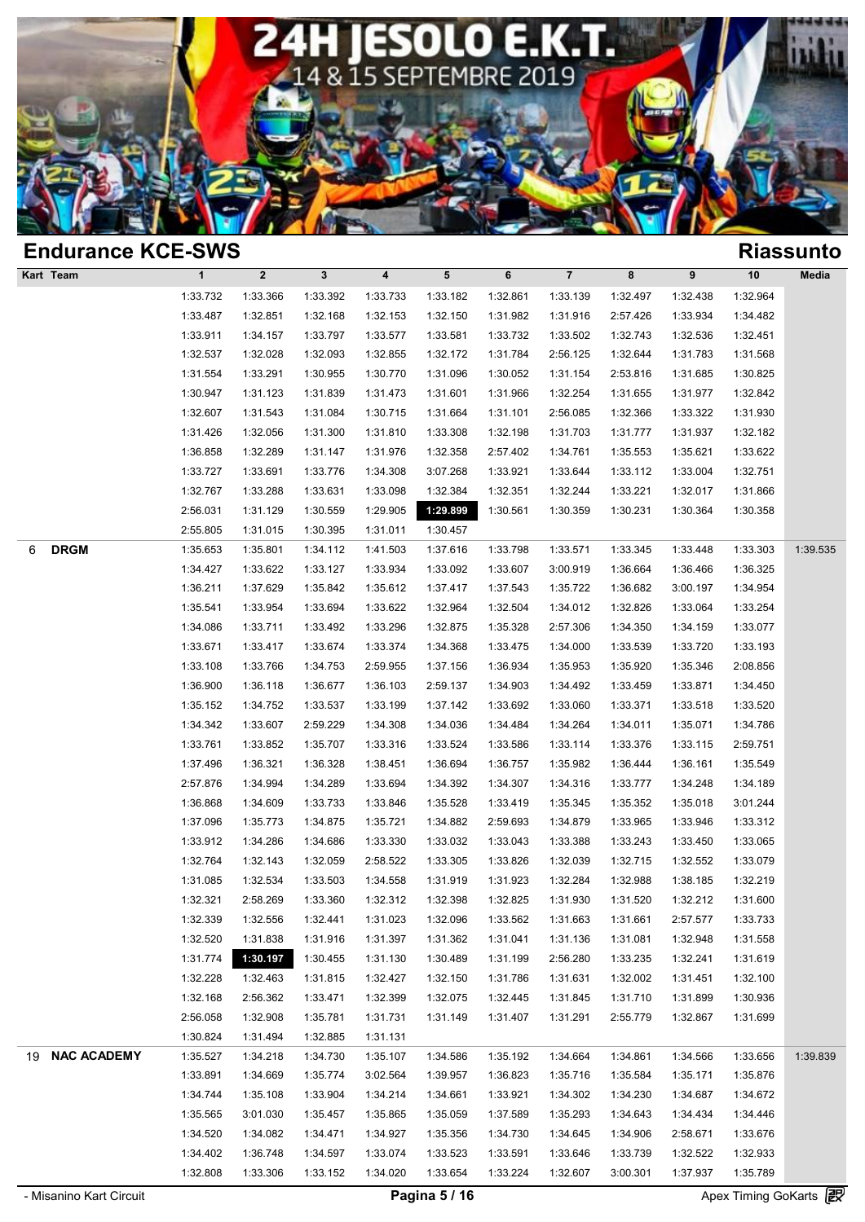

| <b>Endurance KCE-SWS</b> |              |                  |              |          |           |          |                |          |          |          | <b>Riassunto</b> |
|--------------------------|--------------|------------------|--------------|----------|-----------|----------|----------------|----------|----------|----------|------------------|
| Kart Team                | $\mathbf{1}$ | $\boldsymbol{2}$ | $\mathbf{3}$ | 4        | ${\bf 5}$ | 6        | $\overline{7}$ | 8        | 9        | $10$     | Media            |
|                          | 1:33.732     | 1:33.366         | 1:33.392     | 1:33.733 | 1:33.182  | 1:32.861 | 1:33.139       | 1:32.497 | 1:32.438 | 1:32.964 |                  |
|                          | 1:33.487     | 1:32.851         | 1:32.168     | 1:32.153 | 1:32.150  | 1:31.982 | 1:31.916       | 2:57.426 | 1:33.934 | 1:34.482 |                  |
|                          | 1:33.911     | 1:34.157         | 1:33.797     | 1:33.577 | 1:33.581  | 1:33.732 | 1:33.502       | 1:32.743 | 1:32.536 | 1:32.451 |                  |
|                          | 1:32.537     | 1:32.028         | 1:32.093     | 1:32.855 | 1:32.172  | 1:31.784 | 2:56.125       | 1:32.644 | 1:31.783 | 1:31.568 |                  |
|                          | 1:31.554     | 1:33.291         | 1:30.955     | 1:30.770 | 1:31.096  | 1:30.052 | 1:31.154       | 2:53.816 | 1:31.685 | 1:30.825 |                  |
|                          | 1:30.947     | 1:31.123         | 1:31.839     | 1:31.473 | 1:31.601  | 1:31.966 | 1:32.254       | 1:31.655 | 1:31.977 | 1:32.842 |                  |
|                          | 1:32.607     | 1:31.543         | 1:31.084     | 1:30.715 | 1:31.664  | 1:31.101 | 2:56.085       | 1:32.366 | 1:33.322 | 1:31.930 |                  |
|                          | 1:31.426     | 1:32.056         | 1:31.300     | 1:31.810 | 1:33.308  | 1:32.198 | 1:31.703       | 1:31.777 | 1:31.937 | 1:32.182 |                  |
|                          | 1:36.858     | 1:32.289         | 1:31.147     | 1:31.976 | 1:32.358  | 2:57.402 | 1:34.761       | 1:35.553 | 1:35.621 | 1:33.622 |                  |
|                          | 1:33.727     | 1:33.691         | 1:33.776     | 1:34.308 | 3:07.268  | 1:33.921 | 1:33.644       | 1:33.112 | 1:33.004 | 1:32.751 |                  |
|                          | 1:32.767     | 1:33.288         | 1:33.631     | 1:33.098 | 1:32.384  | 1:32.351 | 1:32.244       | 1:33.221 | 1:32.017 | 1:31.866 |                  |
|                          | 2:56.031     | 1:31.129         | 1:30.559     | 1:29.905 | 1:29.899  | 1:30.561 | 1:30.359       | 1:30.231 | 1:30.364 | 1:30.358 |                  |
|                          | 2:55.805     | 1:31.015         | 1:30.395     | 1:31.011 | 1:30.457  |          |                |          |          |          |                  |
| <b>DRGM</b><br>6         | 1:35.653     | 1:35.801         | 1:34.112     | 1:41.503 | 1:37.616  | 1:33.798 | 1:33.571       | 1:33.345 | 1:33.448 | 1:33.303 | 1:39.535         |
|                          | 1:34.427     | 1:33.622         | 1:33.127     | 1:33.934 | 1:33.092  | 1:33.607 | 3:00.919       | 1:36.664 | 1:36.466 | 1:36.325 |                  |
|                          | 1:36.211     | 1:37.629         | 1:35.842     | 1:35.612 | 1:37.417  | 1:37.543 | 1:35.722       | 1:36.682 | 3:00.197 | 1:34.954 |                  |
|                          | 1:35.541     | 1:33.954         | 1:33.694     | 1:33.622 | 1:32.964  | 1:32.504 | 1:34.012       | 1:32.826 | 1:33.064 | 1:33.254 |                  |
|                          | 1:34.086     | 1:33.711         | 1:33.492     | 1:33.296 | 1:32.875  | 1:35.328 | 2:57.306       | 1:34.350 | 1:34.159 | 1:33.077 |                  |
|                          | 1:33.671     | 1:33.417         | 1:33.674     | 1:33.374 | 1:34.368  | 1:33.475 | 1:34.000       | 1:33.539 | 1:33.720 | 1:33.193 |                  |
|                          | 1:33.108     | 1:33.766         | 1:34.753     | 2:59.955 | 1:37.156  | 1:36.934 | 1:35.953       | 1:35.920 | 1:35.346 | 2:08.856 |                  |
|                          | 1:36.900     | 1:36.118         | 1:36.677     | 1:36.103 | 2:59.137  | 1:34.903 | 1:34.492       | 1:33.459 | 1:33.871 | 1:34.450 |                  |
|                          | 1:35.152     | 1:34.752         | 1:33.537     | 1:33.199 | 1:37.142  | 1:33.692 | 1:33.060       | 1:33.371 | 1:33.518 | 1:33.520 |                  |
|                          | 1:34.342     | 1:33.607         | 2:59.229     | 1:34.308 | 1:34.036  | 1:34.484 | 1:34.264       | 1:34.011 | 1:35.071 | 1:34.786 |                  |
|                          | 1:33.761     | 1:33.852         | 1:35.707     | 1:33.316 | 1:33.524  | 1:33.586 | 1:33.114       | 1:33.376 | 1:33.115 | 2:59.751 |                  |
|                          | 1:37.496     | 1:36.321         | 1:36.328     | 1:38.451 | 1:36.694  | 1:36.757 | 1:35.982       | 1:36.444 | 1:36.161 | 1:35.549 |                  |
|                          | 2:57.876     | 1:34.994         | 1:34.289     | 1:33.694 | 1:34.392  | 1:34.307 | 1:34.316       | 1:33.777 | 1:34.248 | 1:34.189 |                  |
|                          | 1:36.868     | 1:34.609         | 1:33.733     | 1:33.846 | 1:35.528  | 1:33.419 | 1:35.345       | 1:35.352 | 1:35.018 | 3:01.244 |                  |
|                          | 1:37.096     | 1:35.773         | 1:34.875     | 1:35.721 | 1:34.882  | 2:59.693 | 1:34.879       | 1:33.965 | 1:33.946 | 1:33.312 |                  |
|                          | 1:33.912     | 1:34.286         | 1:34.686     | 1:33.330 | 1:33.032  | 1:33.043 | 1:33.388       | 1:33.243 | 1:33.450 | 1:33.065 |                  |
|                          | 1:32.764     | 1:32.143         | 1:32.059     | 2:58.522 | 1:33.305  | 1:33.826 | 1:32.039       | 1:32.715 | 1:32.552 | 1:33.079 |                  |
|                          | 1:31.085     | 1:32.534         | 1:33.503     | 1:34.558 | 1:31.919  | 1:31.923 | 1:32.284       | 1:32.988 | 1:38.185 | 1:32.219 |                  |
|                          | 1:32.321     | 2:58.269         | 1:33.360     | 1:32.312 | 1:32.398  | 1:32.825 | 1:31.930       | 1:31.520 | 1:32.212 | 1:31.600 |                  |
|                          | 1:32.339     | 1:32.556         | 1:32.441     | 1:31.023 | 1:32.096  | 1:33.562 | 1:31.663       | 1:31.661 | 2:57.577 | 1:33.733 |                  |
|                          | 1:32.520     | 1:31.838         | 1:31.916     | 1:31.397 | 1:31.362  | 1:31.041 | 1:31.136       | 1:31.081 | 1:32.948 | 1:31.558 |                  |
|                          | 1:31.774     | 1:30.197         | 1:30.455     | 1:31.130 | 1:30.489  | 1:31.199 | 2:56.280       | 1:33.235 | 1:32.241 | 1:31.619 |                  |
|                          | 1:32.228     | 1:32.463         | 1:31.815     | 1:32.427 | 1:32.150  | 1:31.786 | 1:31.631       | 1:32.002 | 1:31.451 | 1:32.100 |                  |
|                          | 1:32.168     | 2:56.362         | 1:33.471     | 1:32.399 | 1:32.075  | 1:32.445 | 1:31.845       | 1:31.710 | 1:31.899 | 1:30.936 |                  |
|                          | 2:56.058     | 1:32.908         | 1:35.781     | 1:31.731 | 1:31.149  | 1:31.407 | 1:31.291       | 2:55.779 | 1:32.867 | 1:31.699 |                  |
|                          | 1:30.824     | 1:31.494         | 1:32.885     | 1:31.131 |           |          |                |          |          |          |                  |
| 19 NAC ACADEMY           | 1:35.527     | 1:34.218         | 1:34.730     | 1:35.107 | 1:34.586  | 1:35.192 | 1:34.664       | 1:34.861 | 1:34.566 | 1:33.656 | 1:39.839         |
|                          | 1:33.891     | 1:34.669         | 1:35.774     | 3:02.564 | 1:39.957  | 1:36.823 | 1:35.716       | 1:35.584 | 1:35.171 | 1:35.876 |                  |
|                          | 1:34.744     | 1:35.108         | 1:33.904     | 1:34.214 | 1:34.661  | 1:33.921 | 1:34.302       | 1:34.230 | 1:34.687 | 1:34.672 |                  |
|                          | 1:35.565     | 3:01.030         | 1:35.457     | 1:35.865 | 1:35.059  | 1:37.589 | 1:35.293       | 1:34.643 | 1:34.434 | 1:34.446 |                  |
|                          | 1:34.520     |                  |              |          |           |          | 1:34.645       |          |          |          |                  |
|                          |              | 1:34.082         | 1:34.471     | 1:34.927 | 1:35.356  | 1:34.730 |                | 1:34.906 | 2:58.671 | 1:33.676 |                  |
|                          | 1:34.402     | 1:36.748         | 1:34.597     | 1:33.074 | 1:33.523  | 1:33.591 | 1:33.646       | 1:33.739 | 1:32.522 | 1:32.933 |                  |
|                          | 1:32.808     | 1:33.306         | 1:33.152     | 1:34.020 | 1:33.654  | 1:33.224 | 1:32.607       | 3:00.301 | 1:37.937 | 1:35.789 | Go.              |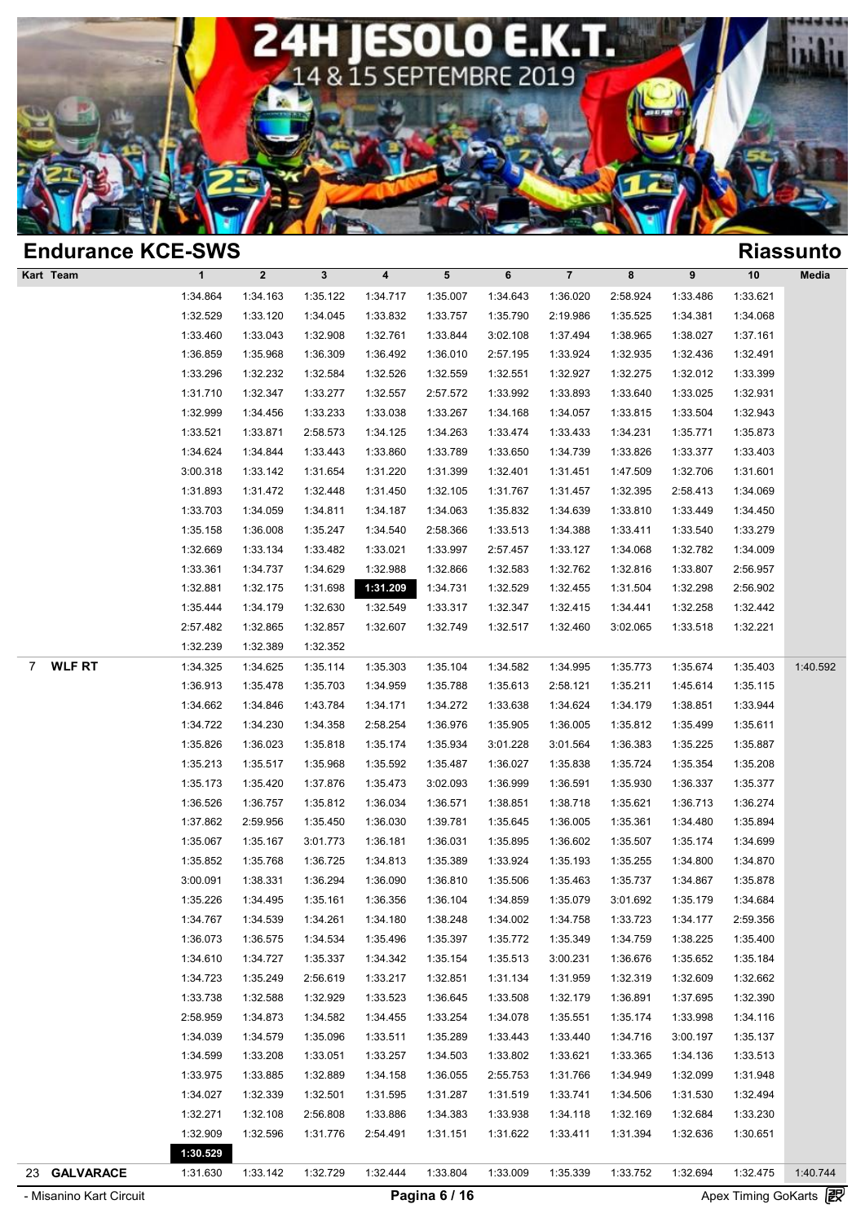

|              |                                                                                                                      |                                                                                                                          |                                                                                                                                  |                                                                                                                      |                                                                                                          |                                                                                                                                  |                                                                                                                                  |                                                                                              |                                                                                                                      | <b>Riassunto</b>                                                                                                     |
|--------------|----------------------------------------------------------------------------------------------------------------------|--------------------------------------------------------------------------------------------------------------------------|----------------------------------------------------------------------------------------------------------------------------------|----------------------------------------------------------------------------------------------------------------------|----------------------------------------------------------------------------------------------------------|----------------------------------------------------------------------------------------------------------------------------------|----------------------------------------------------------------------------------------------------------------------------------|----------------------------------------------------------------------------------------------|----------------------------------------------------------------------------------------------------------------------|----------------------------------------------------------------------------------------------------------------------|
| $\mathbf{1}$ | $\mathbf 2$                                                                                                          | $\mathbf{3}$                                                                                                             | $\overline{\mathbf{4}}$                                                                                                          | 5                                                                                                                    | 6                                                                                                        | $\overline{\mathbf{7}}$                                                                                                          | 8                                                                                                                                | 9                                                                                            | 10                                                                                                                   | Media                                                                                                                |
| 1:34.864     | 1:34.163                                                                                                             | 1:35.122                                                                                                                 | 1:34.717                                                                                                                         | 1:35.007                                                                                                             | 1:34.643                                                                                                 | 1:36.020                                                                                                                         | 2:58.924                                                                                                                         | 1:33.486                                                                                     | 1:33.621                                                                                                             |                                                                                                                      |
| 1:32.529     | 1:33.120                                                                                                             | 1:34.045                                                                                                                 | 1:33.832                                                                                                                         | 1:33.757                                                                                                             | 1:35.790                                                                                                 | 2:19.986                                                                                                                         | 1:35.525                                                                                                                         | 1:34.381                                                                                     | 1:34.068                                                                                                             |                                                                                                                      |
| 1:33.460     | 1:33.043                                                                                                             | 1:32.908                                                                                                                 | 1:32.761                                                                                                                         | 1:33.844                                                                                                             | 3:02.108                                                                                                 | 1:37.494                                                                                                                         | 1:38.965                                                                                                                         | 1:38.027                                                                                     | 1:37.161                                                                                                             |                                                                                                                      |
| 1:36.859     | 1:35.968                                                                                                             | 1:36.309                                                                                                                 | 1:36.492                                                                                                                         | 1:36.010                                                                                                             | 2:57.195                                                                                                 | 1:33.924                                                                                                                         | 1:32.935                                                                                                                         | 1:32.436                                                                                     | 1:32.491                                                                                                             |                                                                                                                      |
| 1:33.296     | 1:32.232                                                                                                             | 1:32.584                                                                                                                 | 1:32.526                                                                                                                         | 1:32.559                                                                                                             | 1:32.551                                                                                                 | 1:32.927                                                                                                                         | 1:32.275                                                                                                                         | 1:32.012                                                                                     | 1:33.399                                                                                                             |                                                                                                                      |
| 1:31.710     | 1:32.347                                                                                                             | 1:33.277                                                                                                                 | 1:32.557                                                                                                                         | 2:57.572                                                                                                             | 1:33.992                                                                                                 | 1:33.893                                                                                                                         | 1:33.640                                                                                                                         | 1:33.025                                                                                     | 1:32.931                                                                                                             |                                                                                                                      |
| 1:32.999     | 1:34.456                                                                                                             | 1:33.233                                                                                                                 | 1:33.038                                                                                                                         | 1:33.267                                                                                                             | 1:34.168                                                                                                 | 1:34.057                                                                                                                         | 1:33.815                                                                                                                         | 1:33.504                                                                                     | 1:32.943                                                                                                             |                                                                                                                      |
| 1:33.521     | 1:33.871                                                                                                             | 2:58.573                                                                                                                 | 1:34.125                                                                                                                         | 1:34.263                                                                                                             | 1:33.474                                                                                                 | 1:33.433                                                                                                                         | 1:34.231                                                                                                                         | 1:35.771                                                                                     | 1:35.873                                                                                                             |                                                                                                                      |
| 1:34.624     | 1:34.844                                                                                                             | 1:33.443                                                                                                                 | 1:33.860                                                                                                                         | 1:33.789                                                                                                             | 1:33.650                                                                                                 | 1:34.739                                                                                                                         | 1:33.826                                                                                                                         | 1:33.377                                                                                     | 1:33.403                                                                                                             |                                                                                                                      |
| 3:00.318     | 1:33.142                                                                                                             | 1:31.654                                                                                                                 | 1:31.220                                                                                                                         | 1:31.399                                                                                                             | 1:32.401                                                                                                 | 1:31.451                                                                                                                         | 1:47.509                                                                                                                         | 1:32.706                                                                                     | 1:31.601                                                                                                             |                                                                                                                      |
| 1:31.893     | 1:31.472                                                                                                             | 1:32.448                                                                                                                 | 1:31.450                                                                                                                         | 1:32.105                                                                                                             | 1:31.767                                                                                                 | 1:31.457                                                                                                                         | 1:32.395                                                                                                                         | 2:58.413                                                                                     | 1:34.069                                                                                                             |                                                                                                                      |
| 1:33.703     | 1:34.059                                                                                                             | 1:34.811                                                                                                                 | 1:34.187                                                                                                                         | 1:34.063                                                                                                             | 1:35.832                                                                                                 | 1:34.639                                                                                                                         | 1:33.810                                                                                                                         | 1:33.449                                                                                     | 1:34.450                                                                                                             |                                                                                                                      |
| 1:35.158     | 1:36.008                                                                                                             | 1:35.247                                                                                                                 | 1:34.540                                                                                                                         | 2:58.366                                                                                                             | 1:33.513                                                                                                 | 1:34.388                                                                                                                         | 1:33.411                                                                                                                         | 1:33.540                                                                                     | 1:33.279                                                                                                             |                                                                                                                      |
| 1:32.669     | 1:33.134                                                                                                             | 1:33.482                                                                                                                 | 1:33.021                                                                                                                         | 1:33.997                                                                                                             | 2:57.457                                                                                                 | 1:33.127                                                                                                                         | 1:34.068                                                                                                                         | 1:32.782                                                                                     | 1:34.009                                                                                                             |                                                                                                                      |
| 1:33.361     | 1:34.737                                                                                                             | 1:34.629                                                                                                                 | 1:32.988                                                                                                                         | 1:32.866                                                                                                             | 1:32.583                                                                                                 | 1:32.762                                                                                                                         | 1:32.816                                                                                                                         | 1:33.807                                                                                     | 2:56.957                                                                                                             |                                                                                                                      |
| 1:32.881     | 1:32.175                                                                                                             | 1:31.698                                                                                                                 | 1:31.209                                                                                                                         | 1:34.731                                                                                                             | 1:32.529                                                                                                 | 1:32.455                                                                                                                         | 1:31.504                                                                                                                         | 1:32.298                                                                                     | 2:56.902                                                                                                             |                                                                                                                      |
| 1:35.444     | 1:34.179                                                                                                             | 1:32.630                                                                                                                 | 1:32.549                                                                                                                         | 1:33.317                                                                                                             | 1:32.347                                                                                                 | 1:32.415                                                                                                                         | 1:34.441                                                                                                                         | 1:32.258                                                                                     | 1:32.442                                                                                                             |                                                                                                                      |
| 2:57.482     | 1:32.865                                                                                                             | 1:32.857                                                                                                                 | 1:32.607                                                                                                                         | 1:32.749                                                                                                             | 1:32.517                                                                                                 | 1:32.460                                                                                                                         | 3:02.065                                                                                                                         | 1:33.518                                                                                     | 1:32.221                                                                                                             |                                                                                                                      |
| 1:32.239     | 1:32.389                                                                                                             | 1:32.352                                                                                                                 |                                                                                                                                  |                                                                                                                      |                                                                                                          |                                                                                                                                  |                                                                                                                                  |                                                                                              |                                                                                                                      |                                                                                                                      |
| 1:34.325     | 1:34.625                                                                                                             | 1:35.114                                                                                                                 | 1:35.303                                                                                                                         | 1:35.104                                                                                                             | 1:34.582                                                                                                 | 1:34.995                                                                                                                         | 1:35.773                                                                                                                         | 1:35.674                                                                                     | 1:35.403                                                                                                             | 1:40.592                                                                                                             |
| 1:36.913     | 1:35.478                                                                                                             | 1:35.703                                                                                                                 | 1:34.959                                                                                                                         | 1:35.788                                                                                                             | 1:35.613                                                                                                 | 2:58.121                                                                                                                         | 1:35.211                                                                                                                         | 1:45.614                                                                                     | 1:35.115                                                                                                             |                                                                                                                      |
| 1:34.662     | 1:34.846                                                                                                             | 1:43.784                                                                                                                 | 1:34.171                                                                                                                         | 1:34.272                                                                                                             | 1:33.638                                                                                                 | 1:34.624                                                                                                                         | 1:34.179                                                                                                                         | 1:38.851                                                                                     | 1:33.944                                                                                                             |                                                                                                                      |
| 1:34.722     | 1:34.230                                                                                                             | 1:34.358                                                                                                                 | 2:58.254                                                                                                                         | 1:36.976                                                                                                             | 1:35.905                                                                                                 | 1:36.005                                                                                                                         | 1:35.812                                                                                                                         | 1:35.499                                                                                     | 1:35.611                                                                                                             |                                                                                                                      |
| 1:35.826     | 1:36.023                                                                                                             | 1:35.818                                                                                                                 | 1:35.174                                                                                                                         | 1:35.934                                                                                                             | 3:01.228                                                                                                 | 3:01.564                                                                                                                         | 1:36.383                                                                                                                         | 1:35.225                                                                                     | 1:35.887                                                                                                             |                                                                                                                      |
| 1:35.213     | 1:35.517                                                                                                             | 1:35.968                                                                                                                 | 1:35.592                                                                                                                         | 1:35.487                                                                                                             | 1:36.027                                                                                                 | 1:35.838                                                                                                                         | 1:35.724                                                                                                                         | 1:35.354                                                                                     | 1:35.208                                                                                                             |                                                                                                                      |
| 1:35.173     | 1:35.420                                                                                                             | 1:37.876                                                                                                                 | 1:35.473                                                                                                                         | 3:02.093                                                                                                             | 1:36.999                                                                                                 | 1:36.591                                                                                                                         | 1:35.930                                                                                                                         | 1:36.337                                                                                     | 1:35.377                                                                                                             |                                                                                                                      |
| 1:36.526     | 1:36.757                                                                                                             | 1:35.812                                                                                                                 | 1:36.034                                                                                                                         | 1:36.571                                                                                                             | 1:38.851                                                                                                 | 1:38.718                                                                                                                         | 1:35.621                                                                                                                         | 1:36.713                                                                                     | 1:36.274                                                                                                             |                                                                                                                      |
| 1:37.862     | 2:59.956                                                                                                             | 1:35.450                                                                                                                 | 1:36.030                                                                                                                         | 1:39.781                                                                                                             | 1:35.645                                                                                                 | 1:36.005                                                                                                                         | 1:35.361                                                                                                                         | 1:34.480                                                                                     | 1:35.894                                                                                                             |                                                                                                                      |
| 1:35.067     | 1:35.167                                                                                                             | 3:01.773                                                                                                                 | 1:36.181                                                                                                                         | 1:36.031                                                                                                             | 1:35.895                                                                                                 | 1:36.602                                                                                                                         | 1:35.507                                                                                                                         | 1:35.174                                                                                     | 1:34.699                                                                                                             |                                                                                                                      |
| 1:35.852     | 1:35.768                                                                                                             | 1:36.725                                                                                                                 | 1:34.813                                                                                                                         | 1:35.389                                                                                                             | 1:33.924                                                                                                 | 1:35.193                                                                                                                         | 1:35.255                                                                                                                         | 1:34.800                                                                                     | 1:34.870                                                                                                             |                                                                                                                      |
| 3:00.091     | 1:38.331                                                                                                             | 1:36.294                                                                                                                 | 1:36.090                                                                                                                         | 1:36.810                                                                                                             | 1:35.506                                                                                                 | 1:35.463                                                                                                                         | 1:35.737                                                                                                                         | 1:34.867                                                                                     | 1:35.878                                                                                                             |                                                                                                                      |
|              |                                                                                                                      |                                                                                                                          |                                                                                                                                  |                                                                                                                      |                                                                                                          |                                                                                                                                  |                                                                                                                                  |                                                                                              |                                                                                                                      |                                                                                                                      |
| 1:34.767     | 1:34.539                                                                                                             | 1:34.261                                                                                                                 | 1:34.180                                                                                                                         | 1:38.248                                                                                                             | 1:34.002                                                                                                 | 1:34.758                                                                                                                         | 1:33.723                                                                                                                         | 1:34.177                                                                                     | 2:59.356                                                                                                             |                                                                                                                      |
| 1:36.073     | 1:36.575                                                                                                             |                                                                                                                          | 1:35.496                                                                                                                         | 1:35.397                                                                                                             | 1:35.772                                                                                                 |                                                                                                                                  | 1:34.759                                                                                                                         | 1:38.225                                                                                     | 1:35.400                                                                                                             |                                                                                                                      |
|              | 1:34.727                                                                                                             |                                                                                                                          |                                                                                                                                  |                                                                                                                      |                                                                                                          |                                                                                                                                  |                                                                                                                                  |                                                                                              |                                                                                                                      |                                                                                                                      |
| 1:34.723     | 1:35.249                                                                                                             |                                                                                                                          |                                                                                                                                  | 1:32.851                                                                                                             |                                                                                                          |                                                                                                                                  | 1:32.319                                                                                                                         |                                                                                              |                                                                                                                      |                                                                                                                      |
|              |                                                                                                                      |                                                                                                                          |                                                                                                                                  |                                                                                                                      |                                                                                                          |                                                                                                                                  | 1:36.891                                                                                                                         |                                                                                              |                                                                                                                      |                                                                                                                      |
|              |                                                                                                                      |                                                                                                                          |                                                                                                                                  |                                                                                                                      |                                                                                                          |                                                                                                                                  |                                                                                                                                  |                                                                                              |                                                                                                                      |                                                                                                                      |
|              | 1:34.579                                                                                                             | 1:35.096                                                                                                                 | 1:33.511                                                                                                                         | 1:35.289                                                                                                             |                                                                                                          | 1:33.440                                                                                                                         | 1:34.716                                                                                                                         | 3:00.197                                                                                     | 1:35.137                                                                                                             |                                                                                                                      |
|              |                                                                                                                      |                                                                                                                          |                                                                                                                                  |                                                                                                                      |                                                                                                          |                                                                                                                                  |                                                                                                                                  |                                                                                              |                                                                                                                      |                                                                                                                      |
|              |                                                                                                                      |                                                                                                                          |                                                                                                                                  |                                                                                                                      |                                                                                                          |                                                                                                                                  |                                                                                                                                  |                                                                                              |                                                                                                                      |                                                                                                                      |
|              |                                                                                                                      |                                                                                                                          |                                                                                                                                  |                                                                                                                      |                                                                                                          |                                                                                                                                  |                                                                                                                                  |                                                                                              |                                                                                                                      |                                                                                                                      |
|              |                                                                                                                      |                                                                                                                          |                                                                                                                                  |                                                                                                                      |                                                                                                          |                                                                                                                                  |                                                                                                                                  |                                                                                              |                                                                                                                      |                                                                                                                      |
|              |                                                                                                                      |                                                                                                                          |                                                                                                                                  |                                                                                                                      |                                                                                                          |                                                                                                                                  |                                                                                                                                  |                                                                                              |                                                                                                                      |                                                                                                                      |
| 1:30.529     |                                                                                                                      |                                                                                                                          |                                                                                                                                  |                                                                                                                      |                                                                                                          |                                                                                                                                  |                                                                                                                                  |                                                                                              |                                                                                                                      |                                                                                                                      |
| 1:31.630     | 1:33.142                                                                                                             | 1:32.729                                                                                                                 | 1:32.444                                                                                                                         | 1:33.804                                                                                                             | 1:33.009                                                                                                 | 1:35.339                                                                                                                         | 1:33.752                                                                                                                         | 1:32.694                                                                                     | 1:32.475                                                                                                             | 1:40.744                                                                                                             |
|              | 1:35.226<br>1:34.610<br>1:33.738<br>2:58.959<br>1:34.039<br>1:34.599<br>1:33.975<br>1:34.027<br>1:32.271<br>1:32.909 | <b>Endurance KCE-SWS</b><br>1:34.495<br>1:32.588<br>1:34.873<br>1:33.208<br>1:33.885<br>1:32.339<br>1:32.108<br>1:32.596 | 1:35.161<br>1:34.534<br>1:35.337<br>2:56.619<br>1:32.929<br>1:34.582<br>1:33.051<br>1:32.889<br>1:32.501<br>2:56.808<br>1:31.776 | 1:36.356<br>1:34.342<br>1:33.217<br>1:33.523<br>1:34.455<br>1:33.257<br>1:34.158<br>1:31.595<br>1:33.886<br>2:54.491 | 1:36.104<br>1:35.154<br>1:36.645<br>1:33.254<br>1:34.503<br>1:36.055<br>1:31.287<br>1:34.383<br>1:31.151 | 1:34.859<br>1:35.513<br>1:31.134<br>1:33.508<br>1:34.078<br>1:33.443<br>1:33.802<br>2:55.753<br>1:31.519<br>1:33.938<br>1:31.622 | 1:35.079<br>1:35.349<br>3:00.231<br>1:31.959<br>1:32.179<br>1:35.551<br>1:33.621<br>1:31.766<br>1:33.741<br>1:34.118<br>1:33.411 | 3:01.692<br>1:36.676<br>1:35.174<br>1:33.365<br>1:34.949<br>1:34.506<br>1:32.169<br>1:31.394 | 1:35.179<br>1:35.652<br>1:32.609<br>1:37.695<br>1:33.998<br>1:34.136<br>1:32.099<br>1:31.530<br>1:32.684<br>1:32.636 | 1:34.684<br>1:35.184<br>1:32.662<br>1:32.390<br>1:34.116<br>1:33.513<br>1:31.948<br>1:32.494<br>1:33.230<br>1:30.651 |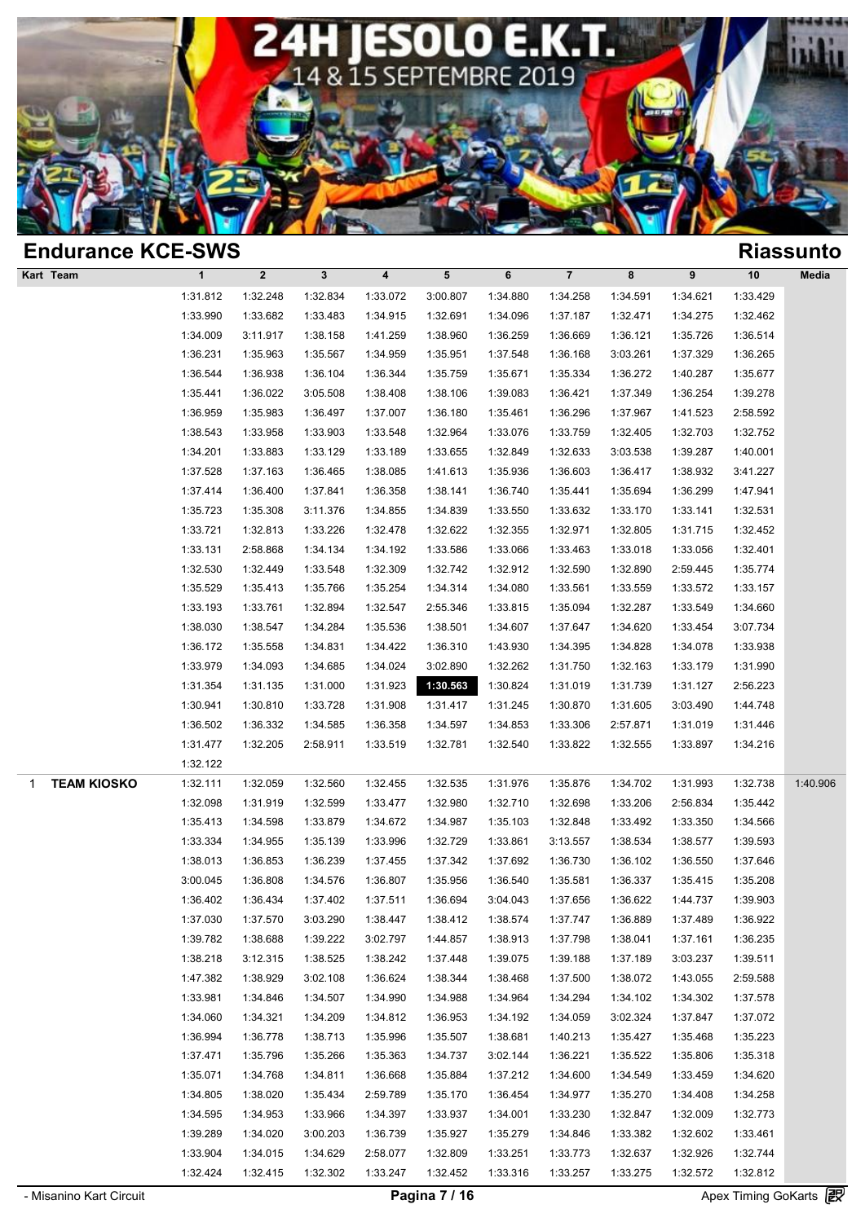

| <b>Endurance KCE-SWS</b> |                      |                      |                      |                      |          |          |                      |                      |                      |                      | <b>Riassunto</b> |
|--------------------------|----------------------|----------------------|----------------------|----------------------|----------|----------|----------------------|----------------------|----------------------|----------------------|------------------|
| Kart Team                | $\mathbf{1}$         | $\boldsymbol{2}$     | $\mathbf{3}$         | 4                    | 5        | 6        | $\overline{7}$       | 8                    | 9                    | 10                   | Media            |
|                          | 1:31.812             | 1:32.248             | 1:32.834             | 1:33.072             | 3:00.807 | 1:34.880 | 1:34.258             | 1:34.591             | 1:34.621             | 1:33.429             |                  |
|                          | 1:33.990             | 1:33.682             | 1:33.483             | 1:34.915             | 1:32.691 | 1:34.096 | 1:37.187             | 1:32.471             | 1:34.275             | 1:32.462             |                  |
|                          | 1:34.009             | 3:11.917             | 1:38.158             | 1:41.259             | 1:38.960 | 1:36.259 | 1:36.669             | 1:36.121             | 1:35.726             | 1:36.514             |                  |
|                          | 1:36.231             | 1:35.963             | 1:35.567             | 1:34.959             | 1:35.951 | 1:37.548 | 1:36.168             | 3:03.261             | 1:37.329             | 1:36.265             |                  |
|                          | 1:36.544             | 1:36.938             | 1:36.104             | 1:36.344             | 1:35.759 | 1:35.671 | 1:35.334             | 1:36.272             | 1:40.287             | 1:35.677             |                  |
|                          | 1:35.441             | 1:36.022             | 3:05.508             | 1:38.408             | 1:38.106 | 1:39.083 | 1:36.421             | 1:37.349             | 1:36.254             | 1:39.278             |                  |
|                          | 1:36.959             | 1:35.983             | 1:36.497             | 1:37.007             | 1:36.180 | 1:35.461 | 1:36.296             | 1:37.967             | 1:41.523             | 2:58.592             |                  |
|                          | 1:38.543             | 1:33.958             | 1:33.903             | 1:33.548             | 1:32.964 | 1:33.076 | 1:33.759             | 1:32.405             | 1:32.703             | 1:32.752             |                  |
|                          | 1:34.201             | 1:33.883             | 1:33.129             | 1:33.189             | 1:33.655 | 1:32.849 | 1:32.633             | 3:03.538             | 1:39.287             | 1:40.001             |                  |
|                          | 1:37.528             | 1:37.163             | 1:36.465             | 1:38.085             | 1:41.613 | 1:35.936 | 1:36.603             | 1:36.417             | 1:38.932             | 3:41.227             |                  |
|                          | 1:37.414             | 1:36.400             | 1:37.841             | 1:36.358             | 1:38.141 | 1:36.740 | 1:35.441             | 1:35.694             | 1:36.299             | 1:47.941             |                  |
|                          | 1:35.723             | 1:35.308             | 3:11.376             | 1:34.855             | 1:34.839 | 1:33.550 | 1:33.632             | 1:33.170             | 1:33.141             | 1:32.531             |                  |
|                          | 1:33.721             | 1:32.813             | 1:33.226             | 1:32.478             | 1:32.622 | 1:32.355 | 1:32.971             | 1:32.805             | 1:31.715             | 1:32.452             |                  |
|                          | 1:33.131             | 2:58.868             | 1:34.134             | 1:34.192             | 1:33.586 | 1:33.066 | 1:33.463             | 1:33.018             | 1:33.056             | 1:32.401             |                  |
|                          | 1:32.530             | 1:32.449             | 1:33.548             | 1:32.309             | 1:32.742 | 1:32.912 | 1:32.590             | 1:32.890             | 2:59.445             | 1:35.774             |                  |
|                          | 1:35.529             | 1:35.413             | 1:35.766             | 1:35.254             | 1:34.314 | 1:34.080 | 1:33.561             | 1:33.559             | 1:33.572             | 1:33.157             |                  |
|                          | 1:33.193             | 1:33.761             | 1:32.894             | 1:32.547             | 2:55.346 | 1:33.815 | 1:35.094             | 1:32.287             | 1:33.549             | 1:34.660             |                  |
|                          | 1:38.030             | 1:38.547             | 1:34.284             | 1:35.536             | 1:38.501 | 1:34.607 | 1:37.647             | 1:34.620             | 1:33.454             | 3:07.734             |                  |
|                          | 1:36.172             | 1:35.558             | 1:34.831             | 1:34.422             | 1:36.310 | 1:43.930 | 1:34.395             | 1:34.828             | 1:34.078             | 1:33.938             |                  |
|                          | 1:33.979             | 1:34.093             | 1:34.685             | 1:34.024             | 3:02.890 | 1:32.262 | 1:31.750             | 1:32.163             | 1:33.179             | 1:31.990             |                  |
|                          | 1:31.354             | 1:31.135             | 1:31.000             | 1:31.923             | 1:30.563 | 1:30.824 | 1:31.019             | 1:31.739             | 1:31.127             | 2:56.223             |                  |
|                          | 1:30.941             | 1:30.810             | 1:33.728             | 1:31.908             | 1:31.417 | 1:31.245 | 1:30.870             | 1:31.605             | 3:03.490             | 1:44.748             |                  |
|                          | 1:36.502             | 1:36.332             | 1:34.585             | 1:36.358             | 1:34.597 | 1:34.853 | 1:33.306             | 2:57.871             | 1:31.019             | 1:31.446             |                  |
|                          | 1:31.477             | 1:32.205             | 2:58.911             | 1:33.519             | 1:32.781 | 1:32.540 | 1:33.822             | 1:32.555             | 1:33.897             | 1:34.216             |                  |
|                          | 1:32.122             |                      |                      |                      |          |          |                      |                      |                      |                      |                  |
| <b>TEAM KIOSKO</b><br>1  | 1:32.111             | 1:32.059             | 1:32.560             | 1:32.455             | 1:32.535 | 1:31.976 | 1:35.876             | 1:34.702             | 1:31.993             | 1:32.738             | 1:40.906         |
|                          | 1:32.098             | 1:31.919             | 1:32.599             | 1:33.477             | 1:32.980 | 1:32.710 | 1:32.698             | 1:33.206             | 2:56.834             | 1:35.442             |                  |
|                          | 1:35.413             | 1:34.598             | 1:33.879             | 1:34.672             | 1:34.987 | 1:35.103 | 1:32.848             | 1:33.492             | 1:33.350             | 1:34.566             |                  |
|                          | 1:33.334             | 1:34.955             | 1:35.139             | 1:33.996             | 1:32.729 | 1:33.861 | 3:13.557             | 1:38.534             | 1:38.577             | 1:39.593             |                  |
|                          | 1:38.013             | 1:36.853             | 1:36.239             | 1:37.455             | 1:37.342 | 1:37.692 | 1:36.730             | 1:36.102             | 1:36.550             | 1:37.646             |                  |
|                          | 3:00.045             | 1:36.808             | 1:34.576             | 1:36.807             | 1:35.956 | 1:36.540 | 1:35.581             | 1:36.337             | 1:35.415             | 1:35.208             |                  |
|                          | 1:36.402             | 1:36.434             | 1:37.402             | 1:37.511             | 1:36.694 | 3:04.043 | 1:37.656             | 1:36.622             | 1:44.737             | 1:39.903             |                  |
|                          | 1:37.030             | 1:37.570             | 3:03.290             | 1:38.447             | 1:38.412 | 1:38.574 | 1:37.747             | 1:36.889             | 1:37.489             | 1:36.922             |                  |
|                          | 1:39.782             | 1:38.688             | 1:39.222             | 3:02.797             | 1:44.857 | 1:38.913 | 1:37.798             | 1:38.041             | 1:37.161             | 1:36.235             |                  |
|                          | 1:38.218             | 3:12.315             | 1:38.525             | 1:38.242             | 1:37.448 | 1:39.075 | 1:39.188             | 1:37.189             | 3:03.237             | 1:39.511             |                  |
|                          | 1:47.382             | 1:38.929             | 3:02.108             | 1:36.624             | 1:38.344 | 1:38.468 | 1:37.500             | 1:38.072             | 1:43.055             | 2:59.588             |                  |
|                          | 1:33.981<br>1:34.060 | 1:34.846             | 1:34.507             | 1:34.990             | 1:34.988 | 1:34.964 | 1:34.294<br>1:34.059 | 1:34.102<br>3:02.324 | 1:34.302             | 1:37.578             |                  |
|                          | 1:36.994             | 1:34.321             | 1:34.209<br>1:38.713 | 1:34.812<br>1:35.996 | 1:36.953 | 1:34.192 |                      | 1:35.427             | 1:37.847<br>1:35.468 | 1:37.072<br>1:35.223 |                  |
|                          | 1:37.471             | 1:36.778<br>1:35.796 |                      | 1:35.363             | 1:35.507 | 1:38.681 | 1:40.213<br>1:36.221 |                      |                      |                      |                  |
|                          |                      |                      | 1:35.266             |                      | 1:34.737 | 3:02.144 |                      | 1:35.522             | 1:35.806             | 1:35.318             |                  |
|                          | 1:35.071             | 1:34.768             | 1:34.811             | 1:36.668             | 1:35.884 | 1:37.212 | 1:34.600             | 1:34.549             | 1:33.459             | 1:34.620             |                  |
|                          | 1:34.805             | 1:38.020             | 1:35.434             | 2:59.789             | 1:35.170 | 1:36.454 | 1:34.977             | 1:35.270             | 1:34.408             | 1:34.258             |                  |
|                          | 1:34.595             | 1:34.953             | 1:33.966             | 1:34.397             | 1:33.937 | 1:34.001 | 1:33.230             | 1:32.847             | 1:32.009             | 1:32.773             |                  |
|                          | 1:39.289             | 1:34.020             | 3:00.203             | 1:36.739             | 1:35.927 | 1:35.279 | 1:34.846             | 1:33.382             | 1:32.602             | 1:33.461             |                  |
|                          | 1:33.904             | 1:34.015             | 1:34.629             | 2:58.077             | 1:32.809 | 1:33.251 | 1:33.773             | 1:32.637             | 1:32.926             | 1:32.744             |                  |
|                          | 1:32.424             | 1:32.415             | 1:32.302             | 1:33.247             | 1:32.452 | 1:33.316 | 1:33.257             | 1:33.275             | 1:32.572             | 1:32.812             | Go.              |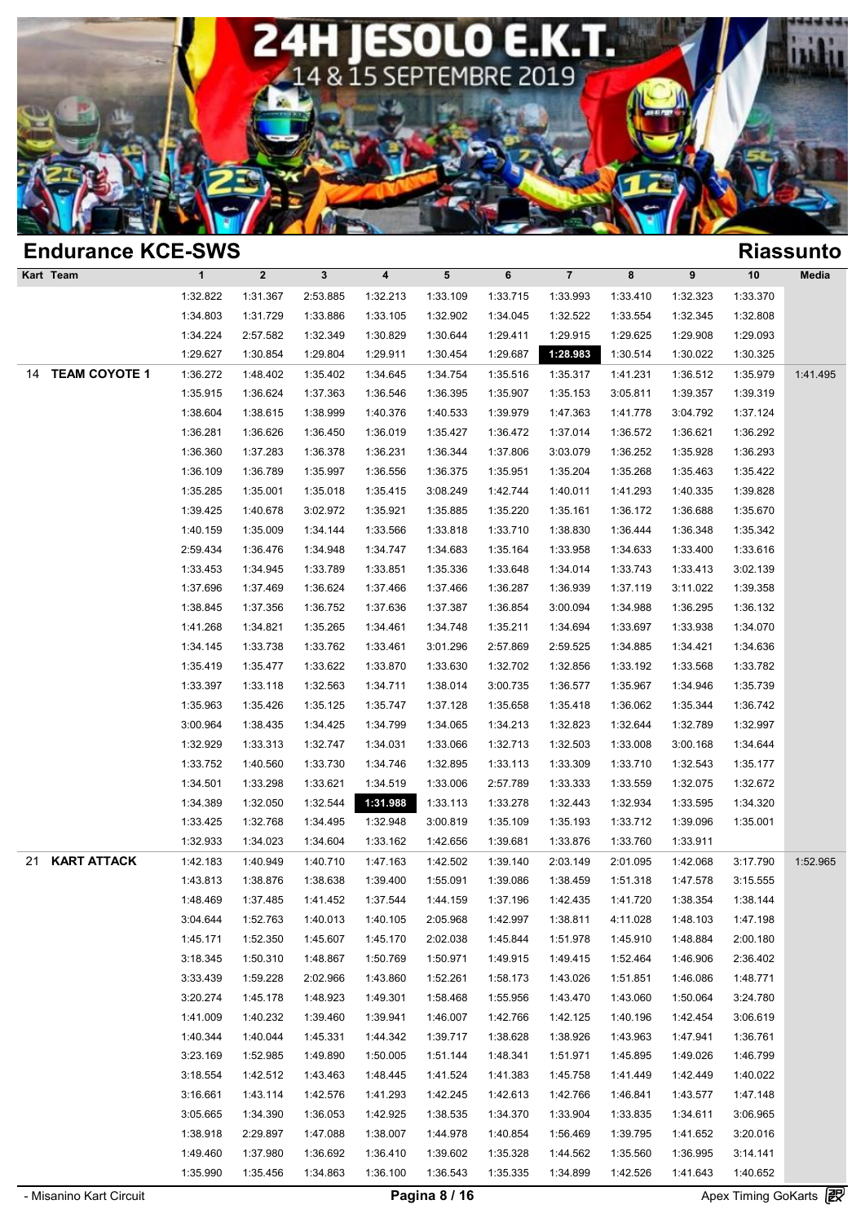

|    | <b>Endurance KCE-SWS</b> |              |             |              |                         |           |          |                         |          |          |          | <b>Riassunto</b> |
|----|--------------------------|--------------|-------------|--------------|-------------------------|-----------|----------|-------------------------|----------|----------|----------|------------------|
|    | Kart Team                | $\mathbf{1}$ | $\mathbf 2$ | $\mathbf{3}$ | $\overline{\mathbf{4}}$ | ${\bf 5}$ | 6        | $\overline{\mathbf{7}}$ | 8        | 9        | $10$     | Media            |
|    |                          | 1:32.822     | 1:31.367    | 2:53.885     | 1:32.213                | 1:33.109  | 1:33.715 | 1:33.993                | 1:33.410 | 1:32.323 | 1:33.370 |                  |
|    |                          | 1:34.803     | 1:31.729    | 1:33.886     | 1:33.105                | 1:32.902  | 1:34.045 | 1:32.522                | 1:33.554 | 1:32.345 | 1:32.808 |                  |
|    |                          | 1:34.224     | 2:57.582    | 1:32.349     | 1:30.829                | 1:30.644  | 1:29.411 | 1:29.915                | 1:29.625 | 1:29.908 | 1:29.093 |                  |
|    |                          | 1:29.627     | 1:30.854    | 1:29.804     | 1:29.911                | 1:30.454  | 1:29.687 | 1:28.983                | 1:30.514 | 1:30.022 | 1:30.325 |                  |
| 14 | <b>TEAM COYOTE 1</b>     | 1:36.272     | 1:48.402    | 1:35.402     | 1:34.645                | 1:34.754  | 1:35.516 | 1:35.317                | 1:41.231 | 1:36.512 | 1:35.979 | 1:41.495         |
|    |                          | 1:35.915     | 1:36.624    | 1:37.363     | 1:36.546                | 1:36.395  | 1:35.907 | 1:35.153                | 3:05.811 | 1:39.357 | 1:39.319 |                  |
|    |                          | 1:38.604     | 1:38.615    | 1:38.999     | 1:40.376                | 1:40.533  | 1:39.979 | 1:47.363                | 1:41.778 | 3:04.792 | 1:37.124 |                  |
|    |                          | 1:36.281     | 1:36.626    | 1:36.450     | 1:36.019                | 1:35.427  | 1:36.472 | 1:37.014                | 1:36.572 | 1:36.621 | 1:36.292 |                  |
|    |                          | 1:36.360     | 1:37.283    | 1:36.378     | 1:36.231                | 1:36.344  | 1:37.806 | 3:03.079                | 1:36.252 | 1:35.928 | 1:36.293 |                  |
|    |                          | 1:36.109     | 1:36.789    | 1:35.997     | 1:36.556                | 1:36.375  | 1:35.951 | 1:35.204                | 1:35.268 | 1:35.463 | 1:35.422 |                  |
|    |                          | 1:35.285     | 1:35.001    | 1:35.018     | 1:35.415                | 3:08.249  | 1:42.744 | 1:40.011                | 1:41.293 | 1:40.335 | 1:39.828 |                  |
|    |                          | 1:39.425     | 1:40.678    | 3:02.972     | 1:35.921                | 1:35.885  | 1:35.220 | 1:35.161                | 1:36.172 | 1:36.688 | 1:35.670 |                  |
|    |                          | 1:40.159     | 1:35.009    | 1:34.144     | 1:33.566                | 1:33.818  | 1:33.710 | 1:38.830                | 1:36.444 | 1:36.348 | 1:35.342 |                  |
|    |                          | 2:59.434     | 1:36.476    | 1:34.948     | 1:34.747                | 1:34.683  | 1:35.164 | 1:33.958                | 1:34.633 | 1:33.400 | 1:33.616 |                  |
|    |                          | 1:33.453     | 1:34.945    | 1:33.789     | 1:33.851                | 1:35.336  | 1:33.648 | 1:34.014                | 1:33.743 | 1:33.413 | 3:02.139 |                  |
|    |                          | 1:37.696     | 1:37.469    | 1:36.624     | 1:37.466                | 1:37.466  | 1:36.287 | 1:36.939                | 1:37.119 | 3:11.022 | 1:39.358 |                  |
|    |                          | 1:38.845     | 1:37.356    | 1:36.752     | 1:37.636                | 1:37.387  | 1:36.854 | 3:00.094                | 1:34.988 | 1:36.295 | 1:36.132 |                  |
|    |                          | 1:41.268     | 1:34.821    | 1:35.265     | 1:34.461                | 1:34.748  | 1:35.211 | 1:34.694                | 1:33.697 | 1:33.938 | 1:34.070 |                  |
|    |                          | 1:34.145     | 1:33.738    | 1:33.762     | 1:33.461                | 3:01.296  | 2:57.869 | 2:59.525                | 1:34.885 | 1:34.421 | 1:34.636 |                  |
|    |                          | 1:35.419     | 1:35.477    | 1:33.622     | 1:33.870                | 1:33.630  | 1:32.702 | 1:32.856                | 1:33.192 | 1:33.568 | 1:33.782 |                  |
|    |                          | 1:33.397     | 1:33.118    | 1:32.563     | 1:34.711                | 1:38.014  | 3:00.735 | 1:36.577                | 1:35.967 | 1:34.946 | 1:35.739 |                  |
|    |                          | 1:35.963     | 1:35.426    | 1:35.125     | 1:35.747                | 1:37.128  | 1:35.658 | 1:35.418                | 1:36.062 | 1:35.344 | 1:36.742 |                  |
|    |                          | 3:00.964     | 1:38.435    | 1:34.425     | 1:34.799                | 1:34.065  | 1:34.213 | 1:32.823                | 1:32.644 | 1:32.789 | 1:32.997 |                  |
|    |                          | 1:32.929     | 1:33.313    | 1:32.747     | 1:34.031                | 1:33.066  | 1:32.713 | 1:32.503                | 1:33.008 | 3:00.168 | 1:34.644 |                  |
|    |                          | 1:33.752     | 1:40.560    | 1:33.730     | 1:34.746                | 1:32.895  | 1:33.113 | 1:33.309                | 1:33.710 | 1:32.543 | 1:35.177 |                  |
|    |                          | 1:34.501     | 1:33.298    | 1:33.621     | 1:34.519                | 1:33.006  | 2:57.789 | 1:33.333                | 1:33.559 | 1:32.075 | 1:32.672 |                  |
|    |                          | 1:34.389     | 1:32.050    | 1:32.544     | 1:31.988                | 1:33.113  | 1:33.278 | 1:32.443                | 1:32.934 | 1:33.595 | 1:34.320 |                  |
|    |                          | 1:33.425     | 1:32.768    | 1:34.495     | 1:32.948                | 3:00.819  | 1:35.109 | 1:35.193                | 1:33.712 | 1:39.096 | 1:35.001 |                  |
|    |                          | 1:32.933     | 1:34.023    | 1:34.604     | 1:33.162                | 1:42.656  | 1:39.681 | 1:33.876                | 1:33.760 | 1:33.911 |          |                  |
| 21 | <b>KART ATTACK</b>       | 1:42.183     | 1:40.949    | 1:40.710     | 1:47.163                | 1:42.502  | 1:39.140 | 2:03.149                | 2:01.095 | 1:42.068 | 3:17.790 | 1:52.965         |
|    |                          | 1:43.813     | 1:38.876    | 1:38.638     | 1:39.400                | 1:55.091  | 1:39.086 | 1:38.459                | 1:51.318 | 1:47.578 | 3:15.555 |                  |
|    |                          | 1:48.469     | 1:37.485    | 1:41.452     | 1:37.544                | 1:44.159  | 1:37.196 | 1:42.435                | 1:41.720 | 1:38.354 | 1:38.144 |                  |
|    |                          | 3:04.644     | 1:52.763    | 1:40.013     | 1:40.105                | 2:05.968  | 1:42.997 | 1:38.811                | 4:11.028 | 1:48.103 | 1:47.198 |                  |
|    |                          | 1:45.171     | 1:52.350    | 1:45.607     | 1:45.170                | 2:02.038  | 1:45.844 | 1:51.978                | 1:45.910 | 1:48.884 | 2:00.180 |                  |
|    |                          | 3:18.345     | 1:50.310    | 1:48.867     | 1:50.769                | 1:50.971  | 1:49.915 | 1:49.415                | 1:52.464 | 1:46.906 | 2:36.402 |                  |
|    |                          | 3:33.439     | 1:59.228    | 2:02.966     | 1:43.860                | 1:52.261  | 1:58.173 | 1:43.026                | 1:51.851 | 1:46.086 | 1:48.771 |                  |
|    |                          | 3:20.274     | 1:45.178    | 1:48.923     | 1:49.301                | 1:58.468  | 1:55.956 | 1:43.470                | 1:43.060 | 1:50.064 | 3:24.780 |                  |
|    |                          | 1:41.009     | 1:40.232    | 1:39.460     | 1:39.941                | 1:46.007  | 1:42.766 | 1:42.125                | 1:40.196 | 1:42.454 | 3:06.619 |                  |
|    |                          | 1:40.344     | 1:40.044    | 1:45.331     | 1:44.342                | 1:39.717  | 1:38.628 | 1:38.926                | 1:43.963 | 1:47.941 | 1:36.761 |                  |
|    |                          | 3:23.169     | 1:52.985    | 1:49.890     | 1:50.005                | 1:51.144  | 1:48.341 | 1:51.971                | 1:45.895 | 1:49.026 | 1:46.799 |                  |
|    |                          | 3:18.554     | 1:42.512    | 1:43.463     | 1:48.445                | 1:41.524  | 1:41.383 | 1:45.758                | 1:41.449 | 1:42.449 | 1:40.022 |                  |
|    |                          | 3:16.661     | 1:43.114    | 1:42.576     | 1:41.293                | 1:42.245  | 1:42.613 | 1:42.766                | 1:46.841 | 1:43.577 | 1:47.148 |                  |
|    |                          | 3:05.665     | 1:34.390    | 1:36.053     | 1:42.925                | 1:38.535  | 1:34.370 | 1:33.904                | 1:33.835 | 1:34.611 | 3:06.965 |                  |
|    |                          | 1:38.918     | 2:29.897    | 1:47.088     | 1:38.007                | 1:44.978  | 1:40.854 | 1:56.469                | 1:39.795 | 1:41.652 | 3:20.016 |                  |
|    |                          | 1:49.460     | 1:37.980    | 1:36.692     | 1:36.410                | 1:39.602  | 1:35.328 | 1:44.562                | 1:35.560 | 1:36.995 | 3:14.141 |                  |
|    |                          | 1:35.990     | 1:35.456    | 1:34.863     | 1:36.100                | 1:36.543  | 1:35.335 | 1:34.899                | 1:42.526 | 1:41.643 | 1:40.652 | Go.              |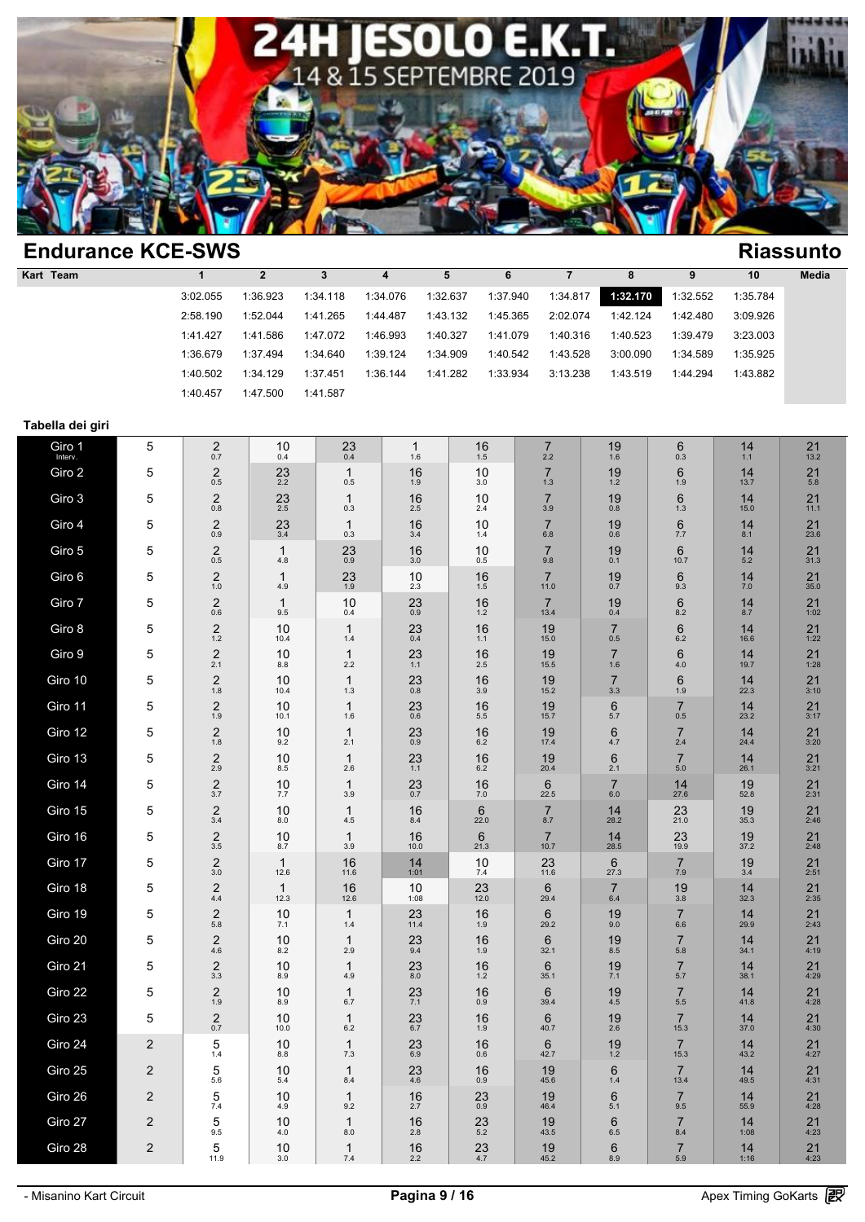

| <b>Endurance KCE-SWS</b><br><b>Riassunto</b> |          |          |          |          |          |          |          |          |          |          |              |  |  |
|----------------------------------------------|----------|----------|----------|----------|----------|----------|----------|----------|----------|----------|--------------|--|--|
| Kart Team                                    |          |          |          | 4        | 5        | 6        |          | 8        |          | 10       | <b>Media</b> |  |  |
|                                              | 3:02.055 | 1:36.923 | 1:34.118 | 1:34.076 | 1:32.637 | 1:37.940 | 1:34.817 | 1:32.170 | 1:32.552 | 1:35.784 |              |  |  |
|                                              | 2:58.190 | 1:52.044 | 1:41.265 | 1:44.487 | 1:43.132 | 1:45.365 | 2:02.074 | 1:42.124 | 1:42.480 | 3:09.926 |              |  |  |
|                                              | 1:41.427 | 1:41.586 | 1:47.072 | 1:46.993 | 1:40.327 | 1:41.079 | 1:40.316 | 1:40.523 | 1:39.479 | 3:23.003 |              |  |  |
|                                              | 1:36.679 | 1:37.494 | 1:34.640 | 1:39.124 | 1:34.909 | 1:40.542 | 1:43.528 | 3:00.090 | 1:34.589 | 1:35.925 |              |  |  |
|                                              | 1:40.502 | 1:34.129 | 1:37.451 | 1:36.144 | 1:41.282 | 1:33.934 | 3:13.238 | 1:43.519 | 1:44.294 | 1:43.882 |              |  |  |
|                                              | 1:40.457 | 1:47.500 | 1:41.587 |          |          |          |          |          |          |          |              |  |  |

### **Tabella dei giri**

| Giro 1<br>Interv. | 5              | 2<br>0.7                    | 10<br>0.4               | 23<br>0.4             | $\mathbf{1}$<br>1.6    | 16<br>$1.5\,$          | $\overline{7}$<br>2.2   | 19<br>1.6                 | 6<br>0.3               | 14<br>1.1   | 21<br>13.2           |
|-------------------|----------------|-----------------------------|-------------------------|-----------------------|------------------------|------------------------|-------------------------|---------------------------|------------------------|-------------|----------------------|
| Giro 2            | 5              | $\boldsymbol{2}$<br>$0.5\,$ | $23 \atop 2.2$          | $\mathbf{1}$<br>0.5   | 16<br>1.9              | 10<br>3.0              | $\overline{7}$<br>$1.3$ | 19<br>$1.2$               | 6<br>1.9               | 14<br>13.7  | 21<br>5.8            |
| Giro 3            | 5              | $\boldsymbol{2}$<br>$0.8\,$ | $^{23}_{2.5}$           | $\mathbf{1}$<br>0.3   | 16<br>2.5              | 10<br>2.4              | $\overline{7}$<br>3.9   | 19<br>0.8                 | 6<br>1.3               | 14<br>15.0  | 21<br>11.1           |
| Giro 4            | 5              | $\boldsymbol{2}$<br>0.9     | 23<br>3.4               | $\mathbf{1}$<br>0.3   | 16<br>3.4              | 10<br>1.4              | $\overline{7}$<br>6.8   | 19<br>0.6                 | 6<br>7.7               | 14<br>8.1   | 21<br>23.6           |
| Giro 5            | 5              | $\boldsymbol{2}$<br>0.5     | $\mathbf{1}$<br>4.8     | 23<br>0.9             | 16<br>3.0              | 10<br>0.5              | $\overline{7}$<br>9.8   | 19<br>0.1                 | $6\phantom{1}$<br>10.7 | 14<br>5.2   | 21<br>31.3           |
| Giro 6            | 5              | $\frac{2}{1.0}$             | $\mathbf{1}$<br>4.9     | $^{23}_{1.9}$         | 10<br>2.3              | 16<br>1.5              | $\overline{7}$<br>11.0  | 19<br>0.7                 | 6<br>9.3               | 14<br>$7.0$ | $21$ <sub>35.0</sub> |
| Giro 7            | 5              | $\boldsymbol{2}$<br>$0.6\,$ | $\mathbf{1}$<br>$9.5\,$ | 10<br>0.4             | $^{23}_{0.9}$          | 16<br>$1.2\,$          | $\overline{7}$<br>13.4  | 19<br>0.4                 | 6<br>8.2               | 14<br>8.7   | 21<br>1:02           |
| Giro 8            | 5              | $\overline{c}$<br>$1.2$     | 10<br>10.4              | $\mathbf{1}$<br>1.4   | 23<br>0.4              | 16<br>1.1              | 19<br>15.0              | $\overline{7}$<br>0.5     | 6<br>$6.2\,$           | 14<br>16.6  | 21<br>1:22           |
| Giro 9            | 5              | $\overline{2}$<br>2.1       | 10<br>8.8               | $\mathbf{1}$<br>2.2   | 23<br>1.1              | 16<br>2.5              | 19<br>15.5              | $\overline{7}$<br>1.6     | 6<br>4.0               | 14<br>19.7  | 21<br>1:28           |
| Giro 10           | 5              | $\boldsymbol{2}$<br>$1.8\,$ | 10<br>10.4              | $\mathbf{1}$<br>1.3   | 23<br>$0.\overline{8}$ | 16<br>3.9              | 19<br>15.2              | $\overline{7}$<br>3.3     | 6<br>1.9               | 14<br>22.3  | 21<br>3:10           |
| Giro 11           | 5              | $\sqrt{2}$<br>1.9           | 10<br>10.1              | $\mathbf{1}$<br>1.6   | 23<br>0.6              | 16<br>5.5              | 19<br>15.7              | $\,6$<br>5.7              | $\overline{7}$<br>0.5  | 14<br>23.2  | 21<br>3:17           |
| Giro 12           | 5              | $2_{1.8}$                   | 10<br>9.2               | $\mathbf{1}$<br>2.1   | 23<br>0.9              | 16<br>6.2              | 19<br>17.4              | 6<br>4.7                  | $\overline{7}$<br>2.4  | 14<br>24.4  | 21<br>3:20           |
| Giro 13           | 5              | $\mathbf 2$<br>2.9          | 10<br>$8.5\,$           | $\mathbf{1}$<br>2.6   | 23<br>1.1              | 16<br>$6.2\,$          | 19<br>20.4              | 6<br>2.1                  | $\overline{7}$<br>5.0  | 14<br>26.1  | 21<br>3:21           |
| Giro 14           | 5              | $\boldsymbol{2}$<br>3.7     | 10<br>7.7               | $\mathbf{1}$<br>3.9   | 23<br>0.7              | 16<br>7.0              | 6<br>22.5               | $\overline{7}$<br>6.0     | 14<br>27.6             | 19<br>52.8  | 21<br>2:31           |
| Giro 15           | 5              | $\overline{2}$<br>3.4       | 10<br>8.0               | $\mathbf{1}$<br>4.5   | 16<br>8.4              | 6<br>22.0              | $\overline{7}$<br>8.7   | 14<br>28.2                | $23$<br>$21.0$         | 19<br>35.3  | 21<br>2:46           |
| Giro 16           | 5              | $\frac{2}{3.5}$             | 10<br>8.7               | $\mathbf 1$<br>3.9    | 16<br>10.0             | 6<br>21.3              | $\overline{7}$<br>10.7  | 14<br>28.5                | 23<br>19.9             | 19<br>37.2  | 21<br>2:48           |
| Giro 17           | 5              | $\boldsymbol{2}$<br>3.0     | $\mathbf{1}$<br>12.6    | 16<br>11.6            | 14<br>1:01             | 10<br>7.4              | 23<br>11.6              | 6<br>27.3                 | $\overline{7}$<br>7.9  | 19<br>3.4   | 21<br>2:51           |
| Giro 18           | 5              | $\overline{2}$<br>4.4       | $\mathbf{1}$<br>12.3    | 16<br>12.6            | 10<br>1:08             | 23<br>12.0             | 6<br>29.4               | $\overline{7}$<br>$6.4\,$ | 19<br>$3.8\,$          | 14<br>32.3  | 21<br>2:35           |
| Giro 19           | 5              | $\mathbf 2$<br>5.8          | 10<br>7.1               | $\mathbf{1}$<br>1.4   | 23<br>11.4             | 16<br>1.9              | $\,6$<br>29.2           | 19<br>9.0                 | $\overline{7}$<br>6.6  | 14<br>29.9  | 21<br>2:43           |
| Giro 20           | 5              | $\mathbf 2$<br>4.6          | 10<br>8.2               | $\mathbf{1}$<br>2.9   | 23<br>9.4              | 16<br>1.9              | 6<br>32.1               | 19<br>8.5                 | $\overline{7}$<br>5.8  | 14<br>34.1  | 21<br>4:19           |
| Giro 21           | 5              | $\overline{2}$<br>3.3       | 10<br>8.9               | $\mathbf{1}$<br>4.9   | 23<br>8.0              | 16<br>1.2              | 6<br>35.1               | 19<br>7.1                 | $\overline{7}$<br>5.7  | 14<br>38.1  | 21<br>4:29           |
| Giro 22           | 5              | $\sqrt{2}$<br>1.9           | 10<br>8.9               | $\mathbf{1}$<br>6.7   | 23<br>7.1              | 16<br>0.9              | 6<br>39.4               | 19<br>4.5                 | $\overline{7}$<br>5.5  | 14<br>41.8  | 21<br>4:28           |
| Giro 23           | 5              | $^{2}_{0.7}$                | 10<br>10.0              | $\mathbf{1}$<br>6.2   | 23<br>6.7              | 16<br>1.9              | 6<br>40.7               | 19<br>2.6                 | $\overline{7}$<br>15.3 | 14<br>37.0  | 21<br>4:30           |
| Giro 24           | $\overline{2}$ | 5<br>$1.4$                  | 10<br>$8.8\,$           | $\mathbf{1}$<br>$7.3$ | 23<br>6.9              | 16<br>0.6              | 6<br>42.7               | 19<br>$1.\overline{2}$    | $\overline{7}$<br>15.3 | 14<br>43.2  | 21<br>4:27           |
| Giro 25           | $\overline{2}$ | 5<br>5.6                    | 10<br>5.4               | $\mathbf{1}$<br>8.4   | 23<br>4.6              | 16<br>0.9              | 19<br>45.6              | 6<br>1.4                  | $\overline{7}$<br>13.4 | 14<br>49.5  | 21<br>4:31           |
| Giro 26           | 2              | 5<br>7.4                    | 10<br>4.9               | $\mathbf{1}$<br>9.2   | 16<br>2.7              | 23<br>$0.\overline{9}$ | 19<br>46.4              | 6<br>5.1                  | $\overline{7}$<br>9.5  | 14<br>55.9  | 21<br>4:28           |
| Giro 27           | $\overline{2}$ | 5<br>9.5                    | 10<br>4.0               | $\mathbf{1}$<br>8.0   | 16<br>2.8              | $23 \atop 5.2$         | 19<br>43.5              | 6<br>6.5                  | $\overline{7}$<br>8.4  | 14<br>1:08  | 21<br>4:23           |
| Giro 28           | $\overline{c}$ | $\mathbf 5$<br>11.9         | 10<br>3.0               | $\mathbf{1}$<br>7.4   | 16<br>2.2              | $^{23}_{4.7}$          | 19<br>45.2              | 6<br>8.9                  | $\overline{7}$<br>5.9  | 14<br>1:16  | 21<br>4:23           |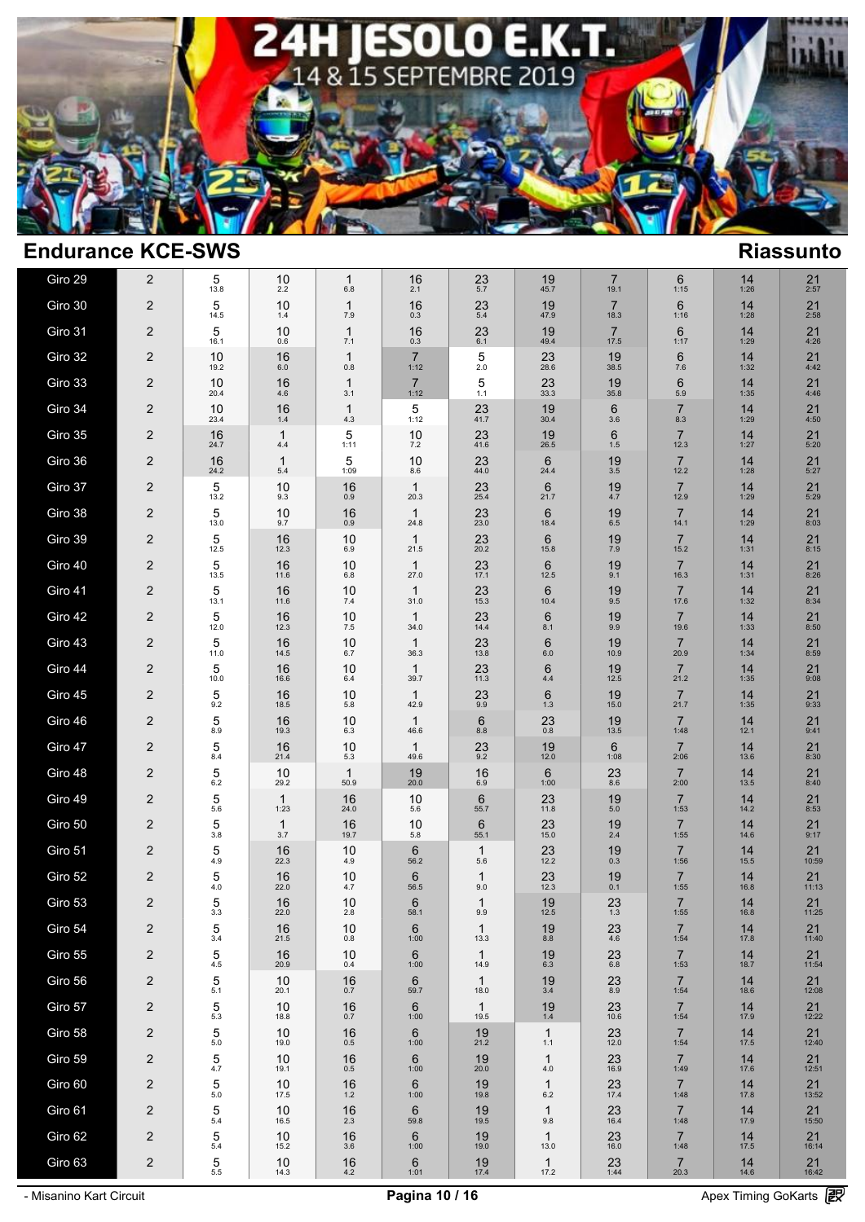

| Giro 29 | 2                       | 5<br>13.8                              | 10<br>2.2  | $\mathbf 1$<br>6.8 | 16<br>2.1               | 23<br>5.7            | 19<br>45.7              | $\overline{7}$<br>19.1 | 6<br>1:15              | 14<br>1:26 | 21<br>2:57            |
|---------|-------------------------|----------------------------------------|------------|--------------------|-------------------------|----------------------|-------------------------|------------------------|------------------------|------------|-----------------------|
| Giro 30 | 2                       | 5<br>14.5                              | 10<br>1.4  | 1<br>7.9           | 16<br>0.3               | 23<br>$5.4$          | 19<br>47.9              | $\overline{7}$<br>18.3 | 6<br>1:16              | 14<br>1:28 | 21<br>2:58            |
| Giro 31 | 2                       | 5<br>16.1                              | 10<br>0.6  | 1<br>7.1           | 16<br>0.3               | 23<br>6.1            | 19<br>49.4              | $\overline{7}$<br>17.5 | 6<br>1:17              | 14<br>1:29 | 21<br>4:26            |
| Giro 32 | 2                       | 10<br>19.2                             | 16<br>6.0  | 1<br>0.8           | $\overline{7}$<br>1:12  | 5<br>2.0             | 23<br>28.6              | 19<br>38.5             | 6<br>7.6               | 14<br>1:32 | 21<br>4:42            |
| Giro 33 | 2                       | 10<br>20.4                             | 16<br>4.6  | 1<br>3.1           | $\overline{7}$<br>1:12  | 5<br>1.1             | 23<br>33.3              | 19<br>35.8             | 6<br>5.9               | 14<br>1:35 | 21<br>4:46            |
| Giro 34 | 2                       | 10<br>23.4                             | 16<br>1.4  | 1<br>4.3           | 5<br>1:12               | 23<br>41.7           | 19<br>30.4              | 6<br>3.6               | $\overline{7}$<br>8.3  | 14<br>1:29 | 21<br>4:50            |
| Giro 35 | 2                       | 16<br>24.7                             | 1<br>4.4   | 5<br>1:11          | 10<br>7.2               | 23<br>41.6           | 19<br>26.5              | 6<br>1.5               | $\overline{7}$<br>12.3 | 14<br>1:27 | 21<br>5:20            |
| Giro 36 | 2                       | 16<br>24.2                             | 1<br>5.4   | 5<br>1:09          | 10<br>8.6               | 23<br>44.0           | 6<br>24.4               | 19<br>3.5              | $\overline{7}$<br>12.2 | 14<br>1:28 | 21<br>5:27            |
| Giro 37 | 2                       | 5<br>13.2                              | 10<br>9.3  | 16<br>0.9          | $\mathbf{1}$<br>20.3    | 23<br>25.4           | $6\phantom{1}6$<br>21.7 | 19<br>4.7              | $\overline{7}$<br>12.9 | 14<br>1:29 | 21<br>5:29            |
| Giro 38 | 2                       | 5<br>13.0                              | 10<br>9.7  | 16<br>0.9          | $\mathbf{1}$<br>24.8    | 23<br>23.0           | $6\phantom{1}6$<br>18.4 | 19<br>6.5              | $\overline{7}$<br>14.1 | 14<br>1:29 | 21<br>8:03            |
| Giro 39 | 2                       | 5<br>12.5                              | 16<br>12.3 | 10<br>6.9          | 1<br>21.5               | 23<br>20.2           | $6\phantom{1}6$<br>15.8 | 19<br>7.9              | $\overline{7}$<br>15.2 | 14<br>1:31 | 21<br>8:15            |
| Giro 40 | 2                       | 5<br>13.5                              | 16<br>11.6 | 10<br>6.8          | 1<br>27.0               | 23<br>17.1           | $6\phantom{1}6$<br>12.5 | 19<br>9.1              | $\overline{7}$<br>16.3 | 14<br>1:31 | 21<br>8:26            |
| Giro 41 | 2                       | 5<br>13.1                              | 16<br>11.6 | 10<br>7.4          | 1<br>31.0               | 23<br>15.3           | $6\phantom{1}6$<br>10.4 | 19<br>9.5              | $\overline{7}$<br>17.6 | 14<br>1:32 | $21$<br>$8:34$        |
| Giro 42 | 2                       | 5<br>12.0                              | 16<br>12.3 | 10<br>7.5          | $\mathbf{1}$<br>34.0    | 23<br>14.4           | $6\phantom{1}6$<br>8.1  | 19<br>9.9              | $\overline{7}$<br>19.6 | 14<br>1:33 | 21<br>8:50            |
| Giro 43 | 2                       | 5<br>11.0                              | 16<br>14.5 | 10<br>6.7          | 1<br>36.3               | 23<br>13.8           | $6\phantom{1}6$<br>6.0  | 19<br>10.9             | $\overline{7}$<br>20.9 | 14<br>1:34 | 21<br>8:59            |
| Giro 44 | 2                       | 5<br>10.0                              | 16<br>16.6 | 10<br>6.4          | 1<br>39.7               | 23<br>11.3           | $6\phantom{1}6$<br>4.4  | 19<br>12.5             | $\overline{7}$<br>21.2 | 14<br>1:35 | 21<br>9:08            |
| Giro 45 | 2                       | 5<br>9.2                               | 16<br>18.5 | 10<br>5.8          | 1<br>42.9               | 23<br>9.9            | $6\phantom{1}6$<br>1.3  | 19<br>15.0             | $\overline{7}$<br>21.7 | 14<br>1:35 | 21<br>9:33            |
| Giro 46 | 2                       | 5<br>8.9                               | 16<br>19.3 | 10<br>6.3          | $\mathbf{1}$<br>46.6    | 6<br>8.8             | 23<br>0.8               | 19<br>13.5             | $\overline{7}$<br>1:48 | 14<br>12.1 | 21<br>9:41            |
| Giro 47 | 2                       | 5<br>8.4                               | 16<br>21.4 | 10<br>5.3          | 1<br>49.6               | $^{23}_{9.2}$        | 19<br>12.0              | 6<br>1:08              | $\overline{7}$<br>2:06 | 14<br>13.6 | $21$<br>$8:30$        |
| Giro 48 | 2                       | 5<br>6.2                               | 10<br>29.2 | 1<br>50.9          | 19<br>20.0              | 16<br>6.9            | 6<br>1:00               | 23<br>8.6              | $\overline{7}$<br>2:00 | 14<br>13.5 | $21$<br>$8:40$        |
| Giro 49 | 2                       | 5<br>5.6                               | 1<br>1:23  | 16<br>24.0         | 10<br>5.6               | 6<br>55.7            | 23<br>11.8              | 19<br>$5.0$            | $\overline{7}$<br>1:53 | 14<br>14.2 | $21$<br>$8:53$        |
| Giro 50 | $\overline{\mathbf{c}}$ | 5<br>3.8                               | 1<br>3.7   | 16<br>19.7         | 10<br>5.8               | 6<br>55.1            | 23<br>15.0              | 19<br>2.4              | $\overline{7}$<br>1:55 | 14<br>14.6 | 21<br>9:17            |
| Giro 51 | $\overline{2}$          | 5<br>4.9                               | 16<br>22.3 | 10<br>4.9          | 6<br>56.2               | $\mathbf 1$<br>5.6   | 23<br>12.2              | 19<br>0.3              | $\overline{7}$<br>1:56 | 14<br>15.5 | $21$<br>10:59         |
| Giro 52 | $\overline{2}$          | 5<br>4.0                               | 16<br>22.0 | 10<br>4.7          | $6\phantom{1}6$<br>56.5 | $\mathbf 1$<br>9.0   | $23$<br>12.3            | 19<br>0.1              | $\overline{7}$<br>1:55 | 14<br>16.8 | $21$ <sub>11:13</sub> |
| Giro 53 | $\overline{\mathbf{c}}$ | 5<br>3.3                               | 16<br>22.0 | 10<br>2.8          | $6\phantom{1}6$<br>58.1 | $\mathbf 1$<br>9.9   | 19<br>12.5              | $^{23}_{1.3}$          | $\overline{7}$<br>1:55 | 14<br>16.8 | $21$ <sub>11:25</sub> |
| Giro 54 | 2                       | 5<br>3.4                               | 16<br>21.5 | 10<br>$0.8\,$      | 6<br>1:00               | $\mathbf{1}$<br>13.3 | 19<br>8.8               | 23<br>4.6              | $\overline{7}$<br>1:54 | 14<br>17.8 | 21<br>11:40           |
| Giro 55 | $\overline{\mathbf{c}}$ | 5<br>4.5                               | 16<br>20.9 | 10<br>0.4          | 6<br>1:00               | $\mathbf{1}$<br>14.9 | 19<br>6.3               | 23<br>$6.8\,$          | $\overline{7}$<br>1:53 | 14<br>18.7 | 21<br>11:54           |
| Giro 56 | 2                       | 5<br>5.1                               | 10<br>20.1 | 16<br>0.7          | 6<br>59.7               | $\mathbf{1}$<br>18.0 | 19<br>3.4               | 23<br>8.9              | $\overline{7}$<br>1:54 | 14<br>18.6 | 21<br>12:08           |
| Giro 57 | 2                       | 5<br>5.3                               | 10<br>18.8 | 16<br>0.7          | 6<br>1:00               | $\mathbf{1}$<br>19.5 | 19<br>$1.4\,$           | 23<br>10.6             | $\overline{7}$<br>1:54 | 14<br>17.9 | 21<br>12:22           |
| Giro 58 | $\overline{\mathbf{c}}$ | 5<br>5.0                               | 10<br>19.0 | 16<br>$0.5\,$      | 6<br>1:00               | 19<br>21.2           | $\mathbf{1}$<br>1.1     | 23<br>12.0             | $\overline{7}$<br>1:54 | 14<br>17.5 | 21<br>12:40           |
| Giro 59 | $\overline{\mathbf{c}}$ | 5<br>4.7                               | 10<br>19.1 | 16<br>$0.5\,$      | 6<br>1:00               | 19<br>20.0           | $\mathbf{1}$<br>4.0     | 23<br>16.9             | $\overline{7}$<br>1:49 | 14<br>17.6 | 21<br>12:51           |
| Giro 60 | $\overline{\mathbf{c}}$ | 5<br>$5.0$                             | 10<br>17.5 | 16<br>$1.2$        | 6<br>1:00               | 19<br>19.8           | $\mathbf{1}$<br>6.2     | 23<br>17.4             | $\overline{7}$<br>1:48 | 14<br>17.8 | 21<br>13:52           |
| Giro 61 | 2                       | 5<br>5.4                               | 10<br>16.5 | 16<br>$2.3\,$      | 6<br>59.8               | 19<br>19.5           | $\mathbf{1}$<br>9.8     | 23<br>16.4             | $\overline{7}$<br>1:48 | 14<br>17.9 | 21<br>15:50           |
| Giro 62 | $\overline{\mathbf{c}}$ | 5<br>5.4                               | 10<br>15.2 | 16<br>$3.6\,$      | 6<br>1:00               | 19<br>19.0           | $\mathbf{1}$<br>13.0    | 23<br>16.0             | $\overline{7}$<br>1:48 | 14<br>17.5 | 21<br>16:14           |
| Giro 63 | 2                       | $\mathbf{5}_{\scriptscriptstyle{5.5}}$ | 10<br>14.3 | $16_{4.2}$         | 6<br>1:01               | 19<br>17.4           | $\mathbf{1}$<br>17.2    | 23<br>1:44             | $\overline{7}$<br>20.3 | 14<br>14.6 | 21<br>16:42           |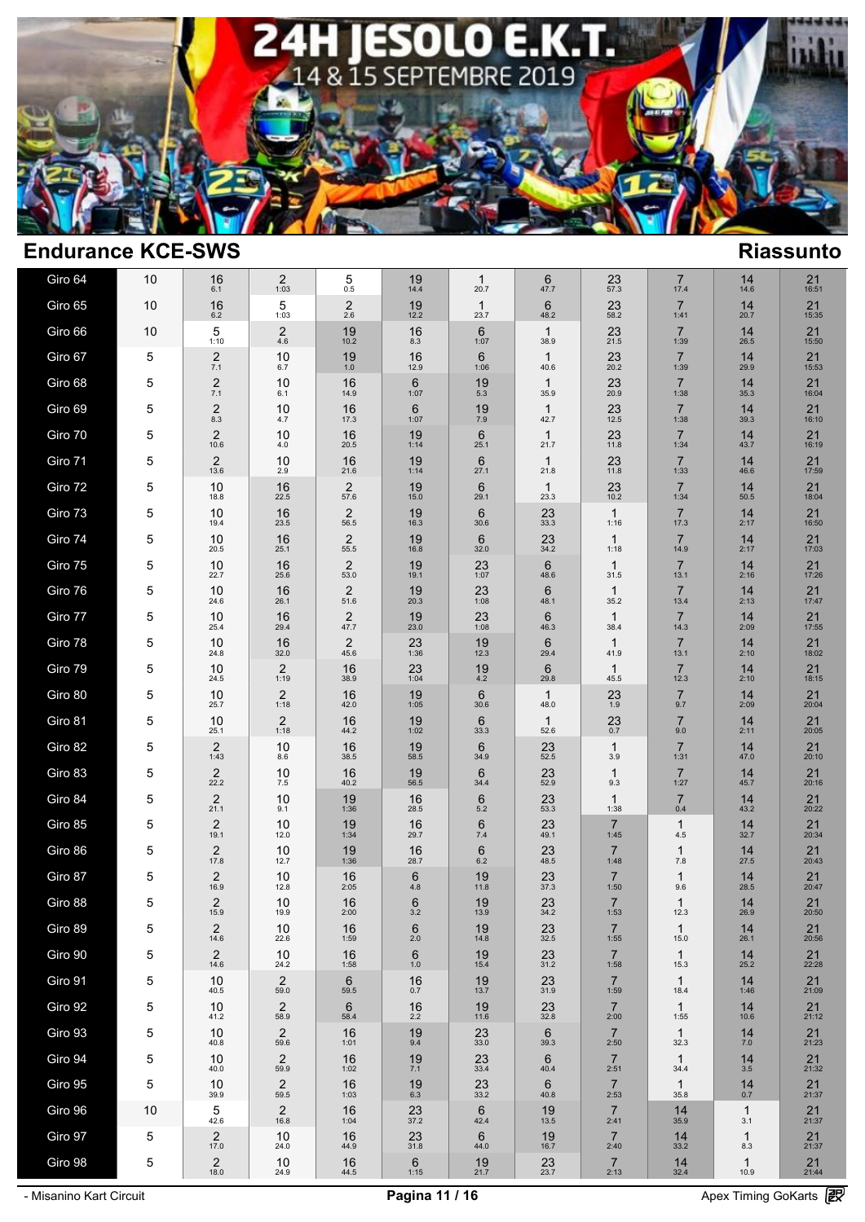

| Giro 64 | 10 | 16<br>6.1              | 2<br>1:03                 | 5<br>0.5               | 19<br>14.4      | 1<br>20.7            | 6<br>47.7               | $23$ <sub>57.3</sub>   | $\overline{7}$<br>17.4 | 14<br>14.6           | 21<br>16:51            |
|---------|----|------------------------|---------------------------|------------------------|-----------------|----------------------|-------------------------|------------------------|------------------------|----------------------|------------------------|
| Giro 65 | 10 | 16<br>6.2              | 5<br>1:03                 | $\overline{2}$<br>2.6  | 19<br>12.2      | $\mathbf 1$<br>23.7  | 6<br>48.2               | 23<br>58.2             | $\overline{7}$<br>1:41 | 14<br>20.7           | 21<br>15:35            |
| Giro 66 | 10 | 5<br>1:10              | $\overline{c}$<br>$4.6\,$ | 19<br>10.2             | 16<br>8.3       | 6<br>1:07            | $\mathbf{1}$<br>38.9    | 23<br>21.5             | $\overline{7}$<br>1:39 | 14<br>26.5           | 21<br>15:50            |
| Giro 67 | 5  | $\overline{c}$<br>7.1  | 10<br>6.7                 | $19 \atop 1.0$         | 16<br>12.9      | 6<br>1:06            | $\mathbf{1}$<br>40.6    | 23<br>20.2             | $\overline{7}$<br>1:39 | 14<br>29.9           | 21<br>15:53            |
| Giro 68 | 5  | $\overline{c}$<br>7.1  | 10<br>6.1                 | 16<br>14.9             | 6<br>1:07       | 19<br>$5.3$          | $\mathbf{1}$<br>35.9    | 23<br>20.9             | $\overline{7}$<br>1:38 | 14<br>35.3           | 21<br>16:04            |
| Giro 69 | 5  | $\overline{c}$<br>8.3  | 10<br>4.7                 | 16<br>17.3             | 6<br>1:07       | 19<br>7.9            | 1<br>42.7               | 23<br>12.5             | $\overline{7}$<br>1:38 | 14<br>39.3           | 21<br>16:10            |
| Giro 70 | 5  | $\overline{2}$<br>10.6 | 10<br>4.0                 | 16<br>20.5             | 19<br>1:14      | 6<br>25.1            | $\mathbf{1}$<br>21.7    | 23<br>11.8             | $\overline{7}$<br>1:34 | 14<br>43.7           | 21<br>16:19            |
| Giro 71 | 5  | 2<br>13.6              | 10<br>2.9                 | 16<br>21.6             | 19<br>1:14      | 6<br>27.1            | $\mathbf{1}$<br>21.8    | 23<br>11.8             | $\overline{7}$<br>1:33 | 14<br>46.6           | 21<br>17:59            |
| Giro 72 | 5  | 10<br>18.8             | 16<br>22.5                | $\overline{2}$<br>57.6 | 19<br>15.0      | 6<br>29.1            | $\mathbf{1}$<br>23.3    | 23<br>10.2             | $\overline{7}$<br>1:34 | 14<br>50.5           | 21<br>18:04            |
| Giro 73 | 5  | 10<br>19.4             | 16<br>23.5                | $\overline{2}$<br>56.5 | 19<br>16.3      | 6<br>30.6            | 23<br>33.3              | $\mathbf{1}$<br>1:16   | $\overline{7}$<br>17.3 | 14<br>2:17           | 21<br>16:50            |
| Giro 74 | 5  | 10<br>20.5             | 16<br>25.1                | $\overline{2}$<br>55.5 | 19<br>16.8      | 6<br>32.0            | 23<br>34.2              | 1<br>1:18              | $\overline{7}$<br>14.9 | 14<br>2:17           | 21<br>17:03            |
| Giro 75 | 5  | 10<br>22.7             | 16<br>25.6                | $\overline{2}$<br>53.0 | 19<br>19.1      | 23<br>1:07           | 6<br>48.6               | $\mathbf{1}$<br>31.5   | $\overline{7}$<br>13.1 | 14<br>2:16           | 21<br>17:26            |
| Giro 76 | 5  | 10<br>24.6             | 16<br>26.1                | $\overline{2}$<br>51.6 | 19<br>20.3      | 23<br>1:08           | 6<br>48.1               | 1<br>35.2              | $\overline{7}$<br>13.4 | 14<br>2:13           | 21<br>17:47            |
| Giro 77 | 5  | 10<br>25.4             | 16<br>29.4                | $\overline{2}$<br>47.7 | 19<br>23.0      | 23<br>1:08           | $6\phantom{1}6$<br>46.3 | 1<br>38.4              | $\overline{7}$<br>14.3 | 14<br>2:09           | 21<br>17:55            |
| Giro 78 | 5  | 10<br>24.8             | 16<br>32.0                | $\overline{2}$<br>45.6 | 23<br>1:36      | 19<br>12.3           | 6<br>29.4               | 1<br>41.9              | $\overline{7}$<br>13.1 | 14<br>2:10           | 21<br>18:02            |
| Giro 79 | 5  | 10<br>24.5             | 2<br>1:19                 | 16<br>38.9             | 23<br>1:04      | 19<br>4.2            | 6<br>29.8               | 1<br>45.5              | $\overline{7}$<br>12.3 | 14<br>2:10           | 21<br>18:15            |
| Giro 80 | 5  | 10<br>25.7             | 2<br>1:18                 | 16<br>42.0             | 19<br>1:05      | 6<br>30.6            | $\mathbf 1$<br>48.0     | $^{23}_{1.9}$          | $\overline{7}$<br>9.7  | 14<br>2:09           | 21<br>20:04            |
| Giro 81 | 5  | 10<br>25.1             | $\overline{c}$<br>1:18    | 16<br>44.2             | 19<br>1:02      | 6<br>33.3            | $\mathbf{1}$<br>52.6    | 23<br>0.7              | $\overline{7}$<br>9.0  | 14<br>2:11           | 21<br>20:05            |
| Giro 82 | 5  | $\overline{c}$<br>1:43 | 10<br>8.6                 | 16<br>38.5             | 19<br>58.5      | 6<br>34.9            | 23<br>52.5              | 1<br>3.9               | $\overline{7}$<br>1:31 | 14<br>47.0           | 21<br>20:10            |
| Giro 83 | 5  | $2$ <sub>22.2</sub>    | 10<br>7.5                 | 16<br>40.2             | 19<br>56.5      | 6<br>34.4            | 23<br>52.9              | 1<br>9.3               | $\overline{7}$<br>1:27 | 14<br>45.7           | 21<br>20:16            |
| Giro 84 | 5  | $\overline{2}$<br>21.1 | 10<br>9.1                 | 19<br>1:36             | 16<br>28.5      | 6<br>5.2             | 23<br>53.3              | 1<br>1:38              | 7<br>0.4               | 14<br>43.2           | 21<br>20:22            |
| Giro 85 | 5  | 2<br>19.1              | 10<br>12.0                | 19<br>1:34             | 16<br>29.7      | 6<br>7.4             | 23<br>49.1              | $\overline{7}$<br>1:45 | 1<br>4.5               | 14<br>32.7           | 21<br>20:34            |
| Giro 86 | 5  | 2<br>17.8              | 10<br>12.7                | 19<br>1:36             | 16<br>28.7      | 6<br>6.2             | 23<br>48.5              | $\overline{7}$<br>1:48 | 1<br>7.8               | 14<br>27.5           | 21<br>20:43            |
| Giro 87 | 5  | 2<br>16.9              | 10<br>12.8                | 16<br>2:05             | 6<br>4.8        | 19<br>11.8           | 23<br>37.3              | $\overline{7}$<br>1:50 | 1<br>9.6               | 14<br>28.5           | 21<br>20:47            |
| Giro 88 | 5  | 2<br>15.9              | 10<br>19.9                | 16<br>2:00             | 6<br>$3.2\,$    | 19<br>13.9           | 23<br>34.2              | $\overline{7}$<br>1:53 | 1<br>12.3              | 14<br>26.9           | 21<br>20:50            |
| Giro 89 | 5  | 2<br>14.6              | 10<br>22.6                | 16<br>1:59             | 6<br>2.0        | 19<br>14.8           | 23<br>32.5              | $\overline{7}$<br>1:55 | $\mathbf{1}$<br>15.0   | 14<br>26.1           | 21<br>20:56            |
| Giro 90 | 5  | $\overline{2}$<br>14.6 | 10<br>24.2                | 16<br>1:58             | 6<br>$1.0$      | 19<br>15.4           | 23<br>31.2              | $\overline{7}$<br>1:58 | $\mathbf{1}$<br>15.3   | 14<br>25.2           | $21$ <sub>22:28</sub>  |
| Giro 91 | 5  | 10<br>40.5             | $^{2}_{59.0}$             | 6<br>59.5              | 16<br>0.7       | 19<br>13.7           | $^{23}_{31.9}$          | $\overline{7}$<br>1:59 | $\mathbf{1}$<br>18.4   | 14<br>1:46           | $21_{21:09}$           |
| Giro 92 | 5  | 10<br>41.2             | $\frac{2}{58.9}$          | 6<br>58.4              | $16_{2.2}$      | 19<br>11.6           | 23<br>32.8              | $\overline{7}$<br>2:00 | $\mathbf{1}$<br>1:55   | 14<br>10.6           | $21_{21:12}$           |
| Giro 93 | 5  | 10<br>40.8             | $\overline{c}$<br>59.6    | 16<br>1:01             | 19<br>9.4       | $23 \atop 33.0$      | 6<br>39.3               | $\overline{7}$<br>2:50 | $\mathbf{1}$<br>32.3   | 14<br>7.0            | $21_{21:23}$           |
| Giro 94 | 5  | 10<br>40.0             | 2<br>59.9                 | 16<br>1:02             | $^{19}_{7.1}$   | $23$ <sub>33.4</sub> | $6\phantom{1}6$<br>40.4 | $\overline{7}$<br>2:51 | $\mathbf{1}$<br>34.4   | $14 \over 3.5$       | $21_{21:32}$           |
| Giro 95 | 5  | 10<br>39.9             | $\overline{c}$<br>59.5    | 16<br>1:03             | 196.3           | $23 \atop 33.2}$     | 6<br>40.8               | $\overline{7}$<br>2:53 | $\mathbf{1}$<br>35.8   | $14_{0.7}$           | $21 \over 21:37$       |
| Giro 96 | 10 | 5<br>42.6              | $\overline{2}$<br>16.8    | 16<br>1:04             | $23 \over 37.2$ | 6<br>42.4            | 19<br>13.5              | $\overline{7}$<br>2:41 | 14<br>35.9             | $\mathbf{1}$<br>3.1  | $21 \over 21:37$       |
| Giro 97 | 5  | $\overline{c}$<br>17.0 | 10<br>24.0                | 16<br>44.9             | 23<br>31.8      | 6<br>44.0            | 19<br>16.7              | $\overline{7}$<br>2:40 | 14<br>33.2             | $\mathbf{1}$<br>8.3  | $\underset{21:37}{21}$ |
| Giro 98 | 5  | $\overline{2}$<br>18.0 | 10<br>24.9                | $16_{44.5}$            | 6<br>1:15       | $19 \atop 21.7$      | $23 \atop 23.7}$        | $\overline{7}$<br>2:13 | $14 \over 32.4$        | $\mathbf{1}$<br>10.9 | $21$ <sub>21:44</sub>  |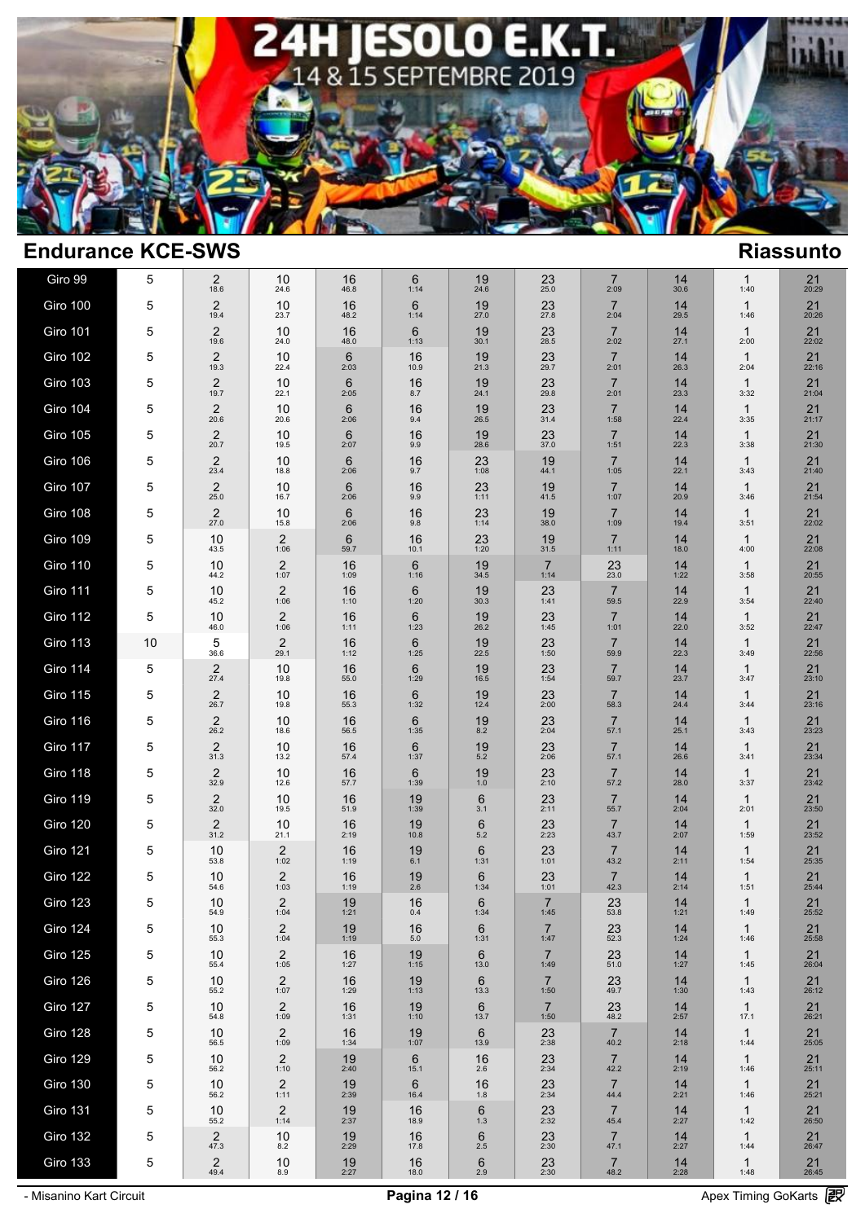

| Giro 99         | 5  | 2<br>18.6              | 10<br>24.6             | 16<br>46.8 | 6<br>1:14     | 19<br>24.6              | 23<br>25.0             | 7<br>2:09              | 14<br>30.6 | 1<br>1:40            | 21<br>20:29  |
|-----------------|----|------------------------|------------------------|------------|---------------|-------------------------|------------------------|------------------------|------------|----------------------|--------------|
| Giro 100        | 5  | $\overline{2}$<br>19.4 | 10<br>23.7             | 16<br>48.2 | 6<br>1:14     | 19<br>27.0              | 23<br>27.8             | $\overline{7}$<br>2:04 | 14<br>29.5 | $\mathbf{1}$<br>1:46 | 21<br>20:26  |
| <b>Giro 101</b> | 5  | $\overline{c}$<br>19.6 | 10<br>24.0             | 16<br>48.0 | 6<br>1:13     | 19<br>30.1              | 23<br>28.5             | $\overline{7}$<br>2:02 | 14<br>27.1 | $\mathbf{1}$<br>2:00 | 21<br>22:02  |
| <b>Giro 102</b> | 5  | $\overline{2}$<br>19.3 | 10<br>22.4             | 6<br>2:03  | 16<br>10.9    | 19<br>21.3              | 23<br>29.7             | $\overline{7}$<br>2:01 | 14<br>26.3 | $\mathbf{1}$<br>2:04 | 21<br>22:16  |
| Giro 103        | 5  | $\overline{c}$<br>19.7 | 10<br>22.1             | 6<br>2:05  | 16<br>8.7     | 19<br>24.1              | 23<br>29.8             | $\overline{7}$<br>2:01 | 14<br>23.3 | $\mathbf{1}$<br>3:32 | 21<br>21:04  |
| Giro 104        | 5  | $\overline{2}$<br>20.6 | 10<br>20.6             | 6<br>2:06  | 16<br>9.4     | 19<br>26.5              | 23<br>31.4             | $\overline{7}$<br>1:58 | 14<br>22.4 | $\mathbf{1}$<br>3:35 | 21<br>21:17  |
| <b>Giro 105</b> | 5  | $\overline{2}$<br>20.7 | 10<br>19.5             | 6<br>2:07  | 16<br>9.9     | 19<br>28.6              | 23<br>37.0             | $\overline{7}$<br>1:51 | 14<br>22.3 | $\mathbf{1}$<br>3:38 | 21<br>21:30  |
| Giro 106        | 5  | $\overline{2}$<br>23.4 | 10<br>18.8             | 6<br>2:06  | 16<br>9.7     | 23<br>1:08              | 19<br>44.1             | $\overline{7}$<br>1:05 | 14<br>22.1 | $\mathbf{1}$<br>3:43 | 21<br>21:40  |
| Giro 107        | 5  | $\overline{2}$<br>25.0 | 10<br>16.7             | 6<br>2:06  | 16<br>9.9     | 23<br>1:11              | 19<br>41.5             | $\overline{7}$<br>1:07 | 14<br>20.9 | $\mathbf{1}$<br>3:46 | 21<br>21:54  |
| Giro 108        | 5  | 2<br>27.0              | 10<br>15.8             | 6<br>2:06  | 16<br>9.8     | 23<br>1:14              | 19<br>38.0             | $\overline{7}$<br>1:09 | 14<br>19.4 | $\mathbf{1}$<br>3:51 | 21<br>22:02  |
| Giro 109        | 5  | 10<br>43.5             | 2<br>1:06              | 6<br>59.7  | 16<br>10.1    | 23<br>1:20              | 19<br>31.5             | $\overline{7}$<br>1:11 | 14<br>18.0 | $\mathbf{1}$<br>4:00 | 21<br>22:08  |
| <b>Giro 110</b> | 5  | 10<br>44.2             | 2<br>1:07              | 16<br>1:09 | 6<br>1:16     | 19<br>34.5              | 7<br>1:14              | 23<br>23.0             | 14<br>1:22 | 1<br>3:58            | 21<br>20:55  |
| <b>Giro 111</b> | 5  | 10<br>45.2             | 2<br>1:06              | 16<br>1:10 | 6<br>1:20     | 19<br>30.3              | 23<br>1:41             | $\overline{7}$<br>59.5 | 14<br>22.9 | $\mathbf{1}$<br>3:54 | 21<br>22:40  |
| Giro 112        | 5  | 10<br>46.0             | 2<br>1:06              | 16<br>1:11 | 6<br>1:23     | 19<br>26.2              | 23<br>1:45             | $\overline{7}$<br>1:01 | 14<br>22.0 | $\mathbf{1}$<br>3:52 | 21<br>22:47  |
| Giro 113        | 10 | 5<br>36.6              | 2<br>29.1              | 16<br>1:12 | 6<br>1:25     | 19<br>22.5              | 23<br>1:50             | $\overline{7}$<br>59.9 | 14<br>22.3 | $\mathbf{1}$<br>3:49 | 21<br>22:56  |
| Giro 114        | 5  | $\overline{2}$<br>27.4 | 10<br>19.8             | 16<br>55.0 | 6<br>1:29     | 19<br>16.5              | 23<br>1:54             | $\overline{7}$<br>59.7 | 14<br>23.7 | 1<br>3:47            | 21<br>23:10  |
| <b>Giro 115</b> | 5  | 2<br>26.7              | 10<br>19.8             | 16<br>55.3 | 6<br>1:32     | 19<br>12.4              | 23<br>2:00             | $\overline{7}$<br>58.3 | 14<br>24.4 | $\mathbf{1}$<br>3:44 | 21<br>23:16  |
| Giro 116        | 5  | $\overline{2}$<br>26.2 | 10<br>18.6             | 16<br>56.5 | 6<br>1:35     | 19<br>8.2               | 23<br>2:04             | $\overline{7}$<br>57.1 | 14<br>25.1 | $\mathbf{1}$<br>3:43 | 21<br>23:23  |
| Giro 117        | 5  | $\overline{2}$<br>31.3 | 10<br>13.2             | 16<br>57.4 | 6<br>1:37     | 19<br>5.2               | 23<br>2:06             | $\overline{7}$<br>57.1 | 14<br>26.6 | $\mathbf{1}$<br>3:41 | 21<br>23:34  |
| Giro 118        | 5  | $\overline{2}$<br>32.9 | 10<br>12.6             | 16<br>57.7 | 6<br>1:39     | 19<br>1.0               | 23<br>2:10             | $\overline{7}$<br>57.2 | 14<br>28.0 | 1<br>3:37            | 21<br>23:42  |
| <b>Giro 119</b> | 5  | $\overline{c}$<br>32.0 | 10<br>19.5             | 16<br>51.9 | 19<br>1:39    | 6<br>3.1                | 23<br>2:11             | $\overline{7}$<br>55.7 | 14<br>2:04 | $\mathbf{1}$<br>2:01 | 21<br>23:50  |
| Giro 120        | 5  | $\overline{2}$<br>31.2 | 10<br>21.1             | 16<br>2:19 | 19<br>10.8    | 6<br>5.2                | 23<br>2:23             | $\overline{7}$<br>43.7 | 14<br>2:07 | $\mathbf{1}$<br>1:59 | 21<br>23:52  |
| <b>Giro 121</b> | 5  | 10<br>53.8             | 2<br>1:02              | 16<br>1:19 | 19<br>6.1     | 6<br>1:31               | 23<br>1:01             | $\overline{7}$<br>43.2 | 14<br>2:11 | $\mathbf{1}$<br>1:54 | 21<br>25:35  |
| Giro 122        | 5  | 10<br>54.6             | 2<br>1:03              | 16<br>1:19 | 19<br>2.6     | 6<br>1:34               | 23<br>1:01             | $\overline{7}$<br>42.3 | 14<br>2:14 | $\mathbf{1}$<br>1:51 | 21<br>25:44  |
| Giro 123        | 5  | 10<br>54.9             | 2<br>1:04              | 19<br>1:21 | 16<br>0.4     | 6<br>1:34               | $\overline{7}$<br>1:45 | 23<br>53.8             | 14<br>1:21 | 1<br>1:49            | 21<br>25:52  |
| Giro 124        | 5  | 10<br>55.3             | 2<br>1:04              | 19<br>1:19 | 16<br>$5.0\,$ | 6<br>1:31               | $\overline{7}$<br>1:47 | 23<br>52.3             | 14<br>1:24 | $\mathbf{1}$<br>1:46 | 21<br>25:58  |
| Giro 125        | 5  | 10<br>55.4             | 2<br>1:05              | 16<br>1:27 | 19<br>1:15    | $6\phantom{1}6$<br>13.0 | $\overline{7}$<br>1:49 | 23<br>51.0             | 14<br>1:27 | $\mathbf{1}$<br>1:45 | 21<br>26:04  |
| Giro 126        | 5  | 10<br>55.2             | 2<br>1:07              | 16<br>1:29 | 19<br>1:13    | $6\phantom{1}$<br>13.3  | $\overline{7}$<br>1:50 | 23<br>49.7             | 14<br>1:30 | $\mathbf{1}$<br>1:43 | 21<br>26:12  |
| Giro 127        | 5  | 10<br>54.8             | $\overline{c}$<br>1:09 | 16<br>1:31 | 19<br>1:10    | $6\phantom{1}$<br>13.7  | $\overline{7}$<br>1:50 | 23<br>48.2             | 14<br>2:57 | $\mathbf{1}$<br>17.1 | 21<br>26:21  |
| Giro 128        | 5  | 10<br>56.5             | $\overline{2}$<br>1:09 | 16<br>1:34 | 19<br>1:07    | $6\phantom{1}$<br>13.9  | 23<br>2:38             | $\overline{7}$<br>40.2 | 14<br>2:18 | $\mathbf{1}$<br>1:44 | 21<br>25:05  |
| Giro 129        | 5  | 10<br>56.2             | $\overline{2}$<br>1:10 | 19<br>2:40 | 6<br>15.1     | 16<br>2.6               | $23$ <sub>2:34</sub>   | $\overline{7}$<br>42.2 | 14<br>2:19 | $\mathbf{1}$<br>1:46 | 21<br>25:11  |
| Giro 130        | 5  | 10<br>56.2             | $\overline{c}$<br>1:11 | 19<br>2:39 | 6<br>16.4     | 16<br>1.8               | $23$ <sub>2:34</sub>   | $\overline{7}$<br>44.4 | 14<br>2:21 | $\mathbf{1}$<br>1:46 | 21<br>25:21  |
| Giro 131        | 5  | 10<br>55.2             | $\overline{c}$<br>1:14 | 19<br>2:37 | 16<br>18.9    | 6<br>1.3                | $23$ <sub>2:32</sub>   | $\overline{7}$<br>45.4 | 14<br>2:27 | $\mathbf{1}$<br>1:42 | 21<br>26:50  |
| <b>Giro 132</b> | 5  | $\overline{c}$<br>47.3 | 10<br>8.2              | 19<br>2:29 | 16<br>17.8    | 6<br>2.5                | 23<br>2:30             | $\overline{7}$<br>47.1 | 14<br>2:27 | $\mathbf{1}$<br>1:44 | 21<br>26:47  |
| Giro 133        | 5  | $\overline{c}$<br>49.4 | 10<br>8.9              | 19<br>2:27 | 16<br>18.0    | 6<br>$2.9\,$            | $^{23}_{2:30}$         | $\overline{7}$<br>48.2 | 14<br>2:28 | $\mathbf{1}$<br>1:48 | $21_{26:45}$ |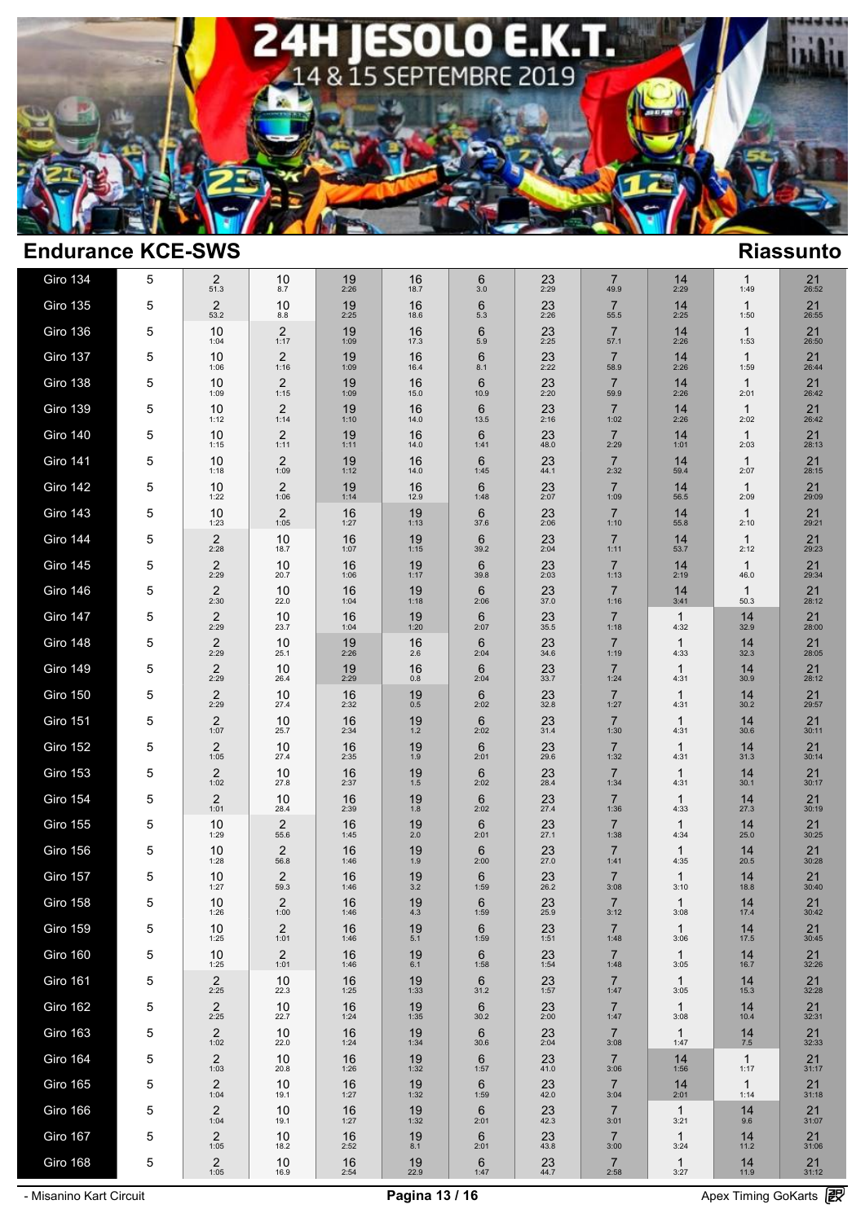

| Giro 134        | 5 | 2<br>51.3              | 10<br>8.7              | 19<br>2:26 | 16<br>18.7  | 6<br>3.0  | 23<br>2:29     | 7<br>49.9              | 14<br>2:29           | $\mathbf{1}$<br>1:49 | $21$ <sub>26:52</sub> |
|-----------------|---|------------------------|------------------------|------------|-------------|-----------|----------------|------------------------|----------------------|----------------------|-----------------------|
| Giro 135        | 5 | 2<br>53.2              | 10<br>8.8              | 19<br>2:25 | 16<br>18.6  | 6<br>5.3  | 23<br>2:26     | $\overline{7}$<br>55.5 | 14<br>2:25           | $\mathbf{1}$<br>1:50 | 21<br>26:55           |
| Giro 136        | 5 | 10<br>1:04             | 2<br>1:17              | 19<br>1:09 | 16<br>17.3  | 6<br>5.9  | 23<br>2:25     | $\overline{7}$<br>57.1 | 14<br>2:26           | $\mathbf{1}$<br>1:53 | 21<br>26:50           |
| Giro 137        | 5 | 10<br>1:06             | 2<br>1:16              | 19<br>1:09 | 16<br>16.4  | 6<br>8.1  | 23<br>2:22     | $\overline{7}$<br>58.9 | 14<br>2:26           | $\mathbf{1}$<br>1:59 | 21<br>26:44           |
| Giro 138        | 5 | 10<br>1:09             | 2<br>1:15              | 19<br>1:09 | 16<br>15.0  | 6<br>10.9 | 23<br>2:20     | $\overline{7}$<br>59.9 | 14<br>2:26           | $\mathbf{1}$<br>2:01 | 21<br>26:42           |
| Giro 139        | 5 | 10<br>1:12             | 2<br>1:14              | 19<br>1:10 | 16<br>14.0  | 6<br>13.5 | 23<br>2:16     | $\overline{7}$<br>1:02 | 14<br>2:26           | $\mathbf{1}$<br>2:02 | 21<br>26:42           |
| <b>Giro 140</b> | 5 | 10<br>1:15             | $\overline{c}$<br>1:11 | 19<br>1:11 | 16<br>14.0  | 6<br>1:41 | 23<br>48.0     | $\overline{7}$<br>2:29 | 14<br>1:01           | $\mathbf{1}$<br>2:03 | 21<br>28:13           |
| <b>Giro 141</b> | 5 | 10<br>1:18             | 2<br>1:09              | 19<br>1:12 | 16<br>14.0  | 6<br>1:45 | 23<br>44.1     | $\overline{7}$<br>2:32 | 14<br>59.4           | $\mathbf{1}$<br>2:07 | 21<br>28:15           |
| <b>Giro 142</b> | 5 | 10<br>1:22             | 2<br>1:06              | 19<br>1:14 | 16<br>12.9  | 6<br>1:48 | 23<br>2:07     | $\overline{7}$<br>1:09 | 14<br>56.5           | $\mathbf{1}$<br>2:09 | 21<br>29:09           |
| <b>Giro 143</b> | 5 | 10<br>1:23             | 2<br>1:05              | 16<br>1:27 | 19<br>1:13  | 6<br>37.6 | 23<br>2:06     | $\overline{7}$<br>1:10 | 14<br>55.8           | $\mathbf{1}$<br>2:10 | 21<br>29:21           |
| <b>Giro 144</b> | 5 | $\overline{2}$<br>2:28 | 10<br>18.7             | 16<br>1:07 | 19<br>1:15  | 6<br>39.2 | 23<br>2:04     | $\overline{7}$<br>1:11 | 14<br>53.7           | $\mathbf{1}$<br>2:12 | 21<br>29:23           |
| <b>Giro 145</b> | 5 | 2<br>2:29              | 10<br>20.7             | 16<br>1:06 | 19<br>1:17  | 6<br>39.8 | 23<br>2:03     | $\overline{7}$<br>1:13 | 14<br>2:19           | $\mathbf{1}$<br>46.0 | 21<br>29:34           |
| <b>Giro 146</b> | 5 | 2<br>2:30              | 10<br>22.0             | 16<br>1:04 | 19<br>1:18  | 6<br>2:06 | 23<br>37.0     | $\overline{7}$<br>1:16 | 14<br>3:41           | $\mathbf{1}$<br>50.3 | 21<br>28:12           |
| Giro 147        | 5 | 2<br>2:29              | 10<br>23.7             | 16<br>1:04 | 19<br>1:20  | 6<br>2:07 | 23<br>35.5     | $\overline{7}$<br>1:18 | $\mathbf{1}$<br>4:32 | 14<br>32.9           | 21<br>28:00           |
| Giro 148        | 5 | 2<br>2:29              | 10<br>25.1             | 19<br>2:26 | 16<br>2.6   | 6<br>2:04 | 23<br>34.6     | $\overline{7}$<br>1:19 | $\mathbf{1}$<br>4:33 | 14<br>32.3           | 21<br>28:05           |
| <b>Giro 149</b> | 5 | 2<br>2:29              | 10<br>26.4             | 19<br>2:29 | 16<br>0.8   | 6<br>2:04 | 23<br>33.7     | $\overline{7}$<br>1:24 | $\mathbf{1}$<br>4:31 | 14<br>30.9           | 21<br>28:12           |
| <b>Giro 150</b> | 5 | 2<br>2:29              | 10<br>27.4             | 16<br>2:32 | 19<br>0.5   | 6<br>2:02 | 23<br>32.8     | $\overline{7}$<br>1:27 | $\mathbf{1}$<br>4:31 | 14<br>30.2           | 21<br>29:57           |
| Giro 151        | 5 | 2<br>1:07              | 10<br>25.7             | 16<br>2:34 | 19<br>1.2   | 6<br>2:02 | 23<br>31.4     | $\overline{7}$<br>1:30 | 1<br>4:31            | 14<br>30.6           | 21<br>30:11           |
| <b>Giro 152</b> | 5 | 2<br>1:05              | 10<br>27.4             | 16<br>2:35 | 19<br>1.9   | 6<br>2:01 | 23<br>29.6     | $\overline{7}$<br>1:32 | 1<br>4:31            | 14<br>31.3           | 21<br>30:14           |
| Giro 153        | 5 | 2<br>1:02              | 10<br>27.8             | 16<br>2:37 | 19<br>1.5   | 6<br>2:02 | 23<br>28.4     | $\overline{7}$<br>1:34 | 1<br>4:31            | 14<br>30.1           | 21<br>30:17           |
| Giro 154        | 5 | 2<br>1:01              | 10<br>28.4             | 16<br>2:39 | 19<br>1.8   | 6<br>2:02 | 23<br>27.4     | $\overline{7}$<br>1:36 | 1<br>4:33            | 14<br>27.3           | 21<br>30:19           |
| Giro 155        | 5 | 10<br>1:29             | 2<br>55.6              | 16<br>1:45 | 19<br>2.0   | 6<br>2:01 | 23<br>27.1     | $\overline{7}$<br>1:38 | 1<br>4:34            | 14<br>25.0           | 21<br>30:25           |
| Giro 156        | 5 | 10<br>1:28             | 2<br>56.8              | 16<br>1:46 | 19<br>1.9   | 6<br>2:00 | 23<br>27.0     | $\overline{7}$<br>1:41 | 1<br>4:35            | 14<br>20.5           | 21<br>30:28           |
| Giro 157        | 5 | 10<br>1:27             | $\overline{2}$<br>59.3 | 16<br>1:46 | 19<br>3.2   | 6<br>1:59 | 23<br>26.2     | $\overline{7}$<br>3:08 | 1<br>3:10            | 14<br>18.8           | 21<br>30:40           |
| Giro 158        | 5 | 10<br>1:26             | 2<br>1:00              | 16<br>1:46 | 19<br>4.3   | 6<br>1:59 | 23<br>25.9     | $\overline{7}$<br>3:12 | 1<br>3:08            | 14<br>17.4           | 21<br>30:42           |
| Giro 159        | 5 | 10<br>1:25             | $\overline{c}$<br>1:01 | 16<br>1:46 | 19<br>$5.1$ | 6<br>1:59 | 23<br>1:51     | $\overline{7}$<br>1:48 | $\mathbf{1}$<br>3:06 | 14<br>17.5           | 21<br>30:45           |
| Giro 160        | 5 | 10<br>1:25             | $\overline{c}$<br>1:01 | 16<br>1:46 | 19<br>6.1   | 6<br>1:58 | 23<br>1:54     | $\overline{7}$<br>1:48 | $\mathbf{1}$<br>3:05 | 14<br>16.7           | 21<br>32:26           |
| Giro 161        | 5 | $\overline{2}$<br>2:25 | 10<br>22.3             | 16<br>1:25 | 19<br>1:33  | 6<br>31.2 | 23<br>1:57     | $\overline{7}$<br>1:47 | $\mathbf{1}$<br>3:05 | 14<br>15.3           | 21<br>32:28           |
| <b>Giro 162</b> | 5 | $\overline{2}$<br>2:25 | 10<br>22.7             | 16<br>1:24 | 19<br>1:35  | 6<br>30.2 | 23<br>2:00     | $\overline{7}$<br>1:47 | $\mathbf{1}$<br>3:08 | 14<br>10.4           | 21<br>32:31           |
| Giro 163        | 5 | $\overline{c}$<br>1:02 | 10<br>22.0             | 16<br>1:24 | 19<br>1:34  | 6<br>30.6 | 23<br>2:04     | $\overline{7}$<br>3:08 | $\mathbf{1}$<br>1:47 | 14<br>7.5            | 21<br>32:33           |
| Giro 164        | 5 | 2<br>1:03              | 10<br>20.8             | 16<br>1:26 | 19<br>1:32  | 6<br>1:57 | 23<br>41.0     | $\overline{7}$<br>3:06 | 14<br>1:56           | $\mathbf{1}$<br>1:17 | 21<br>31:17           |
| <b>Giro 165</b> | 5 | 2<br>1:04              | 10<br>19.1             | 16<br>1:27 | 19<br>1:32  | 6<br>1:59 | 23<br>42.0     | $\overline{7}$<br>3:04 | 14<br>2:01           | $\mathbf{1}$<br>1:14 | 21<br>31:18           |
| Giro 166        | 5 | 2<br>1:04              | 10<br>19.1             | 16<br>1:27 | 19<br>1:32  | 6<br>2:01 | 23<br>42.3     | $\overline{7}$<br>3:01 | $\mathbf{1}$<br>3:21 | 14<br>9.6            | 21<br>31:07           |
| Giro 167        | 5 | $\overline{2}$<br>1:05 | 10<br>18.2             | 16<br>2:52 | 19<br>8.1   | 6<br>2:01 | 23<br>43.8     | $\overline{7}$<br>3:00 | $\mathbf{1}$<br>3:24 | 14<br>11.2           | 21<br>31:06           |
| Giro 168        | 5 | $\overline{2}$<br>1:05 | 10<br>16.9             | 16<br>2:54 | $19_{22.9}$ | 6<br>1:47 | $^{23}_{44.7}$ | $\overline{7}$<br>2:58 | $\mathbf{1}$<br>3:27 | $14 \atop 11.9$      | $21$ <sub>31:12</sub> |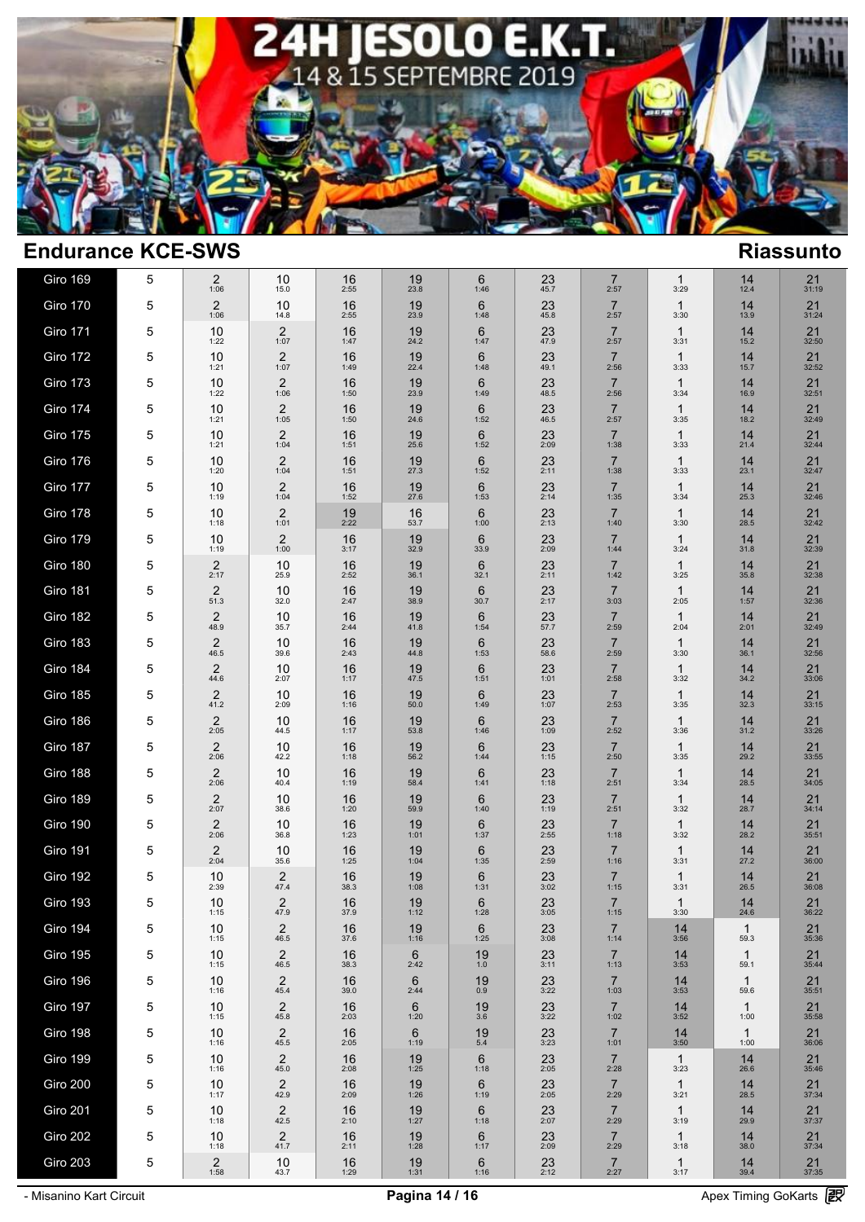

| Giro 169        | 5           | 2<br>1:06              | 10<br>15.0             | 16<br>2:55 | 19<br>23.8             | 6<br>1:46     | 23<br>45.7        | 7<br>2:57              | 1<br>3:29            | 14<br>12.4           | 21<br>31:19           |
|-----------------|-------------|------------------------|------------------------|------------|------------------------|---------------|-------------------|------------------------|----------------------|----------------------|-----------------------|
| Giro 170        | 5           | 2<br>1:06              | 10<br>14.8             | 16<br>2:55 | 19<br>23.9             | 6<br>1:48     | 23<br>45.8        | $\overline{7}$<br>2:57 | $\mathbf{1}$<br>3:30 | 14<br>13.9           | 21<br>31:24           |
| <b>Giro 171</b> | 5           | 10<br>1:22             | 2<br>1:07              | 16<br>1:47 | 19<br>24.2             | 6<br>1:47     | 23<br>47.9        | $\overline{7}$<br>2:57 | $\mathbf{1}$<br>3:31 | 14<br>15.2           | 21<br>32:50           |
| <b>Giro 172</b> | 5           | 10<br>1:21             | 2<br>1:07              | 16<br>1:49 | 19<br>22.4             | 6<br>1:48     | 23<br>49.1        | $\overline{7}$<br>2:56 | 1<br>3:33            | 14<br>15.7           | 21<br>32:52           |
| <b>Giro 173</b> | 5           | 10<br>1:22             | $\overline{c}$<br>1:06 | 16<br>1:50 | 19<br>23.9             | 6<br>1:49     | 23<br>48.5        | $\overline{7}$<br>2:56 | $\mathbf{1}$<br>3:34 | 14<br>16.9           | 21<br>32:51           |
| Giro 174        | 5           | 10<br>1:21             | 2<br>1:05              | 16<br>1:50 | 19<br>24.6             | 6<br>1:52     | 23<br>46.5        | $\overline{7}$<br>2:57 | $\mathbf{1}$<br>3:35 | 14<br>18.2           | 21<br>32:49           |
| Giro 175        | 5           | 10<br>1:21             | 2<br>1:04              | 16<br>1:51 | 19<br>25.6             | 6<br>1:52     | 23<br>2:09        | $\overline{7}$<br>1:38 | $\mathbf{1}$<br>3:33 | 14<br>21.4           | 21<br>32:44           |
| <b>Giro 176</b> | 5           | 10<br>1:20             | 2<br>1:04              | 16<br>1:51 | 19<br>27.3             | 6<br>1:52     | 23<br>2:11        | $\overline{7}$<br>1:38 | 1<br>3:33            | 14<br>23.1           | 21<br>32:47           |
| Giro 177        | 5           | 10<br>1:19             | 2<br>1:04              | 16<br>1:52 | 19<br>27.6             | 6<br>1:53     | 23<br>2:14        | $\overline{7}$<br>1:35 | $\mathbf{1}$<br>3:34 | 14<br>25.3           | 21<br>32:46           |
| Giro 178        | 5           | 10<br>1:18             | 2<br>1:01              | 19<br>2:22 | 16<br>53.7             | 6<br>1:00     | 23<br>2:13        | $\overline{7}$<br>1:40 | $\mathbf{1}$<br>3:30 | 14<br>28.5           | 21<br>32:42           |
| <b>Giro 179</b> | 5           | 10<br>1:19             | 2<br>1:00              | 16<br>3:17 | 19<br>32.9             | 6<br>33.9     | 23<br>2:09        | $\overline{7}$<br>1:44 | $\mathbf{1}$<br>3:24 | 14<br>31.8           | 21<br>32:39           |
| <b>Giro 180</b> | 5           | 2<br>2:17              | 10<br>25.9             | 16<br>2:52 | 19<br>36.1             | 6<br>32.1     | 23<br>2:11        | $\overline{7}$<br>1:42 | 1<br>3:25            | 14<br>35.8           | 21<br>32:38           |
| Giro 181        | 5           | 2<br>51.3              | 10<br>32.0             | 16<br>2:47 | 19<br>38.9             | 6<br>30.7     | 23<br>2:17        | $\overline{7}$<br>3:03 | $\mathbf{1}$<br>2:05 | 14<br>1:57           | 21<br>32:36           |
| Giro 182        | 5           | 2<br>48.9              | 10<br>35.7             | 16<br>2:44 | 19<br>41.8             | 6<br>1:54     | 23<br>57.7        | $\overline{7}$<br>2:59 | $\mathbf 1$<br>2:04  | 14<br>2:01           | 21<br>32:49           |
| Giro 183        | 5           | 2<br>46.5              | 10<br>39.6             | 16<br>2:43 | 19<br>44.8             | 6<br>1:53     | 23<br>58.6        | $\overline{7}$<br>2:59 | $\mathbf 1$<br>3:30  | 14<br>36.1           | 21<br>32:56           |
| Giro 184        | 5           | 2<br>44.6              | 10<br>2:07             | 16<br>1:17 | 19<br>47.5             | 6<br>1:51     | 23<br>1:01        | $\overline{7}$<br>2:58 | 1<br>3:32            | 14<br>34.2           | 21<br>33:06           |
| <b>Giro 185</b> | 5           | $\overline{2}$<br>41.2 | 10<br>2:09             | 16<br>1:16 | 19<br>50.0             | 6<br>1:49     | 23<br>1:07        | $\overline{7}$<br>2:53 | 1<br>3:35            | 14<br>32.3           | 21<br>33:15           |
| Giro 186        | 5           | 2<br>2:05              | 10<br>44.5             | 16<br>1:17 | 19<br>53.8             | 6<br>1:46     | 23<br>1:09        | $\overline{7}$<br>2:52 | 1<br>3:36            | 14<br>31.2           | 21<br>33:26           |
| Giro 187        | 5           | $\overline{2}$<br>2:06 | 10<br>42.2             | 16<br>1:18 | 19<br>56.2             | 6<br>1:44     | 23<br>1:15        | $\overline{7}$<br>2:50 | 1<br>3:35            | 14<br>29.2           | 21<br>33:55           |
| Giro 188        | 5           | 2<br>2:06              | 10<br>40.4             | 16<br>1:19 | 19<br>58.4             | 6<br>1:41     | 23<br>1:18        | $\overline{7}$<br>2:51 | 1<br>3:34            | 14<br>28.5           | 21<br>34:05           |
| <b>Giro 189</b> | 5           | $\overline{2}$<br>2:07 | 10<br>38.6             | 16<br>1:20 | 19<br>59.9             | 6<br>1:40     | 23<br>1:19        | $\overline{7}$<br>2:51 | 1<br>3:32            | 14<br>28.7           | 21<br>34:14           |
| Giro 190        | 5           | 2<br>2:06              | 10<br>36.8             | 16<br>1:23 | 19<br>1:01             | 6<br>1:37     | 23<br>2:55        | $\overline{7}$<br>1:18 | 1<br>3:32            | 14<br>28.2           | 21<br>35:51           |
| <b>Giro 191</b> | 5           | $\overline{2}$<br>2:04 | 10<br>35.6             | 16<br>1:25 | 19<br>1:04             | 6<br>1:35     | 23<br>2:59        | $\overline{7}$<br>1:16 | 1<br>3:31            | 14<br>27.2           | 21<br>36:00           |
| <b>Giro 192</b> | 5           | 10<br>2:39             | 2<br>47.4              | 16<br>38.3 | 19<br>1:08             | 6<br>1:31     | 23<br>3:02        | $\overline{7}$<br>1:15 | 1<br>3:31            | 14<br>26.5           | 21<br>36:08           |
| <b>Giro 193</b> | 5           | 10<br>1:15             | 2<br>47.9              | 16<br>37.9 | 19<br>1:12             | 6<br>1:28     | 23<br>3:05        | $\overline{7}$<br>1:15 | 1<br>3:30            | 14<br>24.6           | 21<br>36:22           |
| Giro 194        | 5           | 10<br>1:15             | 2<br>46.5              | 16<br>37.6 | 19<br>1:16             | 6<br>1:25     | 23<br>3:08        | $\overline{7}$<br>1:14 | 14<br>3:56           | $\mathbf{1}$<br>59.3 | 21<br>35:36           |
| <b>Giro 195</b> | 5           | 10<br>1:15             | $\overline{c}$<br>46.5 | 16<br>38.3 | $6\phantom{1}$<br>2:42 | 19<br>1.0     | 23<br>3:11        | $\overline{7}$<br>1:13 | 14<br>3:53           | $\mathbf{1}$<br>59.1 | 21<br>35:44           |
| Giro 196        | 5           | 10<br>1:16             | 2<br>45.4              | 16<br>39.0 | $6\phantom{1}$<br>2:44 | $^{19}_{0.9}$ | $23 \choose 3:22$ | $\overline{7}$<br>1:03 | 14<br>3:53           | $\mathbf{1}$<br>59.6 | 21<br>35:51           |
| Giro 197        | 5           | 10<br>1:15             | $\overline{c}$<br>45.8 | 16<br>2:03 | 6<br>1:20              | 19<br>3.6     | 23<br>3:22        | $\overline{7}$<br>1:02 | 14<br>3:52           | $\mathbf{1}$<br>1:00 | 21<br>35:58           |
| Giro 198        | $\mathbf 5$ | 10<br>1:16             | 2<br>45.5              | 16<br>2:05 | $6\phantom{1}$<br>1:19 | 19<br>5.4     | 23<br>3:23        | $\overline{7}$<br>1:01 | 14<br>3:50           | $\mathbf{1}$<br>1:00 | 21<br>36:06           |
| Giro 199        | 5           | 10<br>1:16             | $\overline{c}$<br>45.0 | 16<br>2:08 | 19<br>1:25             | 6<br>1:18     | $23 \over 2:05$   | $\overline{7}$<br>2:28 | $\mathbf{1}$<br>3:23 | 14<br>26.6           | 21<br>35:46           |
| Giro 200        | $\mathbf 5$ | 10<br>1:17             | $^{2}_{42.9}$          | 16<br>2:09 | 19<br>1:26             | 6<br>1:19     | $23 \over 2:05$   | $\overline{7}$<br>2:29 | $\mathbf{1}$<br>3:21 | $14_{28.5}$          | 21<br>37:34           |
| Giro 201        | 5           | 10<br>1:18             | $\overline{c}$<br>42.5 | 16<br>2:10 | 19<br>1:27             | 6<br>1:18     | 23<br>2:07        | $\overline{7}$<br>2:29 | $\mathbf{1}$<br>3:19 | 14<br>29.9           | 21<br>37:37           |
| Giro 202        | 5           | 10<br>1:18             | $\overline{c}$<br>41.7 | 16<br>2:11 | 19<br>1:28             | 6<br>1:17     | 23<br>2:09        | $\overline{7}$<br>2:29 | $\mathbf{1}$<br>3:18 | 14<br>38.0           | 21<br>37:34           |
| Giro 203        | 5           | $\overline{c}$<br>1:58 | 10<br>43.7             | 16<br>1:29 | $19$ <sub>1:31</sub>   | 6<br>1:16     | $23$<br>$2:12$    | $\overline{7}$<br>2:27 | $\mathbf{1}$<br>3:17 | $\frac{14}{39.4}$    | $21$ <sub>37:35</sub> |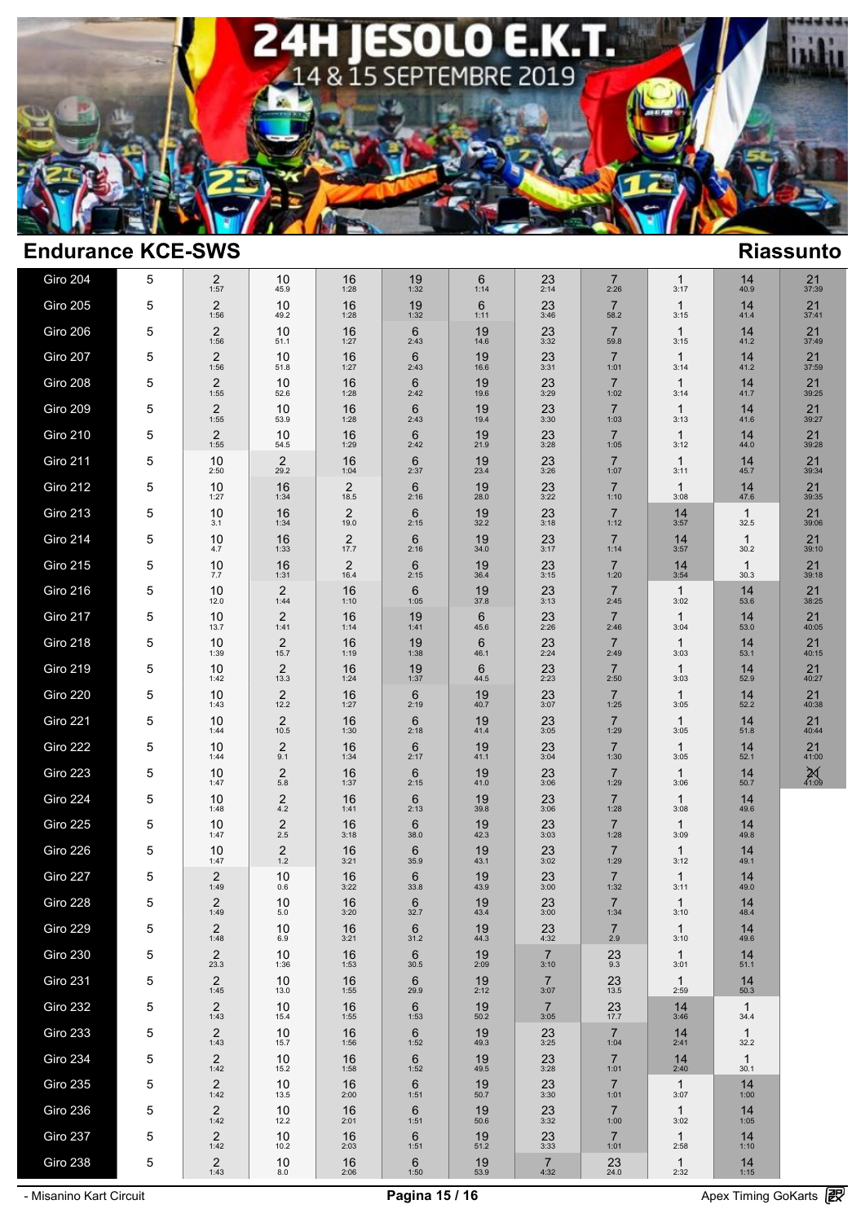

| Giro 204        | 5 | 2<br>1:57              | 10<br>45.9                        | 16<br>1:28                      | 19<br>1:32              | 6<br>1:14  | 23<br>2:14             | $\overline{7}$<br>2:26 | $\mathbf{1}$<br>3:17 | 14<br>40.9           | $21$ <sub>37:39</sub> |  |
|-----------------|---|------------------------|-----------------------------------|---------------------------------|-------------------------|------------|------------------------|------------------------|----------------------|----------------------|-----------------------|--|
| Giro 205        | 5 | 2<br>1:56              | 10<br>49.2                        | 16<br>1:28                      | 19<br>1:32              | 6<br>1:11  | 23<br>3:46             | $\overline{7}$<br>58.2 | $\mathbf{1}$<br>3:15 | 14<br>41.4           | 21<br>37:41           |  |
| Giro 206        | 5 | $\overline{2}$<br>1:56 | 10<br>51.1                        | 16<br>1:27                      | $6\phantom{1}$<br>2:43  | 19<br>14.6 | 23<br>3:32             | $\overline{7}$<br>59.8 | $\mathbf{1}$<br>3:15 | 14<br>41.2           | 21<br>37:49           |  |
| Giro 207        | 5 | 2<br>1:56              | 10<br>51.8                        | 16<br>1:27                      | 6<br>2:43               | 19<br>16.6 | 23<br>3:31             | $\overline{7}$<br>1:01 | $\mathbf 1$<br>3:14  | 14<br>41.2           | 21<br>37:59           |  |
| Giro 208        | 5 | 2<br>1:55              | 10<br>52.6                        | 16<br>1:28                      | $6\phantom{1}$<br>2:42  | 19<br>19.6 | 23<br>3:29             | $\overline{7}$<br>1:02 | $\mathbf{1}$<br>3:14 | 14<br>41.7           | 21<br>39:25           |  |
| Giro 209        | 5 | 2<br>1:55              | 10<br>53.9                        | 16<br>1:28                      | $6\phantom{1}$<br>2:43  | 19<br>19.4 | 23<br>3:30             | $\overline{7}$<br>1:03 | $\mathbf{1}$<br>3:13 | 14<br>41.6           | 21<br>39:27           |  |
| <b>Giro 210</b> | 5 | $\overline{2}$<br>1:55 | 10<br>54.5                        | 16<br>1:29                      | 6<br>2:42               | 19<br>21.9 | 23<br>3:28             | $\overline{7}$<br>1:05 | 1<br>3:12            | 14<br>44.0           | 21<br>39:28           |  |
| Giro 211        | 5 | 10<br>2:50             | $\overline{c}$<br>29.2            | 16<br>1:04                      | $6\phantom{1}6$<br>2:37 | 19<br>23.4 | 23<br>3:26             | $\overline{7}$<br>1:07 | $\mathbf 1$<br>3:11  | 14<br>45.7           | 21<br>39:34           |  |
| Giro 212        | 5 | 10<br>1:27             | 16<br>1:34                        | $\overline{c}$<br>18.5          | $6\phantom{1}$<br>2:16  | 19<br>28.0 | 23<br>3:22             | $\overline{7}$<br>1:10 | 1<br>3:08            | 14<br>47.6           | 21<br>39:35           |  |
| Giro 213        | 5 | 10<br>3.1              | 16<br>1:34                        | $\overline{2}$<br>19.0          | 6<br>2:15               | 19<br>32.2 | 23<br>3:18             | $\overline{7}$<br>1:12 | 14<br>3:57           | $\mathbf{1}$<br>32.5 | 21<br>39:06           |  |
| Giro 214        | 5 | 10<br>4.7              | 16<br>1:33                        | $\overline{\mathbf{c}}$<br>17.7 | 6<br>2:16               | 19<br>34.0 | 23<br>3:17             | $\overline{7}$<br>1:14 | 14<br>3:57           | $\mathbf{1}$<br>30.2 | 21<br>39:10           |  |
| <b>Giro 215</b> | 5 | 10<br>7.7              | 16<br>1:31                        | $\overline{c}$<br>16.4          | 6<br>2:15               | 19<br>36.4 | 23<br>3:15             | $\overline{7}$<br>1:20 | 14<br>3:54           | $\mathbf{1}$<br>30.3 | 21<br>39:18           |  |
| Giro 216        | 5 | 10<br>12.0             | 2<br>1:44                         | 16<br>1:10                      | 6<br>1:05               | 19<br>37.8 | 23<br>3:13             | $\overline{7}$<br>2:45 | $\mathbf{1}$<br>3:02 | 14<br>53.6           | 21<br>38:25           |  |
| Giro 217        | 5 | 10<br>13.7             | $\overline{2}$<br>1:41            | 16<br>1:14                      | 19<br>1:41              | 6<br>45.6  | 23<br>2:26             | $\overline{7}$<br>2:46 | $\mathbf{1}$<br>3:04 | 14<br>53.0           | 21<br>40:05           |  |
| Giro 218        | 5 | 10<br>1:39             | $\overline{c}$<br>15.7            | 16<br>1:19                      | 19<br>1:38              | 6<br>46.1  | 23<br>2:24             | $\overline{7}$<br>2:49 | $\mathbf{1}$<br>3:03 | 14<br>53.1           | 21<br>40:15           |  |
| <b>Giro 219</b> | 5 | 10<br>1:42             | 2<br>13.3                         | 16<br>1:24                      | 19<br>1:37              | 6<br>44.5  | 23<br>2:23             | $\overline{7}$<br>2:50 | $\mathbf{1}$<br>3:03 | 14<br>52.9           | 21<br>40:27           |  |
| <b>Giro 220</b> | 5 | 10<br>1:43             | $2$<br>12.2                       | 16<br>1:27                      | 6<br>2:19               | 19<br>40.7 | 23<br>3:07             | $\overline{7}$<br>1:25 | $\mathbf{1}$<br>3:05 | 14<br>52.2           | 21<br>40:38           |  |
| Giro 221        | 5 | 10<br>1:44             | $\overline{2}$<br>10.5            | 16<br>1:30                      | 6<br>2:18               | 19<br>41.4 | 23<br>3:05             | $\overline{7}$<br>1:29 | $\mathbf{1}$<br>3:05 | 14<br>51.8           | 21<br>40:44           |  |
| Giro 222        | 5 | 10<br>1:44             | $^{2}_{9.1}$                      | 16<br>1:34                      | $6\phantom{1}6$<br>2:17 | 19<br>41.1 | 23<br>3:04             | $\overline{7}$<br>1:30 | $\mathbf{1}$<br>3:05 | $14$<br>$52.1$       | 21<br>41:00           |  |
| Giro 223        | 5 | 10<br>1:47             | 2<br>5.8                          | 16<br>1:37                      | $6\phantom{1}6$<br>2:15 | 19<br>41.0 | 23<br>3:06             | $\overline{7}$<br>1:29 | $\mathbf{1}$<br>3:06 | 14<br>50.7           | $\frac{25}{41.09}$    |  |
| Giro 224        | 5 | 10<br>1:48             | $^{\,2}_{\scriptscriptstyle 4.2}$ | 16<br>1:41                      | $6\phantom{1}6$<br>2:13 | 19<br>39.8 | 23<br>3:06             | $\overline{7}$<br>1:28 | $\mathbf{1}$<br>3:08 | 14<br>49.6           |                       |  |
| Giro 225        | 5 | 10<br>1:47             | 2<br>$2.5\,$                      | 16<br>3:18                      | 6<br>38.0               | 19<br>42.3 | 23<br>3:03             | $\overline{7}$<br>1:28 | $\mathbf{1}$<br>3:09 | 14<br>49.8           |                       |  |
| Giro 226        | 5 | 10<br>1:47             | $\frac{2}{1.2}$                   | 16<br>3:21                      | 6<br>35.9               | 19<br>43.1 | 23<br>3:02             | $\overline{7}$<br>1:29 | $\mathbf{1}$<br>3:12 | 14<br>49.1           |                       |  |
| Giro 227        | 5 | 2<br>1:49              | 10<br>0.6                         | 16<br>3:22                      | 6<br>33.8               | 19<br>43.9 | 23<br>3:00             | $\overline{7}$<br>1:32 | $\mathbf{1}$<br>3:11 | 14<br>49.0           |                       |  |
| Giro 228        | 5 | $\overline{c}$<br>1:49 | 10<br>5.0                         | 16<br>3:20                      | 6<br>32.7               | 19<br>43.4 | 23<br>3:00             | $\overline{7}$<br>1:34 | $\mathbf{1}$<br>3:10 | 14<br>48.4           |                       |  |
| Giro 229        | 5 | 2<br>1:48              | 10<br>6.9                         | 16<br>3:21                      | 6<br>31.2               | 19<br>44.3 | 23<br>4:32             | 7<br>2.9               | $\mathbf{1}$<br>3:10 | 14<br>49.6           |                       |  |
| <b>Giro 230</b> | 5 | $\overline{c}$<br>23.3 | 10<br>1:36                        | 16<br>1:53                      | 6<br>$30.5\,$           | 19<br>2:09 | $\overline{7}$<br>3:10 | 23<br>9.3              | $\mathbf{1}$<br>3:01 | 14<br>51.1           |                       |  |
| Giro 231        | 5 | $\overline{2}$<br>1:45 | 10<br>13.0                        | 16<br>1:55                      | 6<br>29.9               | 19<br>2:12 | $\overline{7}$<br>3:07 | 23<br>13.5             | $\mathbf{1}$<br>2:59 | 14<br>50.3           |                       |  |
| <b>Giro 232</b> | 5 | $\overline{2}$<br>1:43 | 10<br>15.4                        | 16<br>1:55                      | 6<br>1:53               | 19<br>50.2 | $\overline{7}$<br>3:05 | 23<br>17.7             | 14<br>3:46           | $\mathbf{1}$<br>34.4 |                       |  |
| Giro 233        | 5 | 2<br>1:43              | 10<br>15.7                        | 16<br>1:56                      | 6<br>1:52               | 19<br>49.3 | 23<br>3:25             | $\overline{7}$<br>1:04 | 14<br>2:41           | $\mathbf{1}$<br>32.2 |                       |  |
| Giro 234        | 5 | 2<br>1:42              | 10<br>15.2                        | 16<br>1:58                      | 6<br>1:52               | 19<br>49.5 | 23<br>3:28             | $\overline{7}$<br>1:01 | 14<br>2:40           | $\mathbf{1}$<br>30.1 |                       |  |
| Giro 235        | 5 | $\overline{2}$<br>1:42 | 10<br>13.5                        | 16<br>2:00                      | 6<br>1:51               | 19<br>50.7 | 23<br>3:30             | $\overline{7}$<br>1:01 | $\mathbf{1}$<br>3:07 | 14<br>1:00           |                       |  |
| Giro 236        | 5 | $\overline{2}$<br>1:42 | 10<br>12.2                        | 16<br>2:01                      | 6<br>1:51               | 19<br>50.6 | 23<br>3:32             | $\overline{7}$<br>1:00 | 1<br>3:02            | 14<br>1:05           |                       |  |
| Giro 237        | 5 | $\overline{2}$<br>1:42 | 10<br>10.2                        | 16<br>2:03                      | 6<br>1:51               | 19<br>51.2 | 23<br>3:33             | $\overline{7}$<br>1:01 | $\mathbf{1}$<br>2:58 | 14<br>1:10           |                       |  |
| Giro 238        | 5 | $\overline{2}$<br>1:43 | 10<br>8.0                         | 16<br>2:06                      | 6<br>1:50               | 19<br>53.9 | $\overline{7}$<br>4:32 | $^{23}_{24.0}$         | 1<br>2:32            | $14$<br>1:15         |                       |  |